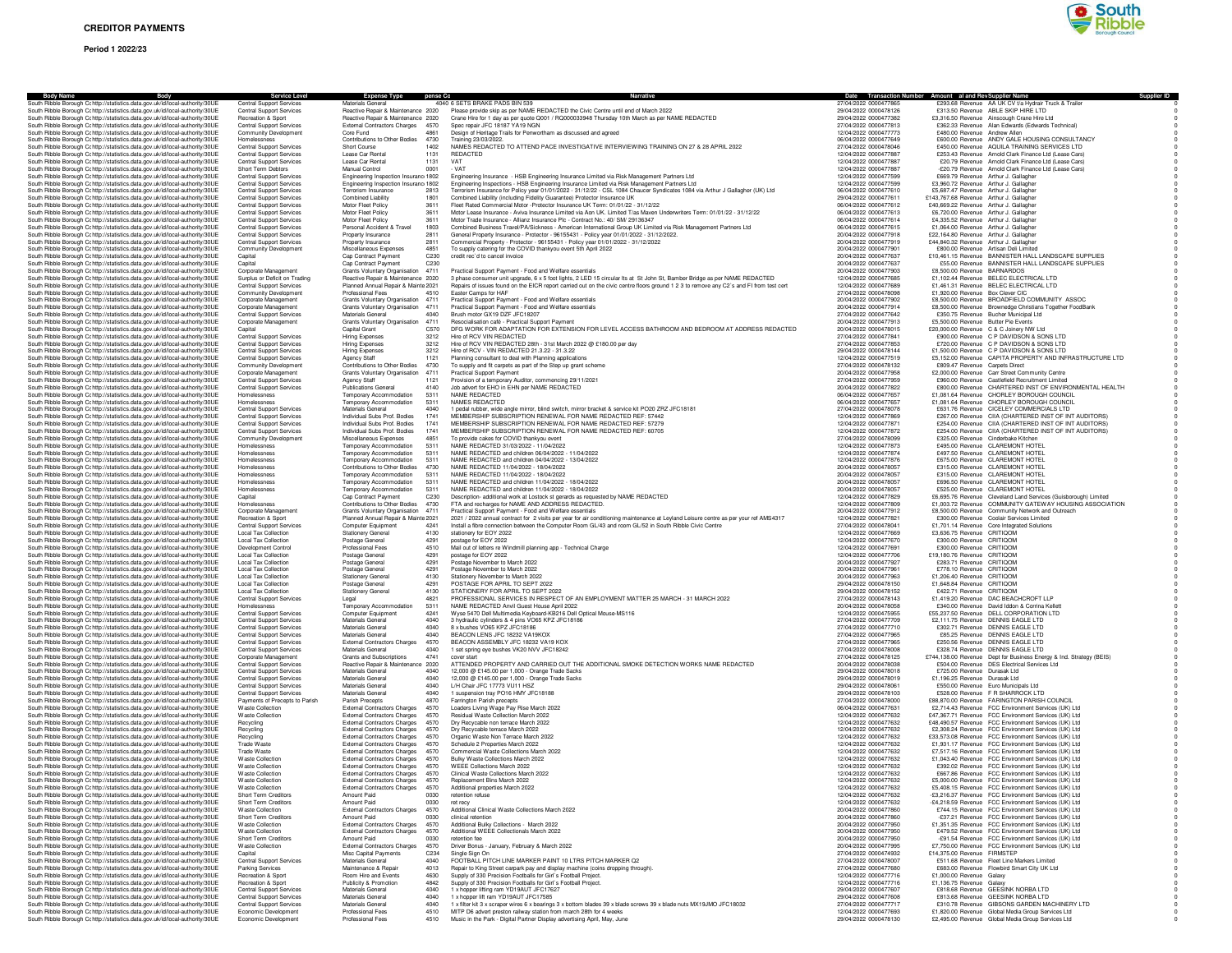## **Period 1 2022/23**



| <b>Body Name</b><br>Body<br>South Ribble Borough Cc http://statistics.data.gov.uk/id/local-authority/30UE                                                      | <b>Service Level</b><br>Central Support Services                   | <b>Expense Type</b><br>Materials Genera                                    | pense Cc         | 4040 6 SETS BRAKE PADS BIN 539                                                                                                                                                                                                                 | 27/04/2022 000047786                           | Date Transaction Number Amount al and Rev Supplier Name<br>£293.68 Revenue AA UK CV t/a Hydrair Truck & Traile     |
|----------------------------------------------------------------------------------------------------------------------------------------------------------------|--------------------------------------------------------------------|----------------------------------------------------------------------------|------------------|------------------------------------------------------------------------------------------------------------------------------------------------------------------------------------------------------------------------------------------------|------------------------------------------------|--------------------------------------------------------------------------------------------------------------------|
| South Ribble Borough C: http://statistics.data.gov.uk/id/local-authority/30UE                                                                                  | Central Support Services                                           | Reactive Repair & Maintenance 2020                                         |                  | Please provide skip as per NAME REDACTED the Civic Centre until end of March 2022                                                                                                                                                              | 29/04/2022 0000478126                          | £313.50 Revenue ABLE SKIP HIRE LTD                                                                                 |
| South Ribble Borough Cohttp://statistics.data.gov.uk/id/local-authority/30UE                                                                                   | Recreation & Sport                                                 | Reactive Repair & Maintenance 2020                                         |                  | Crane Hire for 1 day as per quote Q001 / RQ000033948 Thursday 10th March as per NAME REDACTED                                                                                                                                                  | 29/04/2022 0000477382                          | £3,316.50 Revenue Ainscough Crane Hire Ltd                                                                         |
| South Ribble Borough Cohttp://statistics.data.gov.uk/id/local-authority/30UE                                                                                   | <b>Central Support Services</b><br><b>Community Development</b>    | External Contractors Charges 4570                                          |                  | Spec repair JFC 18187 YA19 NGN                                                                                                                                                                                                                 | 27/04/2022 0000477813<br>12/04/2022 0000477773 | £362.33 Revenue Alan Edwards (Edwards Technical)<br>£480.00 Revenue Andrew Allen                                   |
| South Ribble Borough Cohttp://statistics.data.gov.uk/id/local-authority/30UE<br>South Ribble Borough Cc http://statistics.data.gov.uk/id/local-authority/30UE  | Homelessness                                                       | Core Fund<br>Contributions to Other Bodies                                 | 4861<br>4730     | Design of Heritage Trails for Penwortham as discussed and agreed<br>Training 23/03/2022                                                                                                                                                        | 06/04/2022 0000477649                          | £600.00 Revenue ANDY GALE HOUSING CONSULTANCY                                                                      |
| South Ribble Borough Cc http://statistics.data.gov.uk/id/local-authority/30UE                                                                                  | Central Support Services                                           | Short Course                                                               | 1402             | NAMES REDACTED TO ATTEND PACE INVESTIGATIVE INTERVIEWING TRAINING ON 27 & 28 APRIL 2022                                                                                                                                                        | 27/04/2022 0000478046                          | £450.00 Revenue AQUILA TRAINING SERVICES LTD                                                                       |
| South Ribble Borough Cc http://statistics.data.gov.uk/id/local-authority/30UE                                                                                  | Central Support Services                                           | Lease Car Rental                                                           | 1131             | REDACTED                                                                                                                                                                                                                                       | 12/04/2022 0000477887                          | £253.43 Revenue Arnold Clark Finance Ltd (Lease Cars)                                                              |
| South Ribble Borough C: http://statistics.data.gov.uk/id/local-authority/30UE<br>South Ribble Borough Cohttp://statistics.data.gov.uk/id/local-authority/30UE  | <b>Central Support Services</b><br>Short Term Debtors              | Lease Car Renta<br>Manual Control                                          | 1131<br>0001     | VAT<br>- VAT                                                                                                                                                                                                                                   | 12/04/2022 0000477887<br>12/04/2022 0000477887 | £20.79 Revenue Amold Clark Finance Ltd (Lease Cars)<br>-£20.79 Revenue Amold Clark Finance Ltd (Lease Cars)        |
| South Ribble Borough Cc http://statistics.data.gov.uk/id/local-authority/30UE                                                                                  | <b>Central Support Services</b>                                    | Engineering Inspection Insurance 1802                                      |                  | Engineering Insurance - HSB Engineering Insurance Limited via Risk Management Partners Ltd                                                                                                                                                     | 12/04/2022 0000477599                          | £669.79 Revenue Arthur J. Gallagher                                                                                |
| South Ribble Borough Cc http://statistics.data.gov.uk/id/local-authority/30UE                                                                                  | <b>Central Support Services</b>                                    | Engineering Inspection Insurance 1802                                      |                  | Engineering Inspections - HSB Engineering Insurance Limited via Risk Management Partners Ltd                                                                                                                                                   | 12/04/2022 0000477599                          | £3,960.72 Revenue Arthur J. Gallagher                                                                              |
| South Ribble Borough Cohttp://statistics.data.gov.uk/id/local-authority/30UE                                                                                   | <b>Central Support Services</b>                                    | Terrorism Insurance                                                        | 2813             | Terrorism Insurance for Policy year 01/01/2022 - 31/12/22 - CSL 1084 Chaucer Syndicates 1084 via Arthur J Gallagher (UK) Ltd                                                                                                                   | 06/04/2022 0000477610                          | £5,687.47 Revenue Arthur J. Gallaghe                                                                               |
| South Ribble Borough Cohttp://statistics.data.gov.uk/id/local-authority/30UE<br>South Ribble Borough Cc http://statistics.data.gov.uk/id/local-authority/30UE  | <b>Central Support Services</b><br>Central Support Services        | <b>Combined Liability</b><br>Motor Fleet Policy                            | 1801<br>3611     | Combined Liability (including Fidelity Guarantee) Protector Insurance UK<br>Fleet Rated Commercial Motor -Protector Insurance UK Term: 01/01/22 - 31/12/22                                                                                     | 29/04/2022 0000477611<br>06/04/2022 0000477612 | £143,767.68 Revenue Arthur J. Gallagher<br>£40,669.22 Revenue Arthur J. Gallagher                                  |
| South Ribble Borough Cc http://statistics.data.gov.uk/id/local-authority/30UE                                                                                  | Central Support Services                                           | Motor Fleet Policy                                                         | 3611             | Motor Lease Insurance - Aviva Insurance Limited via Aon UK. Limited T/as Maven Underwriters Term: 01/01/22 - 31/12/22                                                                                                                          | 06/04/2022 0000477613                          | £6,720.00 Revenue Arthur J. Gallaghe                                                                               |
| South Ribble Borough Cc http://statistics.data.gov.uk/id/local-authority/30UE                                                                                  | <b>Central Support Services</b>                                    | Motor Fleet Policy                                                         | 3611             | Motor Trade Insurance - Allianz Insurance Plc - Contract No.: 40/ SM/ 29136347                                                                                                                                                                 | 06/04/2022 0000477614                          | £4,335.52 Revenue Arthur J. Gallagher                                                                              |
| South Ribble Borough Cohttp://statistics.data.gov.uk/id/local-authority/30UE<br>South Ribble Borough Cc http://statistics.data.gov.uk/id/local-authority/30UE  | <b>Central Support Services</b><br><b>Central Support Services</b> | Personal Accident & Travel<br>Property Insurance                           | 1803<br>2811     | Combined Business Travel/PA/Sickness - American International Group UK Limited via Risk Management Partners Ltd<br>General Property Insurance - Protector - 96155431 - Policy year 01/01/2022 - 31/12/2022.                                    | 06/04/2022 0000477615<br>20/04/2022 0000477918 | £1,064.00 Revenue Arthur J. Gallagher<br>£22,164.80 Revenue Arthur J. Gallagher                                    |
| South Ribble Borough Cc http://statistics.data.gov.uk/id/local-authority/30UE                                                                                  | Central Support Services                                           | Property Insurance                                                         | 2811             | Commercial Property - Protector - 96155431 - Policy year 01/01/2022 - 31/12/2022                                                                                                                                                               | 20/04/2022 0000477919                          | £44,840.32 Revenue Arthur J. Gallagher                                                                             |
| South Ribble Borough Cc http://statistics.data.gov.uk/id/local-authority/30UE                                                                                  | Community Development                                              | Miscellaneous Expenses                                                     | 4851             | To supply catering for the COVID thankyou event 5th April 2022                                                                                                                                                                                 | 20/04/2022 0000477901                          | £800.00 Revenue Artisan Deli Limited                                                                               |
| South Ribble Borough Cc http://statistics.data.gov.uk/id/local-authority/30UE                                                                                  | Capital                                                            | Cap Contract Payment                                                       | C230             | credit rec'd to cancel invoice                                                                                                                                                                                                                 | 20/04/2022 0000477637                          | £10,461.15 Revenue BANNISTER HALL LANDSCAPE SUPPLIES                                                               |
| South Ribble Borough Cc http://statistics.data.gov.uk/id/local-authority/30UE<br>South Ribble Borough Cc http://statistics.data.gov.uk/id/local-authority/30UE | Capital<br>Corporate Management                                    | Cap Contract Payment<br>Grants Voluntary Organisation 4711                 | C230             | Practical Support Payment - Food and Welfare essentials                                                                                                                                                                                        | 20/04/2022 0000477637<br>20/04/2022 0000477903 | £55.00 Revenue BANNISTER HALL LANDSCAPE SUPPLIES<br>£8,500.00 Revenue BARNARDOS                                    |
| South Ribble Borough Cc http://statistics.data.gov.uk/id/local-authority/30UE                                                                                  | Surplus or Deficit on Trading                                      | Reactive Repair & Maintenance 2020                                         |                  | 3 phase consumer unit upgrade, 6 x 5 foot lights, 2 LED 15 circular Its at St John St, Bamber Bridge as per NAME REDACTED                                                                                                                      | 12/04/2022 0000477685                          | £1,102.44 Revenue BELEC ELECTRICAL LTD                                                                             |
| South Ribble Borough Cc http://statistics.data.gov.uk/id/local-authority/30UE                                                                                  | <b>Central Support Services</b>                                    | Planned Annual Repair & Mainte 2021                                        |                  | Repairs of issues found on the EICR report carried out on the civic centre floors ground 1 2 3 to remove any C2's and FI from test cert                                                                                                        | 12/04/2022 0000477689                          | £1,461.31 Revenue BELEC ELECTRICAL LTD                                                                             |
| South Ribble Borough Cc http://statistics.data.gov.uk/id/local-authority/30UE                                                                                  | Community Development                                              | Professional Fees                                                          | 4510             | Easter Camps for HAF                                                                                                                                                                                                                           | 27/04/2022 0000478098                          | £1,920.00 Revenue Box Clever CIC                                                                                   |
| South Ribble Borough Cc http://statistics.data.gov.uk/id/local-authority/30UE<br>South Ribble Borough Cohttp://statistics.data.gov.uk/id/local-authority/30UE  | Corporate Management<br>Corporate Management                       | Grants Voluntary Organisation 4711<br>Grants Voluntary Organisation 4711   |                  | Practical Support Payment - Food and Welfare essentials<br>Practical Support Payment - Enod and Welfare essentials                                                                                                                             | 20/04/2022 0000477902<br>20/04/2022 0000477914 | £8,500.00 Revenue BROADFIELD COMMUNITY ASSOC<br>£8,500.00 Revenue Brownedge Christians Together FoodBank           |
| South Ribble Borough Cc http://statistics.data.gov.uk/id/local-authority/30UE                                                                                  | <b>Central Support Services</b>                                    | Materials General                                                          | 4040             | Brush motor GX19 DZF JFC18207                                                                                                                                                                                                                  | 27/04/2022 0000477642                          | £350.75 Revenue Bucher Municipal Ltd                                                                               |
| South Ribble Borough Cc http://statistics.data.gov.uk/id/local-authority/30UE                                                                                  | Corporate Management                                               | Grants Voluntary Organisation                                              | 4711             | Resocialisation café - Practical Support Payment                                                                                                                                                                                               | 20/04/2022 0000477913                          | £5,500.00 Revenue Butter Pie Events                                                                                |
| South Ribble Borough Cc http://statistics.data.gov.uk/id/local-authority/30UE                                                                                  | Capital                                                            | Capital Grant                                                              | C570<br>3212     | DFG WORK FOR ADAPTATION FOR EXTENSION FOR LEVEL ACCESS BATHROOM AND BEDROOM AT ADDRESS REDACTED<br>Hire of RCV VIN REDACTED                                                                                                                    | 20/04/2022 0000478015<br>27/04/2022 0000477841 | £20,000.00 Revenue C & C Joinery NW Ltd                                                                            |
| South Ribble Borough Cc http://statistics.data.gov.uk/id/local-authority/30UE<br>South Ribble Borough Cc http://statistics.data.gov.uk/id/local-authority/30UE | Central Support Services<br><b>Central Support Services</b>        | Hiring Expenses<br>Hiring Expenses                                         | 3212             | Hire of RCV VIN REDACTED 28th - 31st March 2022 @ £180.00 per day                                                                                                                                                                              | 27/04/2022 0000477853                          | £900.00 Revenue C P DAVIDSON & SONS LTD<br>£720.00 Revenue C P DAVIDSON & SONS LTD                                 |
| South Ribble Borough Cohttp://statistics.data.gov.uk/id/local-authority/30UE                                                                                   | Central Support Services                                           | Hiring Expenses                                                            | 3212             | Hire of RCV - VIN REDACTED 21.3.22 - 31.3.22                                                                                                                                                                                                   | 29/04/2022 0000478144                          | £1,500.00 Revenue C P DAVIDSON & SONS LTD                                                                          |
| South Ribble Borough Cc http://statistics.data.gov.uk/id/local-authority/30UE                                                                                  | <b>Central Support Services</b>                                    | <b>Agency Staff</b>                                                        | 1121             | Planning consultant to deal with Planning applications                                                                                                                                                                                         | 12/04/2022 0000477519                          | £5,152.00 Revenue CAPITA PROPERTY AND INFRASTRUCTURE LTD                                                           |
| South Ribble Borough Cc http://statistics.data.gov.uk/id/local-authority/30UE<br>South Ribble Borough Cohttp://statistics.data.gov.uk/id/local-authority/30UE  | <b>Community Development</b><br>Corporate Management               | Contributions to Other Bodies 4730<br>Grants Voluntary Organisation        | 4711             | To supply and fit carpets as part of the Step up grant scheme<br><b>Practical Support Payment</b>                                                                                                                                              | 27/04/2022 0000478132<br>20/04/2022 0000477958 | £809.47 Revenue Carpets Direct<br>£2,000.00 Revenue Carr Street Community Centre                                   |
| South Ribble Borough Cc http://statistics.data.gov.uk/id/local-authority/30UE                                                                                  | <b>Central Support Services</b>                                    | Agency Staff                                                               | 1121             | Provision of a temporary Auditor, commencing 29/11/2021                                                                                                                                                                                        | 27/04/2022 0000477959                          | £960.00 Revenue Castlefield Recruitment Limited                                                                    |
| South Ribble Borough Cohttp://statistics.data.gov.uk/id/local-authority/30UE                                                                                   | Central Support Services                                           | <b>Publications General</b>                                                | 4140             | Job advert for EHO in EHN per NAME REDACTED                                                                                                                                                                                                    | 20/04/2022 0000477822                          | £800.00 Revenue CHARTERED INST OF ENVIRONMENTAL HEALTH                                                             |
| South Ribble Borough Cc http://statistics.data.gov.uk/id/local-authority/30UE                                                                                  | Homelessness                                                       | Temporary Accommodation                                                    | 5311             | NAME REDACTED                                                                                                                                                                                                                                  | 06/04/2022 0000477657                          | £1.081.64 Revenue CHORLEY BOROUGH COUNCIL                                                                          |
| South Ribble Borough Cc http://statistics.data.gov.uk/id/local-authority/30UE<br>South Ribble Borough Cohttp://statistics.data.gov.uk/id/local-authority/30UE  | Homelessness<br><b>Central Support Services</b>                    | Temporary Accommodation<br>Materials General                               | 5311<br>4040     | NAMES REDACTED<br>1 pedal rubber, wide angle mirror, blind switch, mirror bracket & service kit PO20 ZRZ JFC18181                                                                                                                              | 06/04/2022 0000477657<br>27/04/2022 0000478078 | £1,081.64 Revenue CHORLEY BOROUGH COUNCIL<br>£631.76 Revenue CICELEY COMMERCIALS LTD                               |
| South Ribble Borough Cc http://statistics.data.gov.uk/id/local-authority/30UE                                                                                  | Central Support Services                                           | Individual Subs Prof. Bodies                                               | 1741             | MEMBERSHIP SUBSCRIPTION RENEWAL FOR NAME REDACTED REF: 57442                                                                                                                                                                                   | 12/04/2022 0000477869                          | £267.00 Revenue CIIA (CHARTERED INST OF INT AUDITORS)                                                              |
| South Ribble Borough Cc http://statistics.data.gov.uk/id/local-authority/30UE                                                                                  | <b>Central Support Services</b>                                    | Individual Subs Prof. Bodies                                               | 1741             | MEMBERSHIP SUBSCRIPTION RENEWAL FOR NAME REDACTED REF: 57279                                                                                                                                                                                   | 12/04/2022 0000477871                          | £254.00 Revenue CIIA (CHARTERED INST OF INT AUDITORS)                                                              |
| South Ribble Borough Cc http://statistics.data.gov.uk/id/local-authority/30UE                                                                                  | Central Support Services                                           | Individual Subs Prof. Bodies                                               | 1741             | MEMBERSHIP SUBSCRIPTION RENEWAL FOR NAME REDACTED REF: 60705                                                                                                                                                                                   | 12/04/2022 0000477872                          | £254.00 Revenue CIIA (CHARTERED INST OF INT AUDITORS)                                                              |
| South Ribble Borough Cc http://statistics.data.gov.uk/id/local-authority/30UE                                                                                  | Community Development<br>Homelessness                              | Miscellaneous Expenses<br>Temporary Accommodation                          | 4851             | To provide cakes for COVID thankyou event<br>NAME REDACTED 31/03/2022 - 11/04/2022                                                                                                                                                             | 27/04/2022 0000478099                          | £325.00 Bevenue Cinderbake Kitchen                                                                                 |
| South Ribble Borough Cc http://statistics.data.gov.uk/id/local-authority/30UE<br>South Ribble Borough Cc http://statistics.data.gov.uk/id/local-authority/30UE | Homelessness                                                       | Temporary Accommodation                                                    | 5311<br>5311     | NAME REDACTED and children 06/04/2022 - 11/04/2022                                                                                                                                                                                             | 12/04/2022 0000477873<br>12/04/2022 0000477874 | £495.00 Revenue CLAREMONT HOTEL<br>£497.50 Revenue CLAREMONT HOTEL                                                 |
| South Ribble Borough C: http://statistics.data.gov.uk/id/local-authority/30UE                                                                                  | Homelessness                                                       | Temporary Accommodation                                                    | 5311             | NAME REDACTED and children 04/04/2022 - 13/04/2022                                                                                                                                                                                             | 12/04/2022 0000477876                          | £675.00 Revenue CLAREMONT HOTEL                                                                                    |
| South Ribble Borough Cohttp://statistics.data.gov.uk/id/local-authority/30UE                                                                                   | Homelessness                                                       | Contributions to Other Bodies                                              | 4730             | NAME REDACTED 11/04/2022 - 18/04/2022                                                                                                                                                                                                          | 20/04/2022 0000478057                          | £315.00 Revenue CLAREMONT HOTEL                                                                                    |
| South Ribble Borough Cohttp://statistics.data.gov.uk/id/local-authority/30UE                                                                                   | Homelessness                                                       | Temporary Accommodation                                                    | 5311<br>5311     | NAME REDACTED 11/04/2022 - 18/04/2022                                                                                                                                                                                                          | 20/04/2022 0000478057                          | £315.00 Revenue CLAREMONT HOTEL                                                                                    |
| South Ribble Borough Cc http://statistics.data.gov.uk/id/local-authority/30UE<br>South Ribble Borough Cohttp://statistics.data.gov.uk/id/local-authority/30UE  | Homelessness<br>Homelessness                                       | Temporary Accommodation<br>Temporary Accommodation                         | 5311             | NAME REDACTED and children 11/04/2022 - 18/04/2022<br>NAME REDACTED and children 11/04/2022 - 18/04/2022                                                                                                                                       | 20/04/2022 0000478057<br>20/04/2022 0000478057 | £696.50 Revenue CLAREMONT HOTEL<br>£525.00 Revenue CLAREMONT HOTEL                                                 |
| South Ribble Borough Cohttp://statistics.data.gov.uk/id/local-authority/30UE                                                                                   | Capital                                                            | Cap Contract Payment                                                       | C <sub>230</sub> | Description- additional work at Lostock st gerards as requested by NAME REDACTED                                                                                                                                                               | 12/04/2022 0000477829                          | £6,695.76 Beyenue Cleveland Land Services (Guisborough) Limited                                                    |
| South Ribble Borough Cc http://statistics.data.gov.uk/id/local-authority/30UE                                                                                  | Homelessness                                                       | Contributions to Other Bodies 4730                                         |                  | FTA and recharges for NAME AND ADDRESS REDACTED.                                                                                                                                                                                               | 12/04/2022 0000477809                          | £1,003.72 Revenue COMMUNITY GATEWAY HOUSING ASSOCIATION                                                            |
| South Ribble Borough Cc http://statistics.data.gov.uk/id/local-authority/30UE                                                                                  | Corporate Management                                               | Grants Voluntary Organisation 4711<br>Planned Annual Repair & Mainte 2021  |                  | Practical Support Payment - Food and Welfare essentials                                                                                                                                                                                        | 20/04/2022 0000477912<br>12/04/2022 0000477821 | £8,500.00 Revenue Community Network and Outreach                                                                   |
| South Ribble Borough Cc http://statistics.data.gov.uk/id/local-authority/30UE<br>South Ribble Borough Cc http://statistics.data.gov.uk/id/local-authority/30UE | Recreation & Sport<br><b>Central Support Services</b>              | <b>Computer Equipment</b>                                                  | 4241             | 2021 / 2022 annual contract for 2 visits per year for air conditioning maintenance at Leyland Leisure centre as per your ref AMS4317<br>Install a fibre connection between the Computer Room GL/43 and room GL/52 in South Ribble Civic Centre | 27/04/2022 0000478041                          | £300.00 Revenue Coolair Services Limited<br>£1,701.14 Revenue Core Integrated Solutions                            |
| South Ribble Borough Cc http://statistics.data.gov.uk/id/local-authority/30UE                                                                                  | <b>Local Tax Collection</b>                                        | <b>Stationery General</b>                                                  | 4130             | stationery for EOY 2022                                                                                                                                                                                                                        | 12/04/2022 0000477669                          | £3,636.75 Revenue CRITIQOM                                                                                         |
| South Ribble Borough Cc http://statistics.data.gov.uk/id/local-authority/30UE                                                                                  | <b>Local Tax Collection</b>                                        | Postage General                                                            | 4291             | postage for EOY 2022                                                                                                                                                                                                                           | 12/04/2022 0000477670                          | £300.00 Revenue CRITIQOM                                                                                           |
| South Ribble Borough Cc http://statistics.data.gov.uk/id/local-authority/30UE<br>South Ribble Borough Cohttp://statistics.data.gov.uk/id/local-authority/30UE  | Development Control                                                | Professional Fees                                                          | 4510<br>4291     | Mail out of letters re Windmill planning app - Technical Charge                                                                                                                                                                                | 12/04/2022 0000477691<br>12/04/2022 0000477706 | £300.00 Revenue CRITIQOM<br>£19,180.76 Revenue CRITIQOM                                                            |
| South Ribble Borough Cohttp://statistics.data.gov.uk/id/local-authority/30UE                                                                                   | <b>Local Tax Collection</b><br><b>Local Tax Collection</b>         | Postage General<br>Postage General                                         | 4291             | postage for EOY 2022<br>Postage November to March 2022                                                                                                                                                                                         | 20/04/2022 0000477927                          | £283.71 Revenue CRITIQON                                                                                           |
| South Ribble Borough Cc http://statistics.data.gov.uk/id/local-authority/30UE                                                                                  | <b>Local Tax Collection</b>                                        | Postage General                                                            | 4291             | Postage November to March 2022                                                                                                                                                                                                                 | 20/04/2022 0000477961                          | £778.10 Revenue CRITIQOM                                                                                           |
| South Ribble Borough Cc http://statistics.data.gov.uk/id/local-authority/30UE                                                                                  | <b>Local Tax Collection</b>                                        | <b>Stationery General</b>                                                  | 4130             | Stationery November to March 2022                                                                                                                                                                                                              | 20/04/2022 0000477963                          | £1,206.40 Revenue CRITIQOM                                                                                         |
| South Ribble Borough Cc http://statistics.data.gov.uk/id/local-authority/30UE<br>South Ribble Borough Cc http://statistics.data.gov.uk/id/local-authority/30UE | <b>Local Tax Collection</b><br><b>Local Tax Collection</b>         | Postage General                                                            | 4291<br>4130     | POSTAGE FOR APRIL TO SEPT 2022<br>STATIONERY FOR APRIL TO SEPT 2022                                                                                                                                                                            | 29/04/2022 0000478150<br>29/04/2022 0000478152 | £1,648.84 Revenue CRITIQOM<br>£422.71 Revenue CRITIQOM                                                             |
| South Ribble Borough Cc http://statistics.data.gov.uk/id/local-authority/30UE                                                                                  | <b>Central Support Services</b>                                    | <b>Stationery General</b><br>Legal                                         | 4821             | PROFESSIONAL SERVICES IN RESPECT OF AN EMPLOYMENT MATTER 25 MARCH - 31 MARCH 2022                                                                                                                                                              | 27/04/2022 0000478143                          | £1,419.20 Revenue DAC BEACHCROFT LLP                                                                               |
| South Ribble Borough Cc http://statistics.data.gov.uk/id/local-authority/30UE                                                                                  | Homelessness                                                       | Temporary Accommodation                                                    | 5311             | NAME REDACTED Anvil Guest House April 2022                                                                                                                                                                                                     | 20/04/2022 0000478058                          | £340.00 Revenue David Iddon & Corrina Kellett                                                                      |
| South Ribble Borough Cc http://statistics.data.gov.uk/id/local-authority/30UE                                                                                  | Central Support Services                                           | Computer Equipment                                                         | 4241             | Wyse 5470 Dell Multimedia Keyboard-KB216 Dell Optical Mouse-MS116                                                                                                                                                                              | 12/04/2022 0000475955                          | £55,237.50 Revenue DELL CORPORATION LTD                                                                            |
| South Ribble Borough Cc http://statistics.data.gov.uk/id/local-authority/30UE<br>South Ribble Borough Cohttp://statistics.data.gov.uk/id/local-authority/30UE  | Central Support Services<br><b>Central Support Services</b>        | Materials General<br>Materials General                                     | 4040<br>4040     | 3 hydraulic cylinders & 4 pins VO65 KPZ JFC18186<br>8 x bushes VO65 KPZ JFC18186                                                                                                                                                               | 27/04/2022 0000477709<br>27/04/2022 0000477710 | £2.111.75 Revenue DENNIS EAGLE LTD<br>£302.71 Revenue DENNIS EAGLE LTD                                             |
| South Ribble Borough Cc http://statistics.data.gov.uk/id/local-authority/30UE                                                                                  | Central Support Services                                           | Materials General                                                          | 4040             | BEACON LENS JFC 18232 VA19KOX                                                                                                                                                                                                                  | 27/04/2022 0000477965                          | £85.25 Revenue DENNIS EAGLE LTD                                                                                    |
| South Ribble Borough C: http://statistics.data.gov.uk/id/local-authority/30UE                                                                                  | <b>Central Support Services</b>                                    | <b>External Contractors Charges</b>                                        | 4570             | BEACON ASSEMBLY JFC 18232 VA19 KOX                                                                                                                                                                                                             | 27/04/2022 0000477965                          | £250.56 Revenue DENNIS EAGLE LTD                                                                                   |
| South Ribble Borough Cohttp://statistics.data.gov.uk/id/local-authority/30UE                                                                                   | <b>Central Support Services</b>                                    | Materials General                                                          | 4040<br>4741     | 1 set spring eye bushes VK20 NVV JFC18242                                                                                                                                                                                                      | 27/04/2022 0000478008                          | £328.74 Revenue DENNIS EAGLE LTD                                                                                   |
| South Ribble Borough Cc http://statistics.data.gov.uk/id/local-authority/30UE<br>South Ribble Borough C: http://statistics.data.gov.uk/id/local-authority/30UE | Corporate Management<br><b>Central Support Services</b>            | Grants and Subscriptions<br>Reactive Repair & Maintenance 2020             |                  | cover start<br>ATTENDED PROPERTY AND CARRIED OUT THE ADDITIONAL SMOKE DETECTION WORKS NAME REDACTED                                                                                                                                            | 27/04/2022 0000478125<br>20/04/2022 0000478038 | £744,138.00 Revenue Dept for Business Energy & Ind. Strategy (BEIS)<br>£504.00 Revenue DES Electrical Services Ltd |
| South Ribble Borough Cohttp://statistics.data.gov.uk/id/local-authority/30UE                                                                                   | Central Support Services                                           | Materials General                                                          | 4040             | 12.000 @ £145.00 per 1.000 - Orange Trade Sacks                                                                                                                                                                                                | 29/04/2022 0000478018                          | £725.00 Revenue Durasak Ltd                                                                                        |
| South Ribble Borough Cc http://statistics.data.gov.uk/id/local-authority/30UE                                                                                  | <b>Central Support Services</b>                                    | Materials General                                                          | 4040             | 12,000 @ £145.00 per 1,000 - Orange Trade Sacks                                                                                                                                                                                                | 29/04/2022 0000478019                          | £1.196.25 Revenue Durasak Ltd                                                                                      |
| South Ribble Borough Cohttp://statistics.data.gov.uk/id/local-authority/30UE<br>South Ribble Borough Cohttp://statistics.data.gov.uk/id/local-authority/30UE   | Central Support Services<br><b>Central Support Services</b>        | Materials General<br>Materials General                                     | 4040<br>4040     | L/H Chair JFC 17773 VU11 HSZ<br>1 suspension tray PO16 HMY JFC18188                                                                                                                                                                            | 29/04/2022 0000478061<br>29/04/2022 0000478103 | £550.00 Revenue Euro Municipals Ltd<br>£528.00 Revenue F R SHARROCK LTD                                            |
| South Ribble Borough Cc http://statistics.data.gov.uk/id/local-authority/30UE                                                                                  | Payments of Precepts to Parish                                     | Parish Precepts                                                            | 4870             | Farrington Parish precepts                                                                                                                                                                                                                     | 27/04/2022 0000478000                          | £88,870.00 Revenue FARINGTON PARISH COUNCIL                                                                        |
| South Ribble Borough C: http://statistics.data.gov.uk/id/local-authority/30UE                                                                                  | <b>Waste Collection</b>                                            | <b>External Contractors Charges</b>                                        | 4570             | Loaders Living Wage Pay Rise March 2022                                                                                                                                                                                                        | 06/04/2022 0000477631                          | £2,714.43 Revenue FCC Environment Services (UK) Ltd                                                                |
| South Ribble Borough Cc http://statistics.data.gov.uk/id/local-authority/30UE                                                                                  | <b>Waste Collection</b>                                            | <b>External Contractors Charges</b>                                        | 4570             | Residual Waste Collection March 2022                                                                                                                                                                                                           | 12/04/2022 0000477632                          | £47,367.71 Revenue FCC Environment Services (UK) Ltd                                                               |
| South Ribble Borough C: http://statistics.data.gov.uk/id/local-authority/30UE<br>South Ribble Borough Cc http://statistics.data.gov.uk/id/local-authority/30UE | Recycling<br>Recycling                                             | <b>External Contractors Charges</b><br><b>External Contractors Charges</b> | 4570<br>4570     | Dry Recycable non terrace March 2022<br>Dry Recycable terrace March 2022                                                                                                                                                                       | 12/04/2022 0000477632<br>12/04/2022 0000477632 | £48,490.57 Revenue FCC Environment Services (UK) Ltd<br>£2,308.24 Revenue FCC Environment Services (UK) Ltd        |
| South Ribble Borough Cohttp://statistics.data.gov.uk/id/local-authority/30UE                                                                                   | Recycling                                                          | External Contractors Charges                                               | 4570             | Organic Waste Non Terrace March 2022                                                                                                                                                                                                           | 12/04/2022 0000477632                          | £33,573.08 Beyenue ECC Environment Services (UK) Ltd.                                                              |
| South Ribble Borough Cohttp://statistics.data.gov.uk/id/local-authority/30UE                                                                                   | Trade Waste                                                        | External Contractors Charges                                               | 4570             | Schedule 2 Properties March 2022                                                                                                                                                                                                               | 12/04/2022 0000477632                          | £1.931.17 Revenue FCC Environment Services (UK) Ltd                                                                |
| South Ribble Borough Cohttp://statistics.data.gov.uk/id/local-authority/30UE                                                                                   | Trade Waste                                                        | External Contractors Charges                                               | 4570             | Commercial Waste Collections March 2022                                                                                                                                                                                                        | 12/04/2022 0000477632                          | £7.517.16 Bevenue ECC Environment Services (UK) Ltd.                                                               |
| South Ribble Borough Cc http://statistics.data.gov.uk/id/local-authority/30UE<br>South Ribble Borough Cohttp://statistics.data.gov.uk/id/local-authority/30UE  | <b>Waste Collection</b><br><b>Waste Collection</b>                 | External Contractors Charges<br>External Contractors Charges               | 4570<br>4570     | Bulky Waste Collections March 2022<br>WEEE Collections March 2022                                                                                                                                                                              | 12/04/2022 0000477632<br>12/04/2022 0000477632 | £1,043.40 Revenue FCC Environment Services (UK) Ltd<br>£392.02 Revenue FCC Environment Services (UK) Ltd           |
| South Ribble Borough Cc http://statistics.data.gov.uk/id/local-authority/30UE                                                                                  | <b>Waste Collection</b>                                            | <b>External Contractors Charges</b>                                        | 4570             | Clinical Waste Collections March 2022                                                                                                                                                                                                          | 12/04/2022 0000477632                          | £667.86 Revenue FCC Environment Services (UK) Ltd                                                                  |
| South Ribble Borough Cohttp://statistics.data.gov.uk/id/local-authority/30UE                                                                                   | <b>Waste Collection</b>                                            | External Contractors Charges                                               | 4570             | Replacement Bins March 2022                                                                                                                                                                                                                    | 12/04/2022 0000477632                          | £5,000,00 Revenue FCC Environment Services (UK) Ltd                                                                |
| South Ribble Borough Cc http://statistics.data.gov.uk/id/local-authority/30UE                                                                                  | Waste Collection                                                   | <b>External Contractors Charges</b>                                        | 4570             | Additional properties March 2022                                                                                                                                                                                                               | 12/04/2022 0000477632                          | £5,408.15 Revenue FCC Environment Services (UK) Ltd                                                                |
| South Ribble Borough C: http://statistics.data.gov.uk/id/local-authority/30UE<br>South Ribble Borough Cohttp://statistics.data.gov.uk/id/local-authority/30UE  | Short Term Creditors<br>Short Term Creditors                       | Amount Paid<br>Amount Paid                                                 | 0030<br>0030     | retention refuse<br>ret recy                                                                                                                                                                                                                   | 12/04/2022 0000477632<br>12/04/2022 0000477632 | -£3,216.37 Revenue FCC Environment Services (UK) Ltd<br>-£4.218.59 Revenue FCC Environment Services (UK) Ltd       |
| South Ribble Borough Cohttp://statistics.data.gov.uk/id/local-authority/30UE                                                                                   | <b>Waste Collection</b>                                            | External Contractors Charges                                               | 4570             | Additional Clinical Waste Collections March 2022                                                                                                                                                                                               | 20/04/2022 0000477860                          | £744.15 Bevenue ECC Environment Services (UK) Ltd.                                                                 |
| South Ribble Borough Cc http://statistics.data.gov.uk/id/local-authority/30UE                                                                                  | Short Term Creditors                                               | Amount Paid                                                                | 0030             | clinical retention                                                                                                                                                                                                                             | 20/04/2022 0000477860                          | -£37.21 Revenue FCC Environment Services (UK) Ltd                                                                  |
| South Ribble Borough Cc http://statistics.data.gov.uk/id/local-authority/30UE                                                                                  | Waste Collection                                                   | <b>External Contractors Charges</b>                                        | 4570             | Additional Bulky Collections - March 2022                                                                                                                                                                                                      | 20/04/2022 0000477950                          | £1,351.35 Revenue FCC Environment Services (UK) Ltd                                                                |
| South Ribble Borough Cohttp://statistics.data.gov.uk/id/local-authority/30UE<br>South Ribble Borough Cc http://statistics.data.gov.uk/id/local-authority/30UE  | <b>Waste Collection</b><br>Short Term Creditors                    | <b>External Contractors Charges</b><br>Amount Paid                         | 4570<br>0030     | Additional WEEE Collectionals March 2022<br>retention fee                                                                                                                                                                                      | 20/04/2022 0000477950<br>20/04/2022 0000477950 | £479.52 Revenue FCC Environment Services (UK) Ltd<br>-£91.54 Revenue FCC Environment Services (UK) Ltd             |
| South Ribble Borough Cc http://statistics.data.gov.uk/id/local-authority/30UE                                                                                  | Waste Collection                                                   | <b>External Contractors Charges</b>                                        | 4570             | Driver Bonus - January, February & March 2022                                                                                                                                                                                                  | 20/04/2022 0000477995                          | £7,750.00 Revenue FCC Environment Services (UK) Ltd                                                                |
| South Ribble Borough Cohttp://statistics.data.gov.uk/id/local-authority/30UE                                                                                   | Capital                                                            | Misc Capital Payments                                                      | C <sub>234</sub> | Single Sign On                                                                                                                                                                                                                                 | 27/04/2022 0000474932                          | £14,375.00 Revenue FIRMSTEP                                                                                        |
| South Ribble Borough Cc http://statistics.data.gov.uk/id/local-authority/30UE                                                                                  | Central Support Services                                           | Materials General                                                          | 4040             | FOOTBALL PITCH LINE MARKER PAINT 10 LTRS PITCH MARKER Q2                                                                                                                                                                                       | 27/04/2022 0000478007<br>27/04/2022 0000477680 | £511.68 Revenue Fleet Line Markers Limited                                                                         |
| South Ribble Borough Cohttp://statistics.data.gov.uk/id/local-authority/30UE<br>South Ribble Borough Cc http://statistics.data.gov.uk/id/local-authority/30UE  | Parking Services<br>Recreation & Sport                             | Maintenance & Repair<br>Room Hire and Events                               | 4013<br>4630     | Repair to King Street carpark pay and display machine (coins dropping through).<br>Supply of 330 Precision Footballs for Girl's Football Project                                                                                               | 12/04/2022 0000477716                          | £683.00 Revenue Flowbird Smart City UK Ltd<br>£1,000.00 Revenue Galaxy                                             |
| South Ribble Borough Cc http://statistics.data.gov.uk/id/local-authority/30UE                                                                                  | Recreation & Sport                                                 | Publicity & Promotion                                                      | 4842             | Supply of 330 Precision Footballs for Girl's Football Project                                                                                                                                                                                  | 12/04/2022 0000477716                          | £1,136.75 Revenue Galaxy                                                                                           |
| South Ribble Borough C: http://statistics.data.gov.uk/id/local-authority/30UE                                                                                  | Central Support Services                                           | Materials General                                                          | 4040             | 1 x hopper lifting ram YD19AUT JFC17627                                                                                                                                                                                                        | 29/04/2022 0000477607                          | £818.68 Revenue GEESINK NORBA LTD                                                                                  |
| South Ribble Borough Cc http://statistics.data.gov.uk/id/local-authority/30UE<br>South Ribble Borough Cc http://statistics.data.gov.uk/id/local-authority/30UE | Central Support Services<br>Central Support Services               | Materials General<br>Materials General                                     | 4040<br>4040     | 1 x hopper lift ram YD19AUT JFC17585<br>1 x filter kit 3 x scraper wires 6 x bearings 3 x bottom blades 39 x blade screws 39 x blade nuts MX19JMO JFC18032                                                                                     | 29/04/2022 0000477608<br>27/04/2022 0000477717 | £813.68 Revenue GEESINK NORBA LTD<br>£310.78 Revenue GIBSONS GARDEN MACHINERY LTD                                  |
| South Ribble Borough Cc http://statistics.data.gov.uk/id/local-authority/30UE                                                                                  | Economic Development                                               | Professional Fees                                                          | 4510             | MITP D6 advert preston railway station from march 28th for 4 weeks                                                                                                                                                                             | 12/04/2022 0000477693                          | £1,820.00 Revenue Global Media Group Services Ltd                                                                  |
| South Ribble Borough Cohttp://statistics.data.gov.uk/id/local-authority/30UE                                                                                   | Economic Development                                               | Professional Fees                                                          | 4510             | Music in the Park - Digital Partner Display advertising April, May, June                                                                                                                                                                       | 29/04/2022 0000478130                          | £2,495.00 Revenue Global Media Group Services Ltd                                                                  |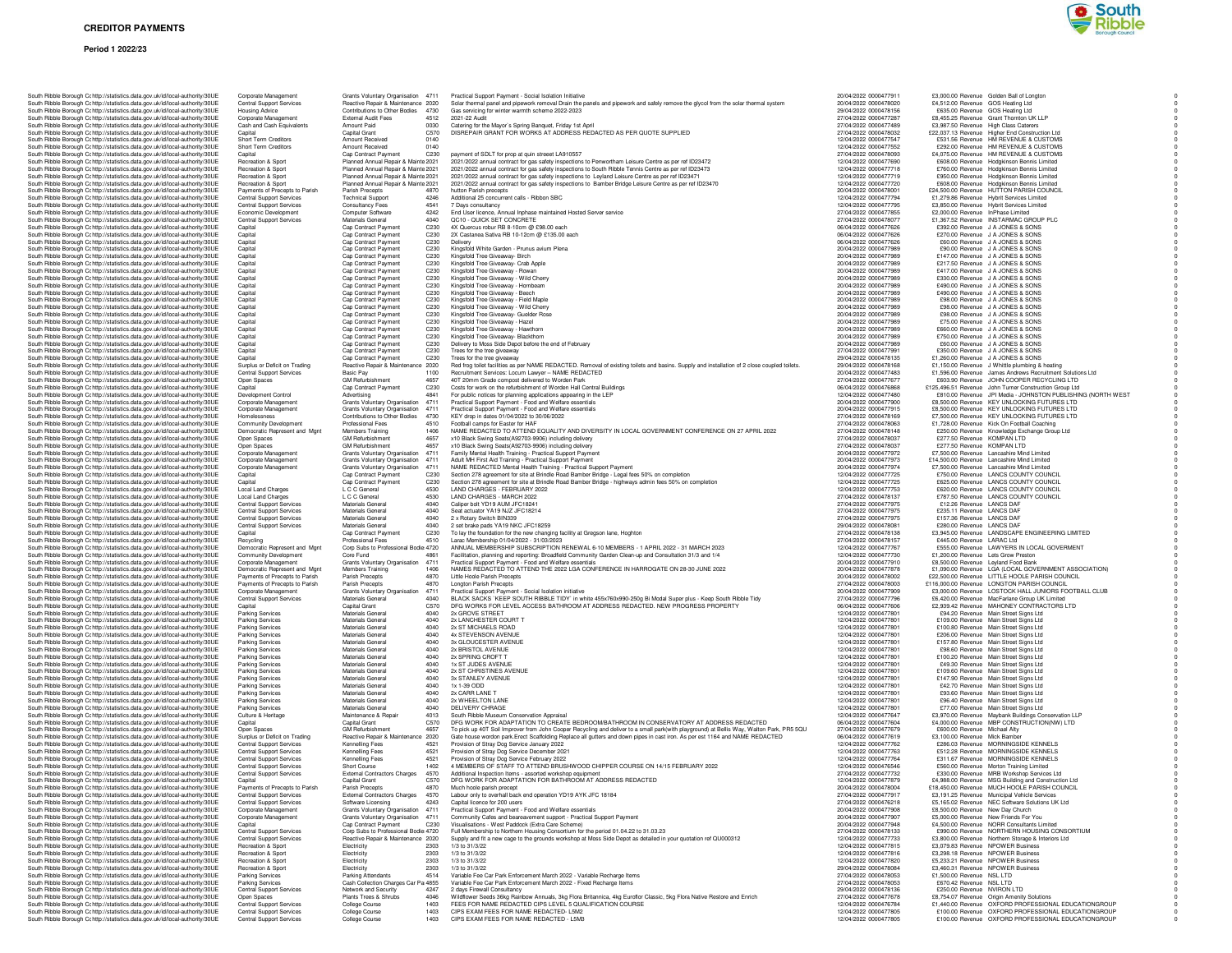#### **Period 1 2022/23**



| South Ribble Borough Cc http://statistics.data.gov.uk/id/local-authority/30UE<br>South Ribble Borough Cc http://statistics.data.gov.uk/id/local-authority/30UE | Corporate Management<br><b>Central Support Services</b>            | Grants Voluntary Organisation 4711<br>Reactive Repair & Maintenance 2020   |                          | Practical Support Payment - Social Isolation Initiative<br>Solar thermal panel and pipework removal Drain the panels and piper              |
|----------------------------------------------------------------------------------------------------------------------------------------------------------------|--------------------------------------------------------------------|----------------------------------------------------------------------------|--------------------------|---------------------------------------------------------------------------------------------------------------------------------------------|
| South Ribble Borough Cc http://statistics.data.gov.uk/id/local-authority/30UE                                                                                  | <b>Housing Advice</b>                                              | Contributions to Other Bodies                                              | 4730                     | Gas servicing for winter warmth scheme 2022-2023                                                                                            |
| South Ribble Borough Cc http://statistics.data.gov.uk/id/local-authority/30UE                                                                                  | Corporate Management                                               | <b>External Audit Fees</b>                                                 | 4512                     | 2021-22 Audit                                                                                                                               |
| South Ribble Borough Cc http://statistics.data.gov.uk/id/local-authority/30UE<br>South Ribble Borough Cc http://statistics.data.gov.uk/id/local-authority/30UE | Cash and Cash Equivalents<br>Capital                               | Amount Paid<br>Capital Grant                                               | 0030<br>C570             | Catering for the Mayor's Spring Banquet, Friday 1st April<br>DISREPAIR GRANT FOR WORKS AT ADDRESS REDACTED AS                               |
| South Ribble Borough Cr http://statistics.data.gov.uk/id/local-authority/30UE                                                                                  | Short Term Creditors                                               | Amount Received                                                            | 0140                     |                                                                                                                                             |
| South Ribble Borough Cr http://statistics.data.gov.uk/id/local-authority/30UE                                                                                  | Short Term Creditors                                               | Amount Received                                                            | 0140                     |                                                                                                                                             |
| South Ribble Borough C: http://statistics.data.gov.uk/id/local-authority/30UE<br>South Ribble Borough Cc http://statistics.data.gov.uk/id/local-authority/30UE | Capital<br>Recreation & Sport                                      | Cap Contract Payment<br>Planned Annual Repair & Mainte 2021                | C230                     | payment of SDLT for prop at quin streeet LA910557<br>2021/2022 annual contract for gas safety inspections to Penwortham                     |
| South Ribble Borough Cc http://statistics.data.gov.uk/id/local-authority/30UE                                                                                  | Recreation & Sport                                                 | Planned Annual Repair & Mainte 2021                                        |                          | 2021/2022 annual contract for gas safety inspections to South Ribble                                                                        |
| South Ribble Borough Cohttp://statistics.data.gov.uk/id/local-authority/30UE<br>South Ribble Borough Cc http://statistics.data.gov.uk/id/local-authority/30UE  | <b>Becreation &amp; Sport</b><br>Recreation & Sport                | Planned Annual Repair & Mainte 2021<br>Planned Annual Repair & Mainte 2021 |                          | 2021/2022 annual contract for gas safety inspections to Leyland Leis<br>2021/2022 annual contract for gas safety inspections to Bamber Bric |
| South Ribble Borough Cc http://statistics.data.gov.uk/id/local-authority/30UE                                                                                  | Payments of Precepts to Parish                                     | Parish Precepts                                                            | 4870                     | hutton Parish precepts                                                                                                                      |
| South Ribble Borough Cc http://statistics.data.gov.uk/id/local-authority/30UE                                                                                  | <b>Central Support Services</b>                                    | <b>Technical Support</b>                                                   | 4246                     | Additional 25 concurrent calls - Ribbon SBC                                                                                                 |
| South Ribble Borough Cr http://statistics.data.gov.uk/id/local-authority/30UE<br>South Ribble Borough Cc http://statistics.data.gov.uk/id/local-authority/30UE | <b>Central Support Services</b><br>Economic Development            | Consultancy Fees<br>Computer Software                                      | 4541<br>4242             | 7 Days consultancy<br>End User licence, Annual Inphase maintained Hosted Server service                                                     |
| South Ribble Borough Cc http://statistics.data.gov.uk/id/local-authority/30UE                                                                                  | Central Support Services                                           | Materials General                                                          | 4040                     | QC10 - QUICK SET CONCRETE                                                                                                                   |
| South Ribble Borough Cc http://statistics.data.gov.uk/id/local-authority/30UE<br>South Ribble Borough Cohttp://statistics.data.gov.uk/id/local-authority/30UE  | Capital                                                            | Cap Contract Payment<br>Cap Contract Payment                               | C230<br>C230             | 4X Quercus robur RB 8-10cm @ £98.00 each<br>2X Castanea Sativa RB 10-12cm @ £135.00 each                                                    |
| South Ribble Borough Cc http://statistics.data.gov.uk/id/local-authority/30UE                                                                                  | Capital<br>Capital                                                 | Cap Contract Payment                                                       | C230                     | Delivery                                                                                                                                    |
| South Ribble Borough Cc http://statistics.data.gov.uk/id/local-authority/30UE                                                                                  | Capital                                                            | Cap Contract Payment                                                       | C230                     | Kingsfold White Garden - Prunus avium Plena                                                                                                 |
| South Ribble Borough Cc http://statistics.data.gov.uk/id/local-authority/30UE<br>South Ribble Borough Cr http://statistics.data.gov.uk/id/local-authority/30UE | Capital<br>Capital                                                 | Cap Contract Payment<br>Cap Contract Payment                               | C230<br>C230             | Kingsfold Tree Giveaway- Birch<br>Kingsfold Tree Giveaway- Crab Apple                                                                       |
| South Ribble Borough Cr http://statistics.data.gov.uk/id/local-authority/30UE                                                                                  | Capital                                                            | Cap Contract Payment                                                       | C230                     | Kingsfold Tree Giveaway - Rowan                                                                                                             |
| South Ribble Borough Cc http://statistics.data.gov.uk/id/local-authority/30UE<br>South Ribble Borough Cc http://statistics.data.gov.uk/id/local-authority/30UE | Capital<br>Capital                                                 | Cap Contract Payment<br>Cap Contract Payment                               | C230<br>C230             | Kingsfold Tree Giveaway - Wild Cherry<br>Kingsfold Tree Giveaway - Hombeam                                                                  |
| South Ribble Borough Cc http://statistics.data.gov.uk/id/local-authority/30UE                                                                                  | Capital                                                            | Cap Contract Payment                                                       | C230                     | Kingsfold Tree Giveaway - Beech                                                                                                             |
| South Ribble Borough Cc http://statistics.data.gov.uk/id/local-authority/30UE                                                                                  | Capital                                                            | Cap Contract Payment                                                       | C230                     | Kingsfold Tree Giveaway - Field Maple                                                                                                       |
| South Ribble Borough Cc http://statistics.data.gov.uk/id/local-authority/30UE<br>South Ribble Borough Cc http://statistics.data.gov.uk/id/local-authority/30UE | Capital<br>Capital                                                 | Cap Contract Payment<br>Cap Contract Payment                               | C230<br>C <sub>230</sub> | Kingsfold Tree Giveaway - Wild Cherry<br>Kingsfold Tree Giveaway- Guelder Rose                                                              |
| South Ribble Borough Cr http://statistics.data.gov.uk/id/local-authority/30UE                                                                                  | Capital                                                            | Cap Contract Payment                                                       | C230                     | Kingsfold Tree Giveaway - Hazel                                                                                                             |
| South Ribble Borough Cr http://statistics.data.gov.uk/id/local-authority/30UE<br>South Ribble Borough C: http://statistics.data.gov.uk/id/local-authority/30UE | Capital                                                            | Cap Contract Payment<br>Cap Contract Payment                               | C230<br>C230             | Kingsfold Tree Giveaway - Hawthorn<br>Kingsfold Tree Giveaway- Blackthorn                                                                   |
| South Ribble Borough Cc http://statistics.data.gov.uk/id/local-authority/30UE                                                                                  | Capital<br>Capital                                                 | Cap Contract Payment                                                       | C230                     | Delivery to Moss Side Depot before the end of February                                                                                      |
| South Ribble Borough Cc http://statistics.data.gov.uk/id/local-authority/30UE                                                                                  | Capital                                                            | Cap Contract Payment                                                       | C230                     | Trees for the tree giveaway                                                                                                                 |
| South Ribble Borough Cc http://statistics.data.gov.uk/id/local-authority/30UE<br>South Ribble Borough Cc http://statistics.data.gov.uk/id/local-authority/30UE | Capital<br>Surplus or Deficit on Trading                           | Cap Contract Payment<br>Reactive Repair & Maintenance 2020                 | C230                     | Trees for the tree giveaway<br>Red frog toilet facilities as per NAME REDACTED. Removal of existir                                          |
| South Ribble Borough Cc http://statistics.data.gov.uk/id/local-authority/30UE                                                                                  | <b>Central Support Services</b>                                    | <b>Basic Pay</b>                                                           | 1100                     | Recruitment Services: Locum Lawyer - NAME REDACTED                                                                                          |
| South Ribble Borough Cc http://statistics.data.gov.uk/id/local-authority/30UE<br>South Ribble Borough Cr http://statistics.data.gov.uk/id/local-authority/30UE | Open Spaces                                                        | <b>GM Refurbishment</b>                                                    | 4657                     | 40T 20mm Grade compost delivered to Worden Park                                                                                             |
| South Ribble Borough C: http://statistics.data.gov.uk/id/local-authority/30UE                                                                                  | Capital<br>Development Control                                     | Cap Contract Payment<br>Advertising                                        | C230<br>4841             | Costs for work on the refurbishment of Worden Hall Central Buildings<br>For public notices for planning applications appearing in the LEP   |
| South Ribble Borough Cc http://statistics.data.gov.uk/id/local-authority/30UE                                                                                  | Corporate Management                                               | Grants Voluntary Organisation                                              | 4711                     | Practical Support Payment - Food and Welfare essentials                                                                                     |
| South Ribble Borough Cc http://statistics.data.gov.uk/id/local-authority/30UE<br>South Ribble Borough Cohttp://statistics.data.gov.uk/id/local-authority/30UE  | Corporate Management<br>Homelessness                               | Grants Voluntary Organisation<br>Contributions to Other Bodies             | 4711<br>4730             | Practical Support Payment - Food and Welfare essentials<br>KEY drop in dates 01/04/2022 to 30/06/2022                                       |
| South Ribble Borough Cc http://statistics.data.gov.uk/id/local-authority/30UE                                                                                  | Community Development                                              | <b>Professional Fees</b>                                                   | 4510                     | Football camps for Easter for HAF                                                                                                           |
| South Ribble Borough Cc http://statistics.data.gov.uk/id/local-authority/30UE<br>South Ribble Borough Cc http://statistics.data.gov.uk/id/local-authority/30UE | Democratic Represent and Mgnt                                      | Members Training                                                           | 1406<br>4657             | NAME REDACTED TO ATTEND EQUALITY AND DIVERSITY IN L                                                                                         |
| South Ribble Borough C: http://statistics.data.gov.uk/id/local-authority/30UE                                                                                  | Open Spaces<br>Open Spaces                                         | <b>GM Refurbishment</b><br><b>GM Refurbishment</b>                         | 4657                     | x10 Black Swing Seats(A92703-9906) including delivery<br>x10 Black Swing Seats(A92703-9906) including delivery                              |
| South Ribble Borough Cr http://statistics.data.gov.uk/id/local-authority/30UE                                                                                  | Corporate Management                                               | Grants Voluntary Organisation                                              | 4711                     | Family Mental Health Training - Practical Support Payment                                                                                   |
| South Ribble Borough Cc http://statistics.data.gov.uk/id/local-authority/30UE<br>South Ribble Borough Cr http://statistics.data.gov.uk/id/local-authority/30UE | Corporate Management<br>Corporate Management                       | <b>Grants Voluntary Organisation</b><br>Grants Voluntary Organisation      | 4711<br>4711             | Adult MH First Aid Training - Practical Support Payment<br>NAME REDACTED Mental Health Training - Practical Support Paym                    |
| South Ribble Borough Cc http://statistics.data.gov.uk/id/local-authority/30UE                                                                                  | Capital                                                            | Cap Contract Payment                                                       | C230                     | Section 278 agreement for site at Brindle Road Bamber Bridge - Legs<br>Section 278 agreement for site at Brindle Road Bamber Bridge - high  |
| South Ribble Borough Cc http://statistics.data.gov.uk/id/local-authority/30UE                                                                                  | Capital                                                            | Cap Contract Payment                                                       | C230<br>4530             |                                                                                                                                             |
| South Ribble Borough Cc http://statistics.data.gov.uk/id/local-authority/30UE<br>South Ribble Borough Cc http://statistics.data.gov.uk/id/local-authority/30UE | Local Land Charges<br>Local Land Charges                           | L C C General<br>L C C General                                             | 4530                     | LAND CHARGES - FEBRUARY 2022<br>LAND CHARGES - MARCH 2022                                                                                   |
| South Ribble Borough C: http://statistics.data.gov.uk/id/local-authority/30UE                                                                                  | Central Support Services                                           | Materials General                                                          | 4040                     | Caliper bolt YD19 AUM JFC18241                                                                                                              |
| South Ribble Borough Cr http://statistics.data.gov.uk/id/local-authority/30UE<br>South Ribble Borough Cr http://statistics.data.gov.uk/id/local-authority/30UE | <b>Central Support Services</b><br><b>Central Support Services</b> | Materials General<br>Materials General                                     | 4040<br>4040             | Seat actuator YA19 NJZ JFC18214<br>2 x Rotary Switch BIN339                                                                                 |
| South Ribble Borough Cc http://statistics.data.gov.uk/id/local-authority/30UE                                                                                  | Central Support Services                                           | Materials General                                                          | 4040                     | 2 set brake pads YA19 NKC JFC18259                                                                                                          |
| South Ribble Borough Cc http://statistics.data.gov.uk/id/local-authority/30UE<br>South Ribble Borough Cc http://statistics.data.gov.uk/id/local-authority/30UE | Capital<br>Recycling                                               | Cap Contract Payment<br>Professional Fees                                  | C230<br>4510             | To lay the foundation for the new changing facility at Gregson lane, H<br>Larac Membership 01/04/2022 - 31/03/2023                          |
| South Ribble Borough Cc http://statistics.data.gov.uk/id/local-authority/30UE                                                                                  | Democratic Represent and Mgnt                                      | Corp Subs to Professional Bodie 4720                                       |                          | ANNUAL MEMBERSHIP SUBSCRIPTION RENEWAL 6-10 MEMBE                                                                                           |
| South Ribble Borough Cc http://statistics.data.gov.uk/id/local-authority/30UE                                                                                  | Community Development                                              | Core Fund                                                                  | 4861                     | Facilitation, planning and reporting: Broadfield Community Garden C                                                                         |
| South Ribble Borough Cc http://statistics.data.gov.uk/id/local-authority/30UE<br>South Ribble Borough C: http://statistics.data.gov.uk/id/local-authority/30UE | Corporate Management<br>Democratic Represent and Mgnt              | Grants Voluntary Organisation<br>Members Training                          | 4711<br>1406             | Practical Support Payment - Food and Welfare essentials<br>NAMES REDACTED TO ATTEND THE 2022 LGA CONFERENCE                                 |
| South Ribble Borough Cc http://statistics.data.gov.uk/id/local-authority/30UE                                                                                  | Payments of Precepts to Parish                                     | Parish Precepts                                                            | 4870                     | Little Hoole Parish Precepts                                                                                                                |
| South Ribble Borough Cc http://statistics.data.gov.uk/id/local-authority/30UE<br>South Ribble Borough Cc http://statistics.data.gov.uk/id/local-authority/30UE | Payments of Precepts to Parish<br>Corporate Management             | Parish Precepts<br>Grants Voluntary Organisation                           | 4870<br>4711             | Longton Parish Precepts<br>Practical Support Payment - Social Isolation initiative                                                          |
| South Ribble Borough Cohttp://statistics.data.gov.uk/id/local-authority/30UE                                                                                   | <b>Central Support Services</b>                                    | Materials General                                                          | 4040                     | BLACK SACKS 'KEEP SOUTH RIBBLE TIDY' in white 455x760x99                                                                                    |
| South Ribble Borough Cc http://statistics.data.gov.uk/id/local-authority/30UE                                                                                  | Capital                                                            | Capital Grant                                                              | C570                     | DFG WORKS FOR LEVEL ACCESS BATHROOM AT ADDRESS F                                                                                            |
| South Ribble Borough Cc http://statistics.data.gov.uk/id/local-authority/30UE<br>South Ribble Borough Cc http://statistics.data.gov.uk/id/local-authority/30UE | Parking Services<br>Parking Services                               | Materials General<br>Materials General                                     | 4040<br>4040             | 2x GROVE STREET<br>2x LANCHESTER COURT T                                                                                                    |
| South Ribble Borough C: http://statistics.data.gov.uk/id/local-authority/30UE                                                                                  | <b>Parking Services</b>                                            | Materials Genera                                                           | 4040                     | 2x ST MICHAELS ROAD                                                                                                                         |
| South Ribble Borough Cr http://statistics.data.gov.uk/id/local-authority/30UE<br>South Ribble Borough Cc http://statistics.data.gov.uk/id/local-authority/30UE | Parking Services<br>Parking Services                               | Materials Genera<br>Materials General                                      | 4040<br>4040             | 4x STEVENSON AVENUE<br>3x GLOUCESTER AVENUE                                                                                                 |
| South Ribble Borough Cc http://statistics.data.gov.uk/id/local-authority/30UE                                                                                  | <b>Parking Services</b>                                            | Materials General                                                          | 4040                     | 2x BRISTOL AVENUE                                                                                                                           |
| South Ribble Borough Cc http://statistics.data.gov.uk/id/local-authority/30UE                                                                                  | <b>Parking Services</b>                                            | Materials General                                                          | 4040                     | 2x SPRING CROFT T                                                                                                                           |
| South Ribble Borough Cc http://statistics.data.gov.uk/id/local-authority/30UE<br>South Ribble Borough Cc http://statistics.data.gov.uk/id/local-authority/30UE | Parking Services<br>Parking Services                               | Materials General<br>Materials General                                     | 4040<br>4040             | 1x ST JUDES AVENUE<br>2x ST CHRISTINES AVENUE                                                                                               |
| South Ribble Borough Cc http://statistics.data.gov.uk/id/local-authority/30UE                                                                                  | Parking Services                                                   | Materials General                                                          | 4040                     | 3x STANLEY AVENUE                                                                                                                           |
| South Ribble Borough Cr http://statistics.data.gov.uk/id/local-authority/30UE<br>South Ribble Borough C: http://statistics.data.gov.uk/id/local-authority/30UE | Parking Services<br>Parking Services                               | Materials General<br>Materials Genera                                      | 4040<br>4040             | 1x 1-39 ODD<br>2x CARR LANE T                                                                                                               |
| South Ribble Borough C: http://statistics.data.gov.uk/id/local-authority/30UE                                                                                  | Parking Services                                                   | Materials Genera                                                           | 4040                     | 2x WHEELTON LANE                                                                                                                            |
| South Ribble Borough Cc http://statistics.data.gov.uk/id/local-authority/30UE                                                                                  | <b>Parking Services</b>                                            | Materials General                                                          | 4040                     | DELIVERY CHRAGE                                                                                                                             |
| South Ribble Borough Cc http://statistics.data.gov.uk/id/local-authority/30UE<br>South Ribble Borough Cc http://statistics.data.gov.uk/id/local-authority/30UE | Culture & Heritage<br>Capital                                      | Maintenance & Repair<br><b>Capital Grant</b>                               | 4013<br>C570             | South Ribble Museum Conservation Appraisal<br>DFG WORK FOR ADAPTATION TO CREATE BEDROOM/BATHR                                               |
| South Ribble Borough Cc http://statistics.data.gov.uk/id/local-authority/30UE                                                                                  | Open Spaces                                                        | <b>GM Refurbishment</b>                                                    | 4657                     | To pick up 40T Soil Improver from John Cooper Recycling and delive                                                                          |
| South Ribble Borough Cc http://statistics.data.gov.uk/id/local-authority/30UE                                                                                  | Surplus or Deficit on Trading                                      | Reactive Repair & Maintenance 2020                                         | 4521                     | Gate house wordon park.Erect Scaffolding Replace all gutters and do                                                                         |
| South Ribble Borough Cc http://statistics.data.gov.uk/id/local-authority/30UE<br>South Ribble Borough Cr http://statistics.data.gov.uk/id/local-authority/30UE | <b>Central Support Services</b><br>Central Support Services        | Kennelling Fees<br>Kennelling Fees                                         | 4521                     | Provision of Stray Dog Service January 2022<br>Provision of Stray Dog Service December 2021                                                 |
| South Ribble Borough C: http://statistics.data.gov.uk/id/local-authority/30UE                                                                                  | Central Support Services                                           | Kennelling Fees                                                            | 4521                     | Provision of Stray Dog Service February 2022                                                                                                |
| South Ribble Borough Cc http://statistics.data.gov.uk/id/local-authority/30UE<br>South Ribble Borough Cc http://statistics.data.gov.uk/id/local-authority/30UE | <b>Central Support Services</b><br>Central Support Services        | Short Course<br><b>External Contractors Charges</b>                        | 1402<br>4570             | 4 MEMBERS OF STAFF TO ATTEND BRUSHWOOD CHIPPER C<br>Additional Inspection Items - assorted workshop equipment                               |
| South Bibble Borough Cr http://statistics.data.gov.uk/id/local-authority/30UE                                                                                  | `anital                                                            | Canital Grant                                                              | C570                     | DEG WORK FOR ADAPTATION FOR BATHROOM AT ADD                                                                                                 |
| South Ribble Borough C: http://statistics.data.gov.uk/id/local-authority/30UE                                                                                  | Payments of Precepts to Parish                                     | Parish Precepts                                                            | 4870                     | Much hoole parish precept                                                                                                                   |
| South Ribble Borough Cc http://statistics.data.gov.uk/id/local-authority/30UE<br>South Ribble Borough Cc http://statistics.data.gov.uk/id/local-authority/30UE | <b>Central Support Services</b><br><b>Central Support Services</b> | <b>External Contractors Charges</b><br>Software Licensing                  | 4570<br>4243             | Labour only to overhall back end operation YD19 AYK JFC 18184<br>Capital licence for 200 users                                              |
| South Ribble Borough Cr http://statistics.data.gov.uk/id/local-authority/30UE                                                                                  | Corporate Management                                               | Grants Voluntary Organisation                                              | 4711                     | Practical Support Payment - Food and Welfare essentials                                                                                     |
| South Ribble Borough Cr http://statistics.data.gov.uk/id/local-authority/30UE<br>South Ribble Borough Cc http://statistics.data.gov.uk/id/local-authority/30UE | Corporate Management<br>Capital                                    | Grants Voluntary Organisation<br>Cap Contract Payment                      | 4711<br>C230             | Community Cafes and beareavement support - Practical Support Pay<br>Visualisations - West Paddock (Extra Care Scheme)                       |
| South Ribble Borough Cc http://statistics.data.gov.uk/id/local-authority/30UE                                                                                  | <b>Central Support Services</b>                                    | Corp Subs to Professional Bodie 4720                                       |                          | Full Membership to Northern Housing Consortium for the period 01.0                                                                          |
| South Ribble Borough Cc http://statistics.data.gov.uk/id/local-authority/30UE                                                                                  | <b>Central Support Services</b><br>Recreation & Sport              | Reactive Repair & Maintenance 2020                                         |                          | Supply and fit a new cage to the grounds workshop at Moss Side Dep                                                                          |
| South Ribble Borough Cr http://statistics.data.gov.uk/id/local-authority/30UE<br>South Ribble Borough Cc http://statistics.data.gov.uk/id/local-authority/30UE | Recreation & Sport                                                 | Electricity<br>Electricity                                                 | 2303<br>2303             | 1/3 to 31/3/22<br>1/3 to 31/3/22                                                                                                            |
| South Ribble Borough Cc http://statistics.data.gov.uk/id/local-authority/30UE                                                                                  | Recreation & Sport                                                 | Electricity                                                                | 2303                     | 1/3 to 31/3/22                                                                                                                              |
| South Ribble Borough Cr http://statistics.data.gov.uk/id/local-authority/30UE<br>South Ribble Borough Cr http://statistics.data.gov.uk/id/local-authority/30UE | Recreation & Sport<br><b>Parking Services</b>                      | Electricity<br>Parking Attendants                                          | 2303<br>4514             | 1/3 to 31/3/22<br>Variable Fee Car Park Enforcement March 2022 - Variable Recharge                                                          |
| South Ribble Borough C: http://statistics.data.gov.uk/id/local-authority/30UE                                                                                  | Parking Services                                                   | Cash Collection Charges Car Pa 4855                                        |                          | Variable Fee Car Park Enforcement March 2022 - Fixed Recharge Ite                                                                           |
| South Ribble Borough Cc http://statistics.data.gov.uk/id/local-authority/30UE<br>South Ribble Borough Cc http://statistics.data.gov.uk/id/local-authority/30UE | <b>Central Support Services</b><br>Open Spaces                     | Network and Security<br>Plants Trees & Shrubs                              | 4247<br>4046             | 2 days Firewall Consultancy<br>Wildflower Seeds 36kg Rainbow Annuals, 3kg Flora Britannica, 4kg I                                           |
| South Ribble Borough Cc http://statistics.data.gov.uk/id/local-authority/30UE                                                                                  | <b>Central Support Services</b>                                    | College Course                                                             | 1403                     | FEES FOR NAME REDACTED CIPS LEVEL 5 QUALIFICATION O                                                                                         |
| South Ribble Borough Cc http://statistics.data.gov.uk/id/local-authority/30UE                                                                                  | <b>Central Support Services</b>                                    | <b>College Course</b>                                                      | 1403                     | CIPS EXAM FEES FOR NAME REDACTED- L5M2                                                                                                      |

| South Ribble Borough Cc http://statistics.data.gov.uk/id/local-authority/30UE                                                                                                                                                                                                                                                                                                                                                                                                                                                                                                                                                                                                                                                                                                                                                                                                                                                                                                                                                                                                                                                                                                                                                                                                                                                                                                                                                                                                                                                                                                                                                                                                                                                                                                                                                                                                                                                                                                                                                                                                                                                                                                                                                                                                                                                                                                                                                                                                                                                                                                                                                                                                                                                                                                                                                                                                                                                                                                                                                                                                                                                                                                                                                                                                                                                                                                                                                                                                                                                                                                                                                                                                                                                                                                                                                                                                                                                                                                                                                                                                                                                                                                                                                                                                                                                                                                  | Central Support Services                                           | Reactive Repair & Maintenance 2020                                       | Solar thermal panel and pipework removal Drain the panels and pipework and safely remove the glycol from the solar thermal system                                                                                                  | 20/04/2022 0000478020                          | £4,512.00 Revenue GOS Heating Ltd                                                                          |
|--------------------------------------------------------------------------------------------------------------------------------------------------------------------------------------------------------------------------------------------------------------------------------------------------------------------------------------------------------------------------------------------------------------------------------------------------------------------------------------------------------------------------------------------------------------------------------------------------------------------------------------------------------------------------------------------------------------------------------------------------------------------------------------------------------------------------------------------------------------------------------------------------------------------------------------------------------------------------------------------------------------------------------------------------------------------------------------------------------------------------------------------------------------------------------------------------------------------------------------------------------------------------------------------------------------------------------------------------------------------------------------------------------------------------------------------------------------------------------------------------------------------------------------------------------------------------------------------------------------------------------------------------------------------------------------------------------------------------------------------------------------------------------------------------------------------------------------------------------------------------------------------------------------------------------------------------------------------------------------------------------------------------------------------------------------------------------------------------------------------------------------------------------------------------------------------------------------------------------------------------------------------------------------------------------------------------------------------------------------------------------------------------------------------------------------------------------------------------------------------------------------------------------------------------------------------------------------------------------------------------------------------------------------------------------------------------------------------------------------------------------------------------------------------------------------------------------------------------------------------------------------------------------------------------------------------------------------------------------------------------------------------------------------------------------------------------------------------------------------------------------------------------------------------------------------------------------------------------------------------------------------------------------------------------------------------------------------------------------------------------------------------------------------------------------------------------------------------------------------------------------------------------------------------------------------------------------------------------------------------------------------------------------------------------------------------------------------------------------------------------------------------------------------------------------------------------------------------------------------------------------------------------------------------------------------------------------------------------------------------------------------------------------------------------------------------------------------------------------------------------------------------------------------------------------------------------------------------------------------------------------------------------------------------------------------------------------------------------------------------------------|--------------------------------------------------------------------|--------------------------------------------------------------------------|------------------------------------------------------------------------------------------------------------------------------------------------------------------------------------------------------------------------------------|------------------------------------------------|------------------------------------------------------------------------------------------------------------|
| South Ribble Borough Cc http://statistics.data.gov.uk/id/local-authority/30UE<br>South Ribble Borough Cc http://statistics.data.gov.uk/id/local-authority/30UE                                                                                                                                                                                                                                                                                                                                                                                                                                                                                                                                                                                                                                                                                                                                                                                                                                                                                                                                                                                                                                                                                                                                                                                                                                                                                                                                                                                                                                                                                                                                                                                                                                                                                                                                                                                                                                                                                                                                                                                                                                                                                                                                                                                                                                                                                                                                                                                                                                                                                                                                                                                                                                                                                                                                                                                                                                                                                                                                                                                                                                                                                                                                                                                                                                                                                                                                                                                                                                                                                                                                                                                                                                                                                                                                                                                                                                                                                                                                                                                                                                                                                                                                                                                                                 | <b>Housing Advice</b><br>Corporate Management                      | Contributions to Other Bodies 4730<br>External Audit Fees<br>4512        | Gas servicing for winter warmth scheme 2022-2023<br>2021-22 Audit                                                                                                                                                                  | 29/04/2022 0000478156<br>27/04/2022 0000477287 | £635.00 Revenue GOS Heating Ltd<br>£8,455.25 Revenue Grant Thornton UK LLP                                 |
| South Ribble Borough Cohttp://statistics.data.gov.uk/id/local-authority/30UE                                                                                                                                                                                                                                                                                                                                                                                                                                                                                                                                                                                                                                                                                                                                                                                                                                                                                                                                                                                                                                                                                                                                                                                                                                                                                                                                                                                                                                                                                                                                                                                                                                                                                                                                                                                                                                                                                                                                                                                                                                                                                                                                                                                                                                                                                                                                                                                                                                                                                                                                                                                                                                                                                                                                                                                                                                                                                                                                                                                                                                                                                                                                                                                                                                                                                                                                                                                                                                                                                                                                                                                                                                                                                                                                                                                                                                                                                                                                                                                                                                                                                                                                                                                                                                                                                                   | Cash and Cash Equivalents                                          | Amount Paid<br>0030                                                      |                                                                                                                                                                                                                                    | 27/04/2022 0000477489                          | £3,987.50 Revenue High Class Caterers                                                                      |
| South Ribble Borough Cc http://statistics.data.gov.uk/id/local-authority/30UE                                                                                                                                                                                                                                                                                                                                                                                                                                                                                                                                                                                                                                                                                                                                                                                                                                                                                                                                                                                                                                                                                                                                                                                                                                                                                                                                                                                                                                                                                                                                                                                                                                                                                                                                                                                                                                                                                                                                                                                                                                                                                                                                                                                                                                                                                                                                                                                                                                                                                                                                                                                                                                                                                                                                                                                                                                                                                                                                                                                                                                                                                                                                                                                                                                                                                                                                                                                                                                                                                                                                                                                                                                                                                                                                                                                                                                                                                                                                                                                                                                                                                                                                                                                                                                                                                                  | Capital                                                            | Capital Grant<br>C570                                                    | Catering for the Mayor's Spring Banquet, Friday 1st April<br>DISREPAIR GRANT FOR WORKS AT ADDRESS REDACTED AS PER QUOTE SUPPLIED                                                                                                   | 27/04/2022 0000478032                          | £22,037.13 Revenue Higher End Construction Ltd                                                             |
| South Ribble Borough Cc http://statistics.data.gov.uk/id/local-authority/30UE                                                                                                                                                                                                                                                                                                                                                                                                                                                                                                                                                                                                                                                                                                                                                                                                                                                                                                                                                                                                                                                                                                                                                                                                                                                                                                                                                                                                                                                                                                                                                                                                                                                                                                                                                                                                                                                                                                                                                                                                                                                                                                                                                                                                                                                                                                                                                                                                                                                                                                                                                                                                                                                                                                                                                                                                                                                                                                                                                                                                                                                                                                                                                                                                                                                                                                                                                                                                                                                                                                                                                                                                                                                                                                                                                                                                                                                                                                                                                                                                                                                                                                                                                                                                                                                                                                  | Short Term Creditors                                               | Amount Received<br>0140                                                  |                                                                                                                                                                                                                                    | 12/04/2022 0000477547                          | £531.56 Revenue HM REVENUE & CUSTOMS                                                                       |
| South Ribble Borough Cc http://statistics.data.gov.uk/id/local-authority/30UE                                                                                                                                                                                                                                                                                                                                                                                                                                                                                                                                                                                                                                                                                                                                                                                                                                                                                                                                                                                                                                                                                                                                                                                                                                                                                                                                                                                                                                                                                                                                                                                                                                                                                                                                                                                                                                                                                                                                                                                                                                                                                                                                                                                                                                                                                                                                                                                                                                                                                                                                                                                                                                                                                                                                                                                                                                                                                                                                                                                                                                                                                                                                                                                                                                                                                                                                                                                                                                                                                                                                                                                                                                                                                                                                                                                                                                                                                                                                                                                                                                                                                                                                                                                                                                                                                                  | Short Term Creditors                                               | Amount Received<br>0140                                                  |                                                                                                                                                                                                                                    | 12/04/2022 0000477552                          | £292.00 Revenue HM REVENUE & CUSTOMS                                                                       |
| South Ribble Borough Cc http://statistics.data.gov.uk/id/local-authority/30UE                                                                                                                                                                                                                                                                                                                                                                                                                                                                                                                                                                                                                                                                                                                                                                                                                                                                                                                                                                                                                                                                                                                                                                                                                                                                                                                                                                                                                                                                                                                                                                                                                                                                                                                                                                                                                                                                                                                                                                                                                                                                                                                                                                                                                                                                                                                                                                                                                                                                                                                                                                                                                                                                                                                                                                                                                                                                                                                                                                                                                                                                                                                                                                                                                                                                                                                                                                                                                                                                                                                                                                                                                                                                                                                                                                                                                                                                                                                                                                                                                                                                                                                                                                                                                                                                                                  | Capital                                                            | Cap Contract Payment<br>C230                                             | payment of SDLT for prop at quin streeet LA910557                                                                                                                                                                                  | 27/04/2022 0000478093                          | £4,075.00 Revenue HM REVENUE & CUSTOMS                                                                     |
| South Ribble Borough Cr http://statistics.data.gov.uk/id/local-authority/30UE                                                                                                                                                                                                                                                                                                                                                                                                                                                                                                                                                                                                                                                                                                                                                                                                                                                                                                                                                                                                                                                                                                                                                                                                                                                                                                                                                                                                                                                                                                                                                                                                                                                                                                                                                                                                                                                                                                                                                                                                                                                                                                                                                                                                                                                                                                                                                                                                                                                                                                                                                                                                                                                                                                                                                                                                                                                                                                                                                                                                                                                                                                                                                                                                                                                                                                                                                                                                                                                                                                                                                                                                                                                                                                                                                                                                                                                                                                                                                                                                                                                                                                                                                                                                                                                                                                  | Recreation & Sport                                                 | Planned Annual Repair & Mainte 2021                                      | 2021/2022 annual contract for gas safety inspections to Penwortham Leisure Centre as per ref ID23472                                                                                                                               | 12/04/2022 0000477690                          | £608.00 Revenue Hodgkinson Bennis Limited                                                                  |
| South Ribble Borough C: http://statistics.data.gov.uk/id/local-authority/30UE                                                                                                                                                                                                                                                                                                                                                                                                                                                                                                                                                                                                                                                                                                                                                                                                                                                                                                                                                                                                                                                                                                                                                                                                                                                                                                                                                                                                                                                                                                                                                                                                                                                                                                                                                                                                                                                                                                                                                                                                                                                                                                                                                                                                                                                                                                                                                                                                                                                                                                                                                                                                                                                                                                                                                                                                                                                                                                                                                                                                                                                                                                                                                                                                                                                                                                                                                                                                                                                                                                                                                                                                                                                                                                                                                                                                                                                                                                                                                                                                                                                                                                                                                                                                                                                                                                  | Recreation & Sport                                                 | Planned Annual Repair & Mainte 2021                                      | 2021/2022 annual contract for gas safety inspections to South Ribble Tennis Centre as per ref ID23473                                                                                                                              | 12/04/2022 0000477718                          | £760.00 Revenue Hodgkinson Bennis Limited                                                                  |
| South Ribble Borough Cc http://statistics.data.gov.uk/id/local-authority/30UE                                                                                                                                                                                                                                                                                                                                                                                                                                                                                                                                                                                                                                                                                                                                                                                                                                                                                                                                                                                                                                                                                                                                                                                                                                                                                                                                                                                                                                                                                                                                                                                                                                                                                                                                                                                                                                                                                                                                                                                                                                                                                                                                                                                                                                                                                                                                                                                                                                                                                                                                                                                                                                                                                                                                                                                                                                                                                                                                                                                                                                                                                                                                                                                                                                                                                                                                                                                                                                                                                                                                                                                                                                                                                                                                                                                                                                                                                                                                                                                                                                                                                                                                                                                                                                                                                                  | Recreation & Sport                                                 | Planned Annual Repair & Mainte 2021                                      | 2021/2022 annual contract for gas safety inspections to Leyland Leisure Centre as per ref ID23471                                                                                                                                  | 12/04/2022 0000477719                          | £950.00 Revenue Hodgkinson Bennis Limited                                                                  |
| South Ribble Borough Cc http://statistics.data.gov.uk/id/local-authority/30UE                                                                                                                                                                                                                                                                                                                                                                                                                                                                                                                                                                                                                                                                                                                                                                                                                                                                                                                                                                                                                                                                                                                                                                                                                                                                                                                                                                                                                                                                                                                                                                                                                                                                                                                                                                                                                                                                                                                                                                                                                                                                                                                                                                                                                                                                                                                                                                                                                                                                                                                                                                                                                                                                                                                                                                                                                                                                                                                                                                                                                                                                                                                                                                                                                                                                                                                                                                                                                                                                                                                                                                                                                                                                                                                                                                                                                                                                                                                                                                                                                                                                                                                                                                                                                                                                                                  | Recreation & Sport                                                 | Planned Annual Repair & Mainte 2021                                      | 2021/2022 annual contract for gas safety inspections to Bamber Bridge Leisure Centre as per ref ID23470                                                                                                                            | 12/04/2022 0000477720                          | £608.00 Revenue Hodgkinson Bennis Limited                                                                  |
| South Ribble Borough Cc http://statistics.data.gov.uk/id/local-authority/30UE                                                                                                                                                                                                                                                                                                                                                                                                                                                                                                                                                                                                                                                                                                                                                                                                                                                                                                                                                                                                                                                                                                                                                                                                                                                                                                                                                                                                                                                                                                                                                                                                                                                                                                                                                                                                                                                                                                                                                                                                                                                                                                                                                                                                                                                                                                                                                                                                                                                                                                                                                                                                                                                                                                                                                                                                                                                                                                                                                                                                                                                                                                                                                                                                                                                                                                                                                                                                                                                                                                                                                                                                                                                                                                                                                                                                                                                                                                                                                                                                                                                                                                                                                                                                                                                                                                  | Payments of Precepts to Parish<br><b>Central Support Services</b>  | Parish Precepts<br>4870<br><b>Technical Support</b><br>4246              | hutton Parish precepts<br>Additional 25 concurrent calls - Ribbon SBC                                                                                                                                                              | 20/04/2022 0000478001<br>12/04/2022 0000477794 | £24,500.00 Revenue HUTTON PARISH COUNCIL<br>£1.279.86 Revenue Hybrit Services Limited                      |
| South Ribble Borough Cc http://statistics.data.gov.uk/id/local-authority/30UE                                                                                                                                                                                                                                                                                                                                                                                                                                                                                                                                                                                                                                                                                                                                                                                                                                                                                                                                                                                                                                                                                                                                                                                                                                                                                                                                                                                                                                                                                                                                                                                                                                                                                                                                                                                                                                                                                                                                                                                                                                                                                                                                                                                                                                                                                                                                                                                                                                                                                                                                                                                                                                                                                                                                                                                                                                                                                                                                                                                                                                                                                                                                                                                                                                                                                                                                                                                                                                                                                                                                                                                                                                                                                                                                                                                                                                                                                                                                                                                                                                                                                                                                                                                                                                                                                                  |                                                                    | 4541                                                                     |                                                                                                                                                                                                                                    | 12/04/2022 0000477795                          | £3,850.00 Revenue Hybrit Services Limited                                                                  |
| South Ribble Borough Cc http://statistics.data.gov.uk/id/local-authority/30UE<br>South Ribble Borough Cc http://statistics.data.gov.uk/id/local-authority/30UE                                                                                                                                                                                                                                                                                                                                                                                                                                                                                                                                                                                                                                                                                                                                                                                                                                                                                                                                                                                                                                                                                                                                                                                                                                                                                                                                                                                                                                                                                                                                                                                                                                                                                                                                                                                                                                                                                                                                                                                                                                                                                                                                                                                                                                                                                                                                                                                                                                                                                                                                                                                                                                                                                                                                                                                                                                                                                                                                                                                                                                                                                                                                                                                                                                                                                                                                                                                                                                                                                                                                                                                                                                                                                                                                                                                                                                                                                                                                                                                                                                                                                                                                                                                                                 | <b>Central Support Services</b><br>Economic Development            | Consultancy Fees<br>4242                                                 | 7 Days consultancy<br>End User licence, Annual Inphase maintained Hosted Server service                                                                                                                                            | 27/04/2022 0000477855                          | £2,000.00 Revenue InPhase Limited                                                                          |
| South Ribble Borough Cc http://statistics.data.gov.uk/id/local-authority/30UE                                                                                                                                                                                                                                                                                                                                                                                                                                                                                                                                                                                                                                                                                                                                                                                                                                                                                                                                                                                                                                                                                                                                                                                                                                                                                                                                                                                                                                                                                                                                                                                                                                                                                                                                                                                                                                                                                                                                                                                                                                                                                                                                                                                                                                                                                                                                                                                                                                                                                                                                                                                                                                                                                                                                                                                                                                                                                                                                                                                                                                                                                                                                                                                                                                                                                                                                                                                                                                                                                                                                                                                                                                                                                                                                                                                                                                                                                                                                                                                                                                                                                                                                                                                                                                                                                                  | <b>Central Support Services</b>                                    | Computer Software<br>Materials General<br>4040                           | QC10 - QUICK SET CONCRETE                                                                                                                                                                                                          | 27/04/2022 0000478077                          | £1,367.52 Revenue INSTARMAC GROUP PLC                                                                      |
| South Ribble Borough C: http://statistics.data.gov.uk/id/local-authority/30UE                                                                                                                                                                                                                                                                                                                                                                                                                                                                                                                                                                                                                                                                                                                                                                                                                                                                                                                                                                                                                                                                                                                                                                                                                                                                                                                                                                                                                                                                                                                                                                                                                                                                                                                                                                                                                                                                                                                                                                                                                                                                                                                                                                                                                                                                                                                                                                                                                                                                                                                                                                                                                                                                                                                                                                                                                                                                                                                                                                                                                                                                                                                                                                                                                                                                                                                                                                                                                                                                                                                                                                                                                                                                                                                                                                                                                                                                                                                                                                                                                                                                                                                                                                                                                                                                                                  | Capital                                                            | C230<br>Cap Contract Payment                                             | 4X Quercus robur RB 8-10cm @ £98.00 each                                                                                                                                                                                           | 06/04/2022 0000477626                          | £392.00 Revenue J A JONES & SONS                                                                           |
| South Ribble Borough Cc http://statistics.data.gov.uk/id/local-authority/30UE                                                                                                                                                                                                                                                                                                                                                                                                                                                                                                                                                                                                                                                                                                                                                                                                                                                                                                                                                                                                                                                                                                                                                                                                                                                                                                                                                                                                                                                                                                                                                                                                                                                                                                                                                                                                                                                                                                                                                                                                                                                                                                                                                                                                                                                                                                                                                                                                                                                                                                                                                                                                                                                                                                                                                                                                                                                                                                                                                                                                                                                                                                                                                                                                                                                                                                                                                                                                                                                                                                                                                                                                                                                                                                                                                                                                                                                                                                                                                                                                                                                                                                                                                                                                                                                                                                  | Capital                                                            | Cap Contract Payment<br>C230                                             | 2X Castanea Sativa RB 10-12cm @ £135.00 each                                                                                                                                                                                       | 06/04/2022 0000477626                          | £270.00 Revenue J A JONES & SONS                                                                           |
| South Ribble Borough Cc http://statistics.data.gov.uk/id/local-authority/30UE                                                                                                                                                                                                                                                                                                                                                                                                                                                                                                                                                                                                                                                                                                                                                                                                                                                                                                                                                                                                                                                                                                                                                                                                                                                                                                                                                                                                                                                                                                                                                                                                                                                                                                                                                                                                                                                                                                                                                                                                                                                                                                                                                                                                                                                                                                                                                                                                                                                                                                                                                                                                                                                                                                                                                                                                                                                                                                                                                                                                                                                                                                                                                                                                                                                                                                                                                                                                                                                                                                                                                                                                                                                                                                                                                                                                                                                                                                                                                                                                                                                                                                                                                                                                                                                                                                  | Capital                                                            | Cap Contract Payment<br>C230                                             | Delivery                                                                                                                                                                                                                           | 06/04/2022 0000477626                          | £60.00 Revenue J A JONES & SONS                                                                            |
| South Ribble Borough Cc http://statistics.data.gov.uk/id/local-authority/30UE                                                                                                                                                                                                                                                                                                                                                                                                                                                                                                                                                                                                                                                                                                                                                                                                                                                                                                                                                                                                                                                                                                                                                                                                                                                                                                                                                                                                                                                                                                                                                                                                                                                                                                                                                                                                                                                                                                                                                                                                                                                                                                                                                                                                                                                                                                                                                                                                                                                                                                                                                                                                                                                                                                                                                                                                                                                                                                                                                                                                                                                                                                                                                                                                                                                                                                                                                                                                                                                                                                                                                                                                                                                                                                                                                                                                                                                                                                                                                                                                                                                                                                                                                                                                                                                                                                  | Capital                                                            | Cap Contract Payment<br>C230                                             | Kingsfold White Garden - Prunus avium Plena                                                                                                                                                                                        | 20/04/2022 0000477989                          | £90.00 Revenue J A JONES & SONS                                                                            |
| South Ribble Borough Cc http://statistics.data.gov.uk/id/local-authority/30UE                                                                                                                                                                                                                                                                                                                                                                                                                                                                                                                                                                                                                                                                                                                                                                                                                                                                                                                                                                                                                                                                                                                                                                                                                                                                                                                                                                                                                                                                                                                                                                                                                                                                                                                                                                                                                                                                                                                                                                                                                                                                                                                                                                                                                                                                                                                                                                                                                                                                                                                                                                                                                                                                                                                                                                                                                                                                                                                                                                                                                                                                                                                                                                                                                                                                                                                                                                                                                                                                                                                                                                                                                                                                                                                                                                                                                                                                                                                                                                                                                                                                                                                                                                                                                                                                                                  | Capital                                                            | Cap Contract Payment<br>C230                                             | Kingsfold Tree Giveaway- Birch                                                                                                                                                                                                     | 20/04/2022 0000477989                          | £147.00 Bevenue J.A.JONES & SONS                                                                           |
| South Ribble Borough Cc http://statistics.data.gov.uk/id/local-authority/30UE                                                                                                                                                                                                                                                                                                                                                                                                                                                                                                                                                                                                                                                                                                                                                                                                                                                                                                                                                                                                                                                                                                                                                                                                                                                                                                                                                                                                                                                                                                                                                                                                                                                                                                                                                                                                                                                                                                                                                                                                                                                                                                                                                                                                                                                                                                                                                                                                                                                                                                                                                                                                                                                                                                                                                                                                                                                                                                                                                                                                                                                                                                                                                                                                                                                                                                                                                                                                                                                                                                                                                                                                                                                                                                                                                                                                                                                                                                                                                                                                                                                                                                                                                                                                                                                                                                  | Capital                                                            | Cap Contract Payment<br>C <sub>230</sub>                                 | Kingsfold Tree Giveaway- Crab Apple                                                                                                                                                                                                | 20/04/2022 0000477989                          | £217.50 Revenue J A JONES & SONS                                                                           |
| South Ribble Borough Cc http://statistics.data.gov.uk/id/local-authority/30UE                                                                                                                                                                                                                                                                                                                                                                                                                                                                                                                                                                                                                                                                                                                                                                                                                                                                                                                                                                                                                                                                                                                                                                                                                                                                                                                                                                                                                                                                                                                                                                                                                                                                                                                                                                                                                                                                                                                                                                                                                                                                                                                                                                                                                                                                                                                                                                                                                                                                                                                                                                                                                                                                                                                                                                                                                                                                                                                                                                                                                                                                                                                                                                                                                                                                                                                                                                                                                                                                                                                                                                                                                                                                                                                                                                                                                                                                                                                                                                                                                                                                                                                                                                                                                                                                                                  | Capital                                                            | Cap Contract Payment<br>C230                                             | Kingsfold Tree Giveaway - Rowan                                                                                                                                                                                                    | 20/04/2022 0000477989                          | £417.00 Revenue J A JONES & SONS                                                                           |
| South Ribble Borough Cc http://statistics.data.gov.uk/id/local-authority/30UE                                                                                                                                                                                                                                                                                                                                                                                                                                                                                                                                                                                                                                                                                                                                                                                                                                                                                                                                                                                                                                                                                                                                                                                                                                                                                                                                                                                                                                                                                                                                                                                                                                                                                                                                                                                                                                                                                                                                                                                                                                                                                                                                                                                                                                                                                                                                                                                                                                                                                                                                                                                                                                                                                                                                                                                                                                                                                                                                                                                                                                                                                                                                                                                                                                                                                                                                                                                                                                                                                                                                                                                                                                                                                                                                                                                                                                                                                                                                                                                                                                                                                                                                                                                                                                                                                                  | Capital                                                            | Cap Contract Payment<br>C230                                             | Kingsfold Tree Giveaway - Wild Cherry                                                                                                                                                                                              | 20/04/2022 0000477989                          | £330.00 Revenue J A JONES & SONS                                                                           |
| South Ribble Borough Ct http://statistics.data.gov.uk/id/local-authority/30UE                                                                                                                                                                                                                                                                                                                                                                                                                                                                                                                                                                                                                                                                                                                                                                                                                                                                                                                                                                                                                                                                                                                                                                                                                                                                                                                                                                                                                                                                                                                                                                                                                                                                                                                                                                                                                                                                                                                                                                                                                                                                                                                                                                                                                                                                                                                                                                                                                                                                                                                                                                                                                                                                                                                                                                                                                                                                                                                                                                                                                                                                                                                                                                                                                                                                                                                                                                                                                                                                                                                                                                                                                                                                                                                                                                                                                                                                                                                                                                                                                                                                                                                                                                                                                                                                                                  | Capital                                                            | Cap Contract Payment<br>C230                                             | Kingsfold Tree Giveaway - Hombeam                                                                                                                                                                                                  | 20/04/2022 0000477989                          | £490.00 Revenue J A JONES & SONS                                                                           |
| South Ribble Borough Cc http://statistics.data.gov.uk/id/local-authority/30UE                                                                                                                                                                                                                                                                                                                                                                                                                                                                                                                                                                                                                                                                                                                                                                                                                                                                                                                                                                                                                                                                                                                                                                                                                                                                                                                                                                                                                                                                                                                                                                                                                                                                                                                                                                                                                                                                                                                                                                                                                                                                                                                                                                                                                                                                                                                                                                                                                                                                                                                                                                                                                                                                                                                                                                                                                                                                                                                                                                                                                                                                                                                                                                                                                                                                                                                                                                                                                                                                                                                                                                                                                                                                                                                                                                                                                                                                                                                                                                                                                                                                                                                                                                                                                                                                                                  | Capital                                                            | Cap Contract Payment<br>C230                                             | Kingsfold Tree Giveaway - Beech                                                                                                                                                                                                    | 20/04/2022 0000477989                          | £490.00 Revenue J A JONES & SONS                                                                           |
| South Ribble Borough Cc http://statistics.data.gov.uk/id/local-authority/30UE                                                                                                                                                                                                                                                                                                                                                                                                                                                                                                                                                                                                                                                                                                                                                                                                                                                                                                                                                                                                                                                                                                                                                                                                                                                                                                                                                                                                                                                                                                                                                                                                                                                                                                                                                                                                                                                                                                                                                                                                                                                                                                                                                                                                                                                                                                                                                                                                                                                                                                                                                                                                                                                                                                                                                                                                                                                                                                                                                                                                                                                                                                                                                                                                                                                                                                                                                                                                                                                                                                                                                                                                                                                                                                                                                                                                                                                                                                                                                                                                                                                                                                                                                                                                                                                                                                  | Capital                                                            | Cap Contract Payment<br>C230                                             | Kingsfold Tree Giveaway - Field Maple                                                                                                                                                                                              | 20/04/2022 0000477989                          | £98.00 Revenue J A JONES & SONS                                                                            |
| South Ribble Borough Cc http://statistics.data.gov.uk/id/local-authority/30UE                                                                                                                                                                                                                                                                                                                                                                                                                                                                                                                                                                                                                                                                                                                                                                                                                                                                                                                                                                                                                                                                                                                                                                                                                                                                                                                                                                                                                                                                                                                                                                                                                                                                                                                                                                                                                                                                                                                                                                                                                                                                                                                                                                                                                                                                                                                                                                                                                                                                                                                                                                                                                                                                                                                                                                                                                                                                                                                                                                                                                                                                                                                                                                                                                                                                                                                                                                                                                                                                                                                                                                                                                                                                                                                                                                                                                                                                                                                                                                                                                                                                                                                                                                                                                                                                                                  | Capital                                                            | C230<br>Cap Contract Payment                                             | Kingsfold Tree Giveaway - Wild Cherry                                                                                                                                                                                              | 20/04/2022 0000477989                          | £98.00 Bevenue J.A.JONES & SONS                                                                            |
| South Ribble Borough Cc http://statistics.data.gov.uk/id/local-authority/30UE                                                                                                                                                                                                                                                                                                                                                                                                                                                                                                                                                                                                                                                                                                                                                                                                                                                                                                                                                                                                                                                                                                                                                                                                                                                                                                                                                                                                                                                                                                                                                                                                                                                                                                                                                                                                                                                                                                                                                                                                                                                                                                                                                                                                                                                                                                                                                                                                                                                                                                                                                                                                                                                                                                                                                                                                                                                                                                                                                                                                                                                                                                                                                                                                                                                                                                                                                                                                                                                                                                                                                                                                                                                                                                                                                                                                                                                                                                                                                                                                                                                                                                                                                                                                                                                                                                  | Capital                                                            | C <sub>230</sub><br>Cap Contract Payment                                 | Kingsfold Tree Giveaway- Guelder Rose                                                                                                                                                                                              | 20/04/2022 0000477989                          | £98.00 Revenue J A JONES & SONS                                                                            |
| South Ribble Borough Cc http://statistics.data.gov.uk/id/local-authority/30UE                                                                                                                                                                                                                                                                                                                                                                                                                                                                                                                                                                                                                                                                                                                                                                                                                                                                                                                                                                                                                                                                                                                                                                                                                                                                                                                                                                                                                                                                                                                                                                                                                                                                                                                                                                                                                                                                                                                                                                                                                                                                                                                                                                                                                                                                                                                                                                                                                                                                                                                                                                                                                                                                                                                                                                                                                                                                                                                                                                                                                                                                                                                                                                                                                                                                                                                                                                                                                                                                                                                                                                                                                                                                                                                                                                                                                                                                                                                                                                                                                                                                                                                                                                                                                                                                                                  | Capital                                                            | Cap Contract Payment<br>C230<br>C <sub>230</sub>                         | Kingsfold Tree Giveaway - Hazel                                                                                                                                                                                                    | 20/04/2022 0000477989                          | £75.00 Revenue J A JONES & SONS                                                                            |
| South Ribble Borough Cc http://statistics.data.gov.uk/id/local-authority/30UE                                                                                                                                                                                                                                                                                                                                                                                                                                                                                                                                                                                                                                                                                                                                                                                                                                                                                                                                                                                                                                                                                                                                                                                                                                                                                                                                                                                                                                                                                                                                                                                                                                                                                                                                                                                                                                                                                                                                                                                                                                                                                                                                                                                                                                                                                                                                                                                                                                                                                                                                                                                                                                                                                                                                                                                                                                                                                                                                                                                                                                                                                                                                                                                                                                                                                                                                                                                                                                                                                                                                                                                                                                                                                                                                                                                                                                                                                                                                                                                                                                                                                                                                                                                                                                                                                                  | Capital<br>Capital                                                 | Cap Contract Payment<br>C230                                             | Kingsfold Tree Giveaway - Hawthorn                                                                                                                                                                                                 | 20/04/2022 0000477989<br>20/04/2022 0000477989 | £660.00 Revenue J A JONES & SONS                                                                           |
| South Ribble Borough Cc http://statistics.data.gov.uk/id/local-authority/30UE                                                                                                                                                                                                                                                                                                                                                                                                                                                                                                                                                                                                                                                                                                                                                                                                                                                                                                                                                                                                                                                                                                                                                                                                                                                                                                                                                                                                                                                                                                                                                                                                                                                                                                                                                                                                                                                                                                                                                                                                                                                                                                                                                                                                                                                                                                                                                                                                                                                                                                                                                                                                                                                                                                                                                                                                                                                                                                                                                                                                                                                                                                                                                                                                                                                                                                                                                                                                                                                                                                                                                                                                                                                                                                                                                                                                                                                                                                                                                                                                                                                                                                                                                                                                                                                                                                  | Capital                                                            | Cap Contract Payment<br>Cap Contract Payment<br>C230                     | Kingsfold Tree Giveaway- Blackthorn<br>Delivery to Moss Side Depot before the end of February                                                                                                                                      | 20/04/2022 0000477989                          | £750.00 Revenue J A JONES & SONS<br>£60.00 Revenue J A JONES & SONS                                        |
| South Ribble Borough Cr http://statistics.data.gov.uk/id/local-authority/30UE<br>South Ribble Borough C: http://statistics.data.gov.uk/id/local-authority/30UE                                                                                                                                                                                                                                                                                                                                                                                                                                                                                                                                                                                                                                                                                                                                                                                                                                                                                                                                                                                                                                                                                                                                                                                                                                                                                                                                                                                                                                                                                                                                                                                                                                                                                                                                                                                                                                                                                                                                                                                                                                                                                                                                                                                                                                                                                                                                                                                                                                                                                                                                                                                                                                                                                                                                                                                                                                                                                                                                                                                                                                                                                                                                                                                                                                                                                                                                                                                                                                                                                                                                                                                                                                                                                                                                                                                                                                                                                                                                                                                                                                                                                                                                                                                                                 | Capital                                                            | Cap Contract Payment<br>C230                                             | Trees for the tree giveaway                                                                                                                                                                                                        | 27/04/2022 0000477991                          | £350.00 Revenue J A JONES & SONS                                                                           |
| South Ribble Borough Cc http://statistics.data.gov.uk/id/local-authority/30UE                                                                                                                                                                                                                                                                                                                                                                                                                                                                                                                                                                                                                                                                                                                                                                                                                                                                                                                                                                                                                                                                                                                                                                                                                                                                                                                                                                                                                                                                                                                                                                                                                                                                                                                                                                                                                                                                                                                                                                                                                                                                                                                                                                                                                                                                                                                                                                                                                                                                                                                                                                                                                                                                                                                                                                                                                                                                                                                                                                                                                                                                                                                                                                                                                                                                                                                                                                                                                                                                                                                                                                                                                                                                                                                                                                                                                                                                                                                                                                                                                                                                                                                                                                                                                                                                                                  | Capital                                                            | Cap Contract Payment<br>C230                                             | Trees for the tree giveaway                                                                                                                                                                                                        | 29/04/2022 0000478135                          | £1,260.00 Revenue J A JONES & SONS                                                                         |
| South Ribble Borough Cc http://statistics.data.gov.uk/id/local-authority/30UE                                                                                                                                                                                                                                                                                                                                                                                                                                                                                                                                                                                                                                                                                                                                                                                                                                                                                                                                                                                                                                                                                                                                                                                                                                                                                                                                                                                                                                                                                                                                                                                                                                                                                                                                                                                                                                                                                                                                                                                                                                                                                                                                                                                                                                                                                                                                                                                                                                                                                                                                                                                                                                                                                                                                                                                                                                                                                                                                                                                                                                                                                                                                                                                                                                                                                                                                                                                                                                                                                                                                                                                                                                                                                                                                                                                                                                                                                                                                                                                                                                                                                                                                                                                                                                                                                                  | Surplus or Deficit on Trading                                      | Reactive Repair & Maintenance 2020                                       | Red frog toilet facilities as per NAME REDACTED. Removal of existing toilets and basins. Supply and installation of 2 close coupled toilets.                                                                                       | 29/04/2022 0000478168                          | £1,150.00 Revenue J Whittle plumbing & heating                                                             |
| South Ribble Borough Cc http://statistics.data.gov.uk/id/local-authority/30UE                                                                                                                                                                                                                                                                                                                                                                                                                                                                                                                                                                                                                                                                                                                                                                                                                                                                                                                                                                                                                                                                                                                                                                                                                                                                                                                                                                                                                                                                                                                                                                                                                                                                                                                                                                                                                                                                                                                                                                                                                                                                                                                                                                                                                                                                                                                                                                                                                                                                                                                                                                                                                                                                                                                                                                                                                                                                                                                                                                                                                                                                                                                                                                                                                                                                                                                                                                                                                                                                                                                                                                                                                                                                                                                                                                                                                                                                                                                                                                                                                                                                                                                                                                                                                                                                                                  | <b>Central Support Services</b>                                    | Basic Pay<br>1100                                                        | Recruitment Services: Locum Lawyer - NAME REDACTED                                                                                                                                                                                 | 20/04/2022 0000477483                          | £1,596.00 Revenue James Andrews Recruitment Solutions Ltd                                                  |
| South Ribble Borough Cc http://statistics.data.gov.uk/id/local-authority/30UE                                                                                                                                                                                                                                                                                                                                                                                                                                                                                                                                                                                                                                                                                                                                                                                                                                                                                                                                                                                                                                                                                                                                                                                                                                                                                                                                                                                                                                                                                                                                                                                                                                                                                                                                                                                                                                                                                                                                                                                                                                                                                                                                                                                                                                                                                                                                                                                                                                                                                                                                                                                                                                                                                                                                                                                                                                                                                                                                                                                                                                                                                                                                                                                                                                                                                                                                                                                                                                                                                                                                                                                                                                                                                                                                                                                                                                                                                                                                                                                                                                                                                                                                                                                                                                                                                                  | Open Spaces                                                        | <b>GM Refurbishment</b><br>4657                                          | 40T 20mm Grade compost delivered to Worden Park                                                                                                                                                                                    | 27/04/2022 0000477677                          | £603.90 Revenue JOHN COOPER RECYCLING LTD                                                                  |
| South Ribble Borough Cc http://statistics.data.gov.uk/id/local-authority/30UE                                                                                                                                                                                                                                                                                                                                                                                                                                                                                                                                                                                                                                                                                                                                                                                                                                                                                                                                                                                                                                                                                                                                                                                                                                                                                                                                                                                                                                                                                                                                                                                                                                                                                                                                                                                                                                                                                                                                                                                                                                                                                                                                                                                                                                                                                                                                                                                                                                                                                                                                                                                                                                                                                                                                                                                                                                                                                                                                                                                                                                                                                                                                                                                                                                                                                                                                                                                                                                                                                                                                                                                                                                                                                                                                                                                                                                                                                                                                                                                                                                                                                                                                                                                                                                                                                                  | Capital                                                            | Cap Contract Payment<br>C230                                             | Costs for work on the refurbishment of Worden Hall Central Buildings                                                                                                                                                               | 06/04/2022 0000476868                          | £125,496.51 Revenue John Turner Construction Group Ltd                                                     |
| South Ribble Borough Cc http://statistics.data.gov.uk/id/local-authority/30UE                                                                                                                                                                                                                                                                                                                                                                                                                                                                                                                                                                                                                                                                                                                                                                                                                                                                                                                                                                                                                                                                                                                                                                                                                                                                                                                                                                                                                                                                                                                                                                                                                                                                                                                                                                                                                                                                                                                                                                                                                                                                                                                                                                                                                                                                                                                                                                                                                                                                                                                                                                                                                                                                                                                                                                                                                                                                                                                                                                                                                                                                                                                                                                                                                                                                                                                                                                                                                                                                                                                                                                                                                                                                                                                                                                                                                                                                                                                                                                                                                                                                                                                                                                                                                                                                                                  | Development Control                                                | Advertising<br>4841                                                      | For public notices for planning applications appearing in the LEP                                                                                                                                                                  | 12/04/2022 0000477480                          | £810.00 Revenue JPI Media - JOHNSTON PUBLISHING (NORTH WEST                                                |
| South Ribble Borough C: http://statistics.data.gov.uk/id/local-authority/30UE                                                                                                                                                                                                                                                                                                                                                                                                                                                                                                                                                                                                                                                                                                                                                                                                                                                                                                                                                                                                                                                                                                                                                                                                                                                                                                                                                                                                                                                                                                                                                                                                                                                                                                                                                                                                                                                                                                                                                                                                                                                                                                                                                                                                                                                                                                                                                                                                                                                                                                                                                                                                                                                                                                                                                                                                                                                                                                                                                                                                                                                                                                                                                                                                                                                                                                                                                                                                                                                                                                                                                                                                                                                                                                                                                                                                                                                                                                                                                                                                                                                                                                                                                                                                                                                                                                  | Corporate Management                                               | Grants Voluntary Organisation 4711                                       | Practical Support Payment - Food and Welfare essentials                                                                                                                                                                            | 20/04/2022 0000477900                          | £8,500.00 Revenue KEY UNLOCKING FUTURES LTD                                                                |
| South Ribble Borough Cc http://statistics.data.gov.uk/id/local-authority/30UE                                                                                                                                                                                                                                                                                                                                                                                                                                                                                                                                                                                                                                                                                                                                                                                                                                                                                                                                                                                                                                                                                                                                                                                                                                                                                                                                                                                                                                                                                                                                                                                                                                                                                                                                                                                                                                                                                                                                                                                                                                                                                                                                                                                                                                                                                                                                                                                                                                                                                                                                                                                                                                                                                                                                                                                                                                                                                                                                                                                                                                                                                                                                                                                                                                                                                                                                                                                                                                                                                                                                                                                                                                                                                                                                                                                                                                                                                                                                                                                                                                                                                                                                                                                                                                                                                                  | Corporate Management                                               | Grants Voluntary Organisation<br>4711                                    | Practical Support Payment - Food and Welfare essentials                                                                                                                                                                            | 20/04/2022 0000477915                          | £8,500.00 Revenue KEY UNLOCKING FUTURES LTD                                                                |
| South Ribble Borough Cc http://statistics.data.gov.uk/id/local-authority/30UE                                                                                                                                                                                                                                                                                                                                                                                                                                                                                                                                                                                                                                                                                                                                                                                                                                                                                                                                                                                                                                                                                                                                                                                                                                                                                                                                                                                                                                                                                                                                                                                                                                                                                                                                                                                                                                                                                                                                                                                                                                                                                                                                                                                                                                                                                                                                                                                                                                                                                                                                                                                                                                                                                                                                                                                                                                                                                                                                                                                                                                                                                                                                                                                                                                                                                                                                                                                                                                                                                                                                                                                                                                                                                                                                                                                                                                                                                                                                                                                                                                                                                                                                                                                                                                                                                                  | Homelessness                                                       | Contributions to Other Bodies 4730                                       | KEY drop in dates 01/04/2022 to 30/06/2022                                                                                                                                                                                         | 27/04/2022 0000478169                          | £7,500.00 Revenue KEY UNLOCKING FUTURES LTD                                                                |
| South Ribble Borough Cc http://statistics.data.gov.uk/id/local-authority/30UE                                                                                                                                                                                                                                                                                                                                                                                                                                                                                                                                                                                                                                                                                                                                                                                                                                                                                                                                                                                                                                                                                                                                                                                                                                                                                                                                                                                                                                                                                                                                                                                                                                                                                                                                                                                                                                                                                                                                                                                                                                                                                                                                                                                                                                                                                                                                                                                                                                                                                                                                                                                                                                                                                                                                                                                                                                                                                                                                                                                                                                                                                                                                                                                                                                                                                                                                                                                                                                                                                                                                                                                                                                                                                                                                                                                                                                                                                                                                                                                                                                                                                                                                                                                                                                                                                                  | Community Development                                              | Professional Fees<br>4510                                                | Football camps for Easter for HAF                                                                                                                                                                                                  | 27/04/2022 0000478063                          | £1,728.00 Revenue Kick On Football Coaching                                                                |
| South Ribble Borough Cc http://statistics.data.gov.uk/id/local-authority/30UE                                                                                                                                                                                                                                                                                                                                                                                                                                                                                                                                                                                                                                                                                                                                                                                                                                                                                                                                                                                                                                                                                                                                                                                                                                                                                                                                                                                                                                                                                                                                                                                                                                                                                                                                                                                                                                                                                                                                                                                                                                                                                                                                                                                                                                                                                                                                                                                                                                                                                                                                                                                                                                                                                                                                                                                                                                                                                                                                                                                                                                                                                                                                                                                                                                                                                                                                                                                                                                                                                                                                                                                                                                                                                                                                                                                                                                                                                                                                                                                                                                                                                                                                                                                                                                                                                                  | Democratic Represent and Mgnt                                      | 1406<br>Members Training                                                 | NAME REDACTED TO ATTEND EQUALITY AND DIVERSITY IN LOCAL GOVERNMENT CONFERENCE ON 27 APRIL 2022                                                                                                                                     | 27/04/2022 0000478148                          | £250.00 Revenue Knowledge Exchange Group Ltd                                                               |
| South Ribble Borough Cc http://statistics.data.gov.uk/id/local-authority/30UE                                                                                                                                                                                                                                                                                                                                                                                                                                                                                                                                                                                                                                                                                                                                                                                                                                                                                                                                                                                                                                                                                                                                                                                                                                                                                                                                                                                                                                                                                                                                                                                                                                                                                                                                                                                                                                                                                                                                                                                                                                                                                                                                                                                                                                                                                                                                                                                                                                                                                                                                                                                                                                                                                                                                                                                                                                                                                                                                                                                                                                                                                                                                                                                                                                                                                                                                                                                                                                                                                                                                                                                                                                                                                                                                                                                                                                                                                                                                                                                                                                                                                                                                                                                                                                                                                                  | Open Spaces                                                        | 4657<br><b>GM Refurbishment</b>                                          | x10 Black Swing Seats(A92703-9906) including delivery                                                                                                                                                                              | 27/04/2022 0000478037                          | £277.50 Revenue KOMPAN LTD                                                                                 |
| South Ribble Borough Cc http://statistics.data.gov.uk/id/local-authority/30UE                                                                                                                                                                                                                                                                                                                                                                                                                                                                                                                                                                                                                                                                                                                                                                                                                                                                                                                                                                                                                                                                                                                                                                                                                                                                                                                                                                                                                                                                                                                                                                                                                                                                                                                                                                                                                                                                                                                                                                                                                                                                                                                                                                                                                                                                                                                                                                                                                                                                                                                                                                                                                                                                                                                                                                                                                                                                                                                                                                                                                                                                                                                                                                                                                                                                                                                                                                                                                                                                                                                                                                                                                                                                                                                                                                                                                                                                                                                                                                                                                                                                                                                                                                                                                                                                                                  | Open Spaces                                                        | 4657<br><b>GM Refurbishment</b>                                          | x10 Black Swing Seats(A92703-9906) including delivery                                                                                                                                                                              | 27/04/2022 0000478037                          | £277.50 Revenue KOMPAN LTD                                                                                 |
| South Ribble Borough Cc http://statistics.data.gov.uk/id/local-authority/30UE                                                                                                                                                                                                                                                                                                                                                                                                                                                                                                                                                                                                                                                                                                                                                                                                                                                                                                                                                                                                                                                                                                                                                                                                                                                                                                                                                                                                                                                                                                                                                                                                                                                                                                                                                                                                                                                                                                                                                                                                                                                                                                                                                                                                                                                                                                                                                                                                                                                                                                                                                                                                                                                                                                                                                                                                                                                                                                                                                                                                                                                                                                                                                                                                                                                                                                                                                                                                                                                                                                                                                                                                                                                                                                                                                                                                                                                                                                                                                                                                                                                                                                                                                                                                                                                                                                  | Corporate Management                                               | Grants Voluntary Organisation 4711                                       | Family Mental Health Training - Practical Support Payment                                                                                                                                                                          | 20/04/2022 0000477972                          | £7,500.00 Revenue Lancashire Mind Limited                                                                  |
| South Ribble Borough C: http://statistics.data.gov.uk/id/local-authority/30UE<br>South Ribble Borough Cr http://statistics.data.gov.uk/id/local-authority/30UE                                                                                                                                                                                                                                                                                                                                                                                                                                                                                                                                                                                                                                                                                                                                                                                                                                                                                                                                                                                                                                                                                                                                                                                                                                                                                                                                                                                                                                                                                                                                                                                                                                                                                                                                                                                                                                                                                                                                                                                                                                                                                                                                                                                                                                                                                                                                                                                                                                                                                                                                                                                                                                                                                                                                                                                                                                                                                                                                                                                                                                                                                                                                                                                                                                                                                                                                                                                                                                                                                                                                                                                                                                                                                                                                                                                                                                                                                                                                                                                                                                                                                                                                                                                                                 | Corporate Management<br>Corporate Management                       | Grants Voluntary Organisation 4711<br>Grants Voluntary Organisation 4711 | Adult MH First Aid Training - Practical Support Payment<br>NAME REDACTED Mental Health Training - Practical Support Payment                                                                                                        | 20/04/2022 0000477973<br>20/04/2022 0000477974 | £14,500.00 Revenue Lancashire Mind Limited<br>£7,500.00 Revenue Lancashire Mind Limited                    |
| South Ribble Borough Cc http://statistics.data.gov.uk/id/local-authority/30UE                                                                                                                                                                                                                                                                                                                                                                                                                                                                                                                                                                                                                                                                                                                                                                                                                                                                                                                                                                                                                                                                                                                                                                                                                                                                                                                                                                                                                                                                                                                                                                                                                                                                                                                                                                                                                                                                                                                                                                                                                                                                                                                                                                                                                                                                                                                                                                                                                                                                                                                                                                                                                                                                                                                                                                                                                                                                                                                                                                                                                                                                                                                                                                                                                                                                                                                                                                                                                                                                                                                                                                                                                                                                                                                                                                                                                                                                                                                                                                                                                                                                                                                                                                                                                                                                                                  | Capital                                                            | Cap Contract Payment<br>C230                                             | Section 278 agreement for site at Brindle Road Bamber Bridge - Legal fees 50% on completion                                                                                                                                        | 12/04/2022 0000477725                          | £750.00 Revenue LANCS COUNTY COUNCIL                                                                       |
| South Ribble Borough Cc http://statistics.data.gov.uk/id/local-authority/30UE                                                                                                                                                                                                                                                                                                                                                                                                                                                                                                                                                                                                                                                                                                                                                                                                                                                                                                                                                                                                                                                                                                                                                                                                                                                                                                                                                                                                                                                                                                                                                                                                                                                                                                                                                                                                                                                                                                                                                                                                                                                                                                                                                                                                                                                                                                                                                                                                                                                                                                                                                                                                                                                                                                                                                                                                                                                                                                                                                                                                                                                                                                                                                                                                                                                                                                                                                                                                                                                                                                                                                                                                                                                                                                                                                                                                                                                                                                                                                                                                                                                                                                                                                                                                                                                                                                  | Capital                                                            | C230<br>Cap Contract Payment                                             | Section 278 agreement for site at Brindle Road Bamber Bridge - highways admin fees 50% on completion                                                                                                                               | 12/04/2022 0000477725                          | £625.00 Revenue LANCS COUNTY COUNCIL                                                                       |
| South Ribble Borough Cc http://statistics.data.gov.uk/id/local-authority/30UE                                                                                                                                                                                                                                                                                                                                                                                                                                                                                                                                                                                                                                                                                                                                                                                                                                                                                                                                                                                                                                                                                                                                                                                                                                                                                                                                                                                                                                                                                                                                                                                                                                                                                                                                                                                                                                                                                                                                                                                                                                                                                                                                                                                                                                                                                                                                                                                                                                                                                                                                                                                                                                                                                                                                                                                                                                                                                                                                                                                                                                                                                                                                                                                                                                                                                                                                                                                                                                                                                                                                                                                                                                                                                                                                                                                                                                                                                                                                                                                                                                                                                                                                                                                                                                                                                                  | Local Land Charges                                                 | 4530<br>L C C General                                                    | LAND CHARGES - FEBRUARY 2022                                                                                                                                                                                                       | 12/04/2022 0000477753                          | £620.00 Revenue LANCS COUNTY COUNCIL                                                                       |
| South Ribble Borough Cc http://statistics.data.gov.uk/id/local-authority/30UE                                                                                                                                                                                                                                                                                                                                                                                                                                                                                                                                                                                                                                                                                                                                                                                                                                                                                                                                                                                                                                                                                                                                                                                                                                                                                                                                                                                                                                                                                                                                                                                                                                                                                                                                                                                                                                                                                                                                                                                                                                                                                                                                                                                                                                                                                                                                                                                                                                                                                                                                                                                                                                                                                                                                                                                                                                                                                                                                                                                                                                                                                                                                                                                                                                                                                                                                                                                                                                                                                                                                                                                                                                                                                                                                                                                                                                                                                                                                                                                                                                                                                                                                                                                                                                                                                                  | <b>Local Land Charges</b>                                          | L C C General<br>4530                                                    | LAND CHARGES - MARCH 2022                                                                                                                                                                                                          | 27/04/2022 0000478137                          | £787.50 Revenue LANCS COUNTY COUNCIL                                                                       |
|                                                                                                                                                                                                                                                                                                                                                                                                                                                                                                                                                                                                                                                                                                                                                                                                                                                                                                                                                                                                                                                                                                                                                                                                                                                                                                                                                                                                                                                                                                                                                                                                                                                                                                                                                                                                                                                                                                                                                                                                                                                                                                                                                                                                                                                                                                                                                                                                                                                                                                                                                                                                                                                                                                                                                                                                                                                                                                                                                                                                                                                                                                                                                                                                                                                                                                                                                                                                                                                                                                                                                                                                                                                                                                                                                                                                                                                                                                                                                                                                                                                                                                                                                                                                                                                                                                                                                                                |                                                                    | Materials General<br>4040                                                |                                                                                                                                                                                                                                    |                                                |                                                                                                            |
|                                                                                                                                                                                                                                                                                                                                                                                                                                                                                                                                                                                                                                                                                                                                                                                                                                                                                                                                                                                                                                                                                                                                                                                                                                                                                                                                                                                                                                                                                                                                                                                                                                                                                                                                                                                                                                                                                                                                                                                                                                                                                                                                                                                                                                                                                                                                                                                                                                                                                                                                                                                                                                                                                                                                                                                                                                                                                                                                                                                                                                                                                                                                                                                                                                                                                                                                                                                                                                                                                                                                                                                                                                                                                                                                                                                                                                                                                                                                                                                                                                                                                                                                                                                                                                                                                                                                                                                |                                                                    |                                                                          |                                                                                                                                                                                                                                    |                                                |                                                                                                            |
|                                                                                                                                                                                                                                                                                                                                                                                                                                                                                                                                                                                                                                                                                                                                                                                                                                                                                                                                                                                                                                                                                                                                                                                                                                                                                                                                                                                                                                                                                                                                                                                                                                                                                                                                                                                                                                                                                                                                                                                                                                                                                                                                                                                                                                                                                                                                                                                                                                                                                                                                                                                                                                                                                                                                                                                                                                                                                                                                                                                                                                                                                                                                                                                                                                                                                                                                                                                                                                                                                                                                                                                                                                                                                                                                                                                                                                                                                                                                                                                                                                                                                                                                                                                                                                                                                                                                                                                | <b>Central Support Services</b>                                    | 4040                                                                     | Caliper bolt YD19 AUM JFC18241                                                                                                                                                                                                     | 27/04/2022 0000477975                          | £12.26 Revenue LANCS DAF                                                                                   |
|                                                                                                                                                                                                                                                                                                                                                                                                                                                                                                                                                                                                                                                                                                                                                                                                                                                                                                                                                                                                                                                                                                                                                                                                                                                                                                                                                                                                                                                                                                                                                                                                                                                                                                                                                                                                                                                                                                                                                                                                                                                                                                                                                                                                                                                                                                                                                                                                                                                                                                                                                                                                                                                                                                                                                                                                                                                                                                                                                                                                                                                                                                                                                                                                                                                                                                                                                                                                                                                                                                                                                                                                                                                                                                                                                                                                                                                                                                                                                                                                                                                                                                                                                                                                                                                                                                                                                                                | <b>Central Support Services</b><br><b>Central Support Services</b> | Materials General<br>Materials General<br>4040                           | Seat actuator YA19 NJZ JFC18214<br>2 x Rotary Switch BIN339                                                                                                                                                                        | 27/04/2022 0000477975<br>27/04/2022 0000477975 | £235.11 Revenue LANCS DAF<br>£157.36 Revenue LANCS DAF                                                     |
|                                                                                                                                                                                                                                                                                                                                                                                                                                                                                                                                                                                                                                                                                                                                                                                                                                                                                                                                                                                                                                                                                                                                                                                                                                                                                                                                                                                                                                                                                                                                                                                                                                                                                                                                                                                                                                                                                                                                                                                                                                                                                                                                                                                                                                                                                                                                                                                                                                                                                                                                                                                                                                                                                                                                                                                                                                                                                                                                                                                                                                                                                                                                                                                                                                                                                                                                                                                                                                                                                                                                                                                                                                                                                                                                                                                                                                                                                                                                                                                                                                                                                                                                                                                                                                                                                                                                                                                |                                                                    | 4040                                                                     |                                                                                                                                                                                                                                    | 29/04/2022 0000478081                          |                                                                                                            |
|                                                                                                                                                                                                                                                                                                                                                                                                                                                                                                                                                                                                                                                                                                                                                                                                                                                                                                                                                                                                                                                                                                                                                                                                                                                                                                                                                                                                                                                                                                                                                                                                                                                                                                                                                                                                                                                                                                                                                                                                                                                                                                                                                                                                                                                                                                                                                                                                                                                                                                                                                                                                                                                                                                                                                                                                                                                                                                                                                                                                                                                                                                                                                                                                                                                                                                                                                                                                                                                                                                                                                                                                                                                                                                                                                                                                                                                                                                                                                                                                                                                                                                                                                                                                                                                                                                                                                                                | <b>Central Support Services</b><br>Capital                         | Materials General<br>C230<br>Cap Contract Payment                        | 2 set brake pads YA19 NKC JFC18259                                                                                                                                                                                                 | 27/04/2022 0000478138                          | £280.00 Revenue LANCS DAF<br>£3,945.00 Revenue LANDSCAPE ENGINEERING LIMITED                               |
|                                                                                                                                                                                                                                                                                                                                                                                                                                                                                                                                                                                                                                                                                                                                                                                                                                                                                                                                                                                                                                                                                                                                                                                                                                                                                                                                                                                                                                                                                                                                                                                                                                                                                                                                                                                                                                                                                                                                                                                                                                                                                                                                                                                                                                                                                                                                                                                                                                                                                                                                                                                                                                                                                                                                                                                                                                                                                                                                                                                                                                                                                                                                                                                                                                                                                                                                                                                                                                                                                                                                                                                                                                                                                                                                                                                                                                                                                                                                                                                                                                                                                                                                                                                                                                                                                                                                                                                | Recycling                                                          | Professional Fees<br>4510                                                | To lay the foundation for the new changing facility at Gregson lane, Hoghton<br>Larac Membership 01/04/2022 - 31/03/2023                                                                                                           | 27/04/2022 0000478157                          | £445.00 Revenue LARAC Ltd                                                                                  |
|                                                                                                                                                                                                                                                                                                                                                                                                                                                                                                                                                                                                                                                                                                                                                                                                                                                                                                                                                                                                                                                                                                                                                                                                                                                                                                                                                                                                                                                                                                                                                                                                                                                                                                                                                                                                                                                                                                                                                                                                                                                                                                                                                                                                                                                                                                                                                                                                                                                                                                                                                                                                                                                                                                                                                                                                                                                                                                                                                                                                                                                                                                                                                                                                                                                                                                                                                                                                                                                                                                                                                                                                                                                                                                                                                                                                                                                                                                                                                                                                                                                                                                                                                                                                                                                                                                                                                                                | Democratic Represent and Mgnt                                      | Corp Subs to Professional Bodie 4720                                     | ANNUAL MEMBERSHIP SUBSCRIPTION RENEWAL 6-10 MEMBERS - 1 APRIL 2022 - 31 MARCH 2023                                                                                                                                                 | 12/04/2022 0000477767                          | £555.00 Revenue LAWYERS IN LOCAL GOVERMENT                                                                 |
|                                                                                                                                                                                                                                                                                                                                                                                                                                                                                                                                                                                                                                                                                                                                                                                                                                                                                                                                                                                                                                                                                                                                                                                                                                                                                                                                                                                                                                                                                                                                                                                                                                                                                                                                                                                                                                                                                                                                                                                                                                                                                                                                                                                                                                                                                                                                                                                                                                                                                                                                                                                                                                                                                                                                                                                                                                                                                                                                                                                                                                                                                                                                                                                                                                                                                                                                                                                                                                                                                                                                                                                                                                                                                                                                                                                                                                                                                                                                                                                                                                                                                                                                                                                                                                                                                                                                                                                | Community Development                                              | Core Fund<br>4861                                                        | Facilitation, planning and reporting: Broadfield Community Garden Clean-up and Consultation 31/3 and 1/4                                                                                                                           | 12/04/2022 0000477730                          | £1,200.00 Revenue Lets Grow Preston                                                                        |
|                                                                                                                                                                                                                                                                                                                                                                                                                                                                                                                                                                                                                                                                                                                                                                                                                                                                                                                                                                                                                                                                                                                                                                                                                                                                                                                                                                                                                                                                                                                                                                                                                                                                                                                                                                                                                                                                                                                                                                                                                                                                                                                                                                                                                                                                                                                                                                                                                                                                                                                                                                                                                                                                                                                                                                                                                                                                                                                                                                                                                                                                                                                                                                                                                                                                                                                                                                                                                                                                                                                                                                                                                                                                                                                                                                                                                                                                                                                                                                                                                                                                                                                                                                                                                                                                                                                                                                                | Corporate Management                                               | Grants Voluntary Organisation 4711                                       | Practical Support Payment - Food and Welfare essentials                                                                                                                                                                            | 20/04/2022 0000477910                          | £8,500.00 Revenue Leyland Food Bank                                                                        |
|                                                                                                                                                                                                                                                                                                                                                                                                                                                                                                                                                                                                                                                                                                                                                                                                                                                                                                                                                                                                                                                                                                                                                                                                                                                                                                                                                                                                                                                                                                                                                                                                                                                                                                                                                                                                                                                                                                                                                                                                                                                                                                                                                                                                                                                                                                                                                                                                                                                                                                                                                                                                                                                                                                                                                                                                                                                                                                                                                                                                                                                                                                                                                                                                                                                                                                                                                                                                                                                                                                                                                                                                                                                                                                                                                                                                                                                                                                                                                                                                                                                                                                                                                                                                                                                                                                                                                                                | Democratic Represent and Mgnt                                      | Members Training<br>1406                                                 | NAMES REDACTED TO ATTEND THE 2022 LGA CONFERENCE IN HARROGATE ON 28-30 JUNE 2022                                                                                                                                                   | 20/04/2022 0000477878                          | £1,090.00 Revenue LGA (LOCAL GOVERNMENT ASSOCIATION)                                                       |
|                                                                                                                                                                                                                                                                                                                                                                                                                                                                                                                                                                                                                                                                                                                                                                                                                                                                                                                                                                                                                                                                                                                                                                                                                                                                                                                                                                                                                                                                                                                                                                                                                                                                                                                                                                                                                                                                                                                                                                                                                                                                                                                                                                                                                                                                                                                                                                                                                                                                                                                                                                                                                                                                                                                                                                                                                                                                                                                                                                                                                                                                                                                                                                                                                                                                                                                                                                                                                                                                                                                                                                                                                                                                                                                                                                                                                                                                                                                                                                                                                                                                                                                                                                                                                                                                                                                                                                                | Payments of Precepts to Parish                                     | Parish Precepts<br>4870                                                  | Little Hoole Parish Precepts                                                                                                                                                                                                       | 20/04/2022 0000478002                          | £22,500.00 Revenue LITTLE HOOLE PARISH COUNCIL                                                             |
|                                                                                                                                                                                                                                                                                                                                                                                                                                                                                                                                                                                                                                                                                                                                                                                                                                                                                                                                                                                                                                                                                                                                                                                                                                                                                                                                                                                                                                                                                                                                                                                                                                                                                                                                                                                                                                                                                                                                                                                                                                                                                                                                                                                                                                                                                                                                                                                                                                                                                                                                                                                                                                                                                                                                                                                                                                                                                                                                                                                                                                                                                                                                                                                                                                                                                                                                                                                                                                                                                                                                                                                                                                                                                                                                                                                                                                                                                                                                                                                                                                                                                                                                                                                                                                                                                                                                                                                | Payments of Precepts to Parish                                     | Parish Precepts<br>4870                                                  | <b>Longton Parish Precepts</b>                                                                                                                                                                                                     | 27/04/2022 0000478003                          | £116,000.00 Revenue LONGTON PARISH COUNCIL                                                                 |
|                                                                                                                                                                                                                                                                                                                                                                                                                                                                                                                                                                                                                                                                                                                                                                                                                                                                                                                                                                                                                                                                                                                                                                                                                                                                                                                                                                                                                                                                                                                                                                                                                                                                                                                                                                                                                                                                                                                                                                                                                                                                                                                                                                                                                                                                                                                                                                                                                                                                                                                                                                                                                                                                                                                                                                                                                                                                                                                                                                                                                                                                                                                                                                                                                                                                                                                                                                                                                                                                                                                                                                                                                                                                                                                                                                                                                                                                                                                                                                                                                                                                                                                                                                                                                                                                                                                                                                                | Corporate Management                                               | Grants Voluntary Organisation<br>4711                                    | Practical Support Payment - Social Isolation initiative                                                                                                                                                                            | 20/04/2022 0000477909                          | £3,000.00 Revenue LOSTOCK HALL JUNIORS FOOTBALL CLUB                                                       |
|                                                                                                                                                                                                                                                                                                                                                                                                                                                                                                                                                                                                                                                                                                                                                                                                                                                                                                                                                                                                                                                                                                                                                                                                                                                                                                                                                                                                                                                                                                                                                                                                                                                                                                                                                                                                                                                                                                                                                                                                                                                                                                                                                                                                                                                                                                                                                                                                                                                                                                                                                                                                                                                                                                                                                                                                                                                                                                                                                                                                                                                                                                                                                                                                                                                                                                                                                                                                                                                                                                                                                                                                                                                                                                                                                                                                                                                                                                                                                                                                                                                                                                                                                                                                                                                                                                                                                                                | <b>Central Support Services</b>                                    | Materials General                                                        | BLACK SACKS `KEEP SOUTH RIBBLE TIDY` in white 455x760x990-250g Bi Modal Super plus - Keep South Ribble Tidy                                                                                                                        | 27/04/2022 0000477796                          | £6,420.00 Revenue MacFarlane Group UK Limited                                                              |
|                                                                                                                                                                                                                                                                                                                                                                                                                                                                                                                                                                                                                                                                                                                                                                                                                                                                                                                                                                                                                                                                                                                                                                                                                                                                                                                                                                                                                                                                                                                                                                                                                                                                                                                                                                                                                                                                                                                                                                                                                                                                                                                                                                                                                                                                                                                                                                                                                                                                                                                                                                                                                                                                                                                                                                                                                                                                                                                                                                                                                                                                                                                                                                                                                                                                                                                                                                                                                                                                                                                                                                                                                                                                                                                                                                                                                                                                                                                                                                                                                                                                                                                                                                                                                                                                                                                                                                                | Capital                                                            | C570<br>Capital Grant                                                    | DFG WORKS FOR LEVEL ACCESS BATHROOM AT ADDRESS REDACTED. NEW PROGRESS PROPERTY                                                                                                                                                     | 06/04/2022 0000477606                          | £2,939.42 Revenue MAHONEY CONTRACTORS LTD                                                                  |
|                                                                                                                                                                                                                                                                                                                                                                                                                                                                                                                                                                                                                                                                                                                                                                                                                                                                                                                                                                                                                                                                                                                                                                                                                                                                                                                                                                                                                                                                                                                                                                                                                                                                                                                                                                                                                                                                                                                                                                                                                                                                                                                                                                                                                                                                                                                                                                                                                                                                                                                                                                                                                                                                                                                                                                                                                                                                                                                                                                                                                                                                                                                                                                                                                                                                                                                                                                                                                                                                                                                                                                                                                                                                                                                                                                                                                                                                                                                                                                                                                                                                                                                                                                                                                                                                                                                                                                                | Parking Services<br><b>Parking Services</b>                        | Materials General<br>4040<br>4040<br>Materials General                   | 2x GROVE STREET<br>2x LANCHESTER COURT T                                                                                                                                                                                           | 12/04/2022 0000477801<br>12/04/2022 0000477801 | £94.20 Revenue Main Street Signs Ltd<br>£109.00 Revenue Main Street Signs Ltd                              |
|                                                                                                                                                                                                                                                                                                                                                                                                                                                                                                                                                                                                                                                                                                                                                                                                                                                                                                                                                                                                                                                                                                                                                                                                                                                                                                                                                                                                                                                                                                                                                                                                                                                                                                                                                                                                                                                                                                                                                                                                                                                                                                                                                                                                                                                                                                                                                                                                                                                                                                                                                                                                                                                                                                                                                                                                                                                                                                                                                                                                                                                                                                                                                                                                                                                                                                                                                                                                                                                                                                                                                                                                                                                                                                                                                                                                                                                                                                                                                                                                                                                                                                                                                                                                                                                                                                                                                                                |                                                                    | Materials General<br>4040                                                | 2x ST MICHAELS ROAD                                                                                                                                                                                                                | 12/04/2022 0000477801                          |                                                                                                            |
|                                                                                                                                                                                                                                                                                                                                                                                                                                                                                                                                                                                                                                                                                                                                                                                                                                                                                                                                                                                                                                                                                                                                                                                                                                                                                                                                                                                                                                                                                                                                                                                                                                                                                                                                                                                                                                                                                                                                                                                                                                                                                                                                                                                                                                                                                                                                                                                                                                                                                                                                                                                                                                                                                                                                                                                                                                                                                                                                                                                                                                                                                                                                                                                                                                                                                                                                                                                                                                                                                                                                                                                                                                                                                                                                                                                                                                                                                                                                                                                                                                                                                                                                                                                                                                                                                                                                                                                | Parking Services                                                   | Materials General<br>4040                                                | 4x STEVENSON AVENUE                                                                                                                                                                                                                |                                                | £100.80 Revenue Main Street Signs Ltd                                                                      |
|                                                                                                                                                                                                                                                                                                                                                                                                                                                                                                                                                                                                                                                                                                                                                                                                                                                                                                                                                                                                                                                                                                                                                                                                                                                                                                                                                                                                                                                                                                                                                                                                                                                                                                                                                                                                                                                                                                                                                                                                                                                                                                                                                                                                                                                                                                                                                                                                                                                                                                                                                                                                                                                                                                                                                                                                                                                                                                                                                                                                                                                                                                                                                                                                                                                                                                                                                                                                                                                                                                                                                                                                                                                                                                                                                                                                                                                                                                                                                                                                                                                                                                                                                                                                                                                                                                                                                                                | Parking Services<br><b>Parking Services</b>                        | 4040<br>Materials General                                                | 3x GLOUCESTER AVENUE                                                                                                                                                                                                               | 12/04/2022 0000477801<br>12/04/2022 0000477801 | £206.00 Revenue Main Street Signs Ltd<br>£157.80 Revenue Main Street Signs Ltd                             |
|                                                                                                                                                                                                                                                                                                                                                                                                                                                                                                                                                                                                                                                                                                                                                                                                                                                                                                                                                                                                                                                                                                                                                                                                                                                                                                                                                                                                                                                                                                                                                                                                                                                                                                                                                                                                                                                                                                                                                                                                                                                                                                                                                                                                                                                                                                                                                                                                                                                                                                                                                                                                                                                                                                                                                                                                                                                                                                                                                                                                                                                                                                                                                                                                                                                                                                                                                                                                                                                                                                                                                                                                                                                                                                                                                                                                                                                                                                                                                                                                                                                                                                                                                                                                                                                                                                                                                                                | <b>Parking Services</b>                                            | 4040<br>Materials General                                                | 2x BRISTOL AVENUE                                                                                                                                                                                                                  | 12/04/2022 0000477801                          | £98.60 Revenue Main Street Signs Ltd                                                                       |
|                                                                                                                                                                                                                                                                                                                                                                                                                                                                                                                                                                                                                                                                                                                                                                                                                                                                                                                                                                                                                                                                                                                                                                                                                                                                                                                                                                                                                                                                                                                                                                                                                                                                                                                                                                                                                                                                                                                                                                                                                                                                                                                                                                                                                                                                                                                                                                                                                                                                                                                                                                                                                                                                                                                                                                                                                                                                                                                                                                                                                                                                                                                                                                                                                                                                                                                                                                                                                                                                                                                                                                                                                                                                                                                                                                                                                                                                                                                                                                                                                                                                                                                                                                                                                                                                                                                                                                                | <b>Parking Services</b>                                            | Materials General<br>4040                                                | 2x SPRING CROFT T                                                                                                                                                                                                                  | 12/04/2022 0000477801                          | £100.20 Revenue Main Street Signs Ltd                                                                      |
|                                                                                                                                                                                                                                                                                                                                                                                                                                                                                                                                                                                                                                                                                                                                                                                                                                                                                                                                                                                                                                                                                                                                                                                                                                                                                                                                                                                                                                                                                                                                                                                                                                                                                                                                                                                                                                                                                                                                                                                                                                                                                                                                                                                                                                                                                                                                                                                                                                                                                                                                                                                                                                                                                                                                                                                                                                                                                                                                                                                                                                                                                                                                                                                                                                                                                                                                                                                                                                                                                                                                                                                                                                                                                                                                                                                                                                                                                                                                                                                                                                                                                                                                                                                                                                                                                                                                                                                | <b>Parking Services</b>                                            | 4040<br>Materials General                                                | 1x ST JUDES AVENUE                                                                                                                                                                                                                 | 12/04/2022 0000477801                          | £49.30 Revenue Main Street Signs Ltd                                                                       |
|                                                                                                                                                                                                                                                                                                                                                                                                                                                                                                                                                                                                                                                                                                                                                                                                                                                                                                                                                                                                                                                                                                                                                                                                                                                                                                                                                                                                                                                                                                                                                                                                                                                                                                                                                                                                                                                                                                                                                                                                                                                                                                                                                                                                                                                                                                                                                                                                                                                                                                                                                                                                                                                                                                                                                                                                                                                                                                                                                                                                                                                                                                                                                                                                                                                                                                                                                                                                                                                                                                                                                                                                                                                                                                                                                                                                                                                                                                                                                                                                                                                                                                                                                                                                                                                                                                                                                                                | <b>Parking Services</b>                                            | 4040<br>Materials General                                                | 2x ST CHRISTINES AVENUE                                                                                                                                                                                                            | 12/04/2022 0000477801                          | £109.60 Revenue Main Street Signs Ltd                                                                      |
|                                                                                                                                                                                                                                                                                                                                                                                                                                                                                                                                                                                                                                                                                                                                                                                                                                                                                                                                                                                                                                                                                                                                                                                                                                                                                                                                                                                                                                                                                                                                                                                                                                                                                                                                                                                                                                                                                                                                                                                                                                                                                                                                                                                                                                                                                                                                                                                                                                                                                                                                                                                                                                                                                                                                                                                                                                                                                                                                                                                                                                                                                                                                                                                                                                                                                                                                                                                                                                                                                                                                                                                                                                                                                                                                                                                                                                                                                                                                                                                                                                                                                                                                                                                                                                                                                                                                                                                | <b>Parking Services</b>                                            | 4040<br>Materials General                                                | 3x STANLEY AVENUE                                                                                                                                                                                                                  | 12/04/2022 0000477801                          | £147.90 Revenue Main Street Signs Ltd                                                                      |
|                                                                                                                                                                                                                                                                                                                                                                                                                                                                                                                                                                                                                                                                                                                                                                                                                                                                                                                                                                                                                                                                                                                                                                                                                                                                                                                                                                                                                                                                                                                                                                                                                                                                                                                                                                                                                                                                                                                                                                                                                                                                                                                                                                                                                                                                                                                                                                                                                                                                                                                                                                                                                                                                                                                                                                                                                                                                                                                                                                                                                                                                                                                                                                                                                                                                                                                                                                                                                                                                                                                                                                                                                                                                                                                                                                                                                                                                                                                                                                                                                                                                                                                                                                                                                                                                                                                                                                                | Parking Services                                                   | Materials General<br>4040                                                | 1x 1-39 ODD                                                                                                                                                                                                                        | 12/04/2022 0000477801                          | £42.70 Revenue Main Street Signs Ltd                                                                       |
|                                                                                                                                                                                                                                                                                                                                                                                                                                                                                                                                                                                                                                                                                                                                                                                                                                                                                                                                                                                                                                                                                                                                                                                                                                                                                                                                                                                                                                                                                                                                                                                                                                                                                                                                                                                                                                                                                                                                                                                                                                                                                                                                                                                                                                                                                                                                                                                                                                                                                                                                                                                                                                                                                                                                                                                                                                                                                                                                                                                                                                                                                                                                                                                                                                                                                                                                                                                                                                                                                                                                                                                                                                                                                                                                                                                                                                                                                                                                                                                                                                                                                                                                                                                                                                                                                                                                                                                | Parking Services                                                   | Materials General<br>4040                                                | 2x CARR LANE T                                                                                                                                                                                                                     | 12/04/2022 0000477801                          | £93.60 Revenue Main Street Signs Ltd                                                                       |
|                                                                                                                                                                                                                                                                                                                                                                                                                                                                                                                                                                                                                                                                                                                                                                                                                                                                                                                                                                                                                                                                                                                                                                                                                                                                                                                                                                                                                                                                                                                                                                                                                                                                                                                                                                                                                                                                                                                                                                                                                                                                                                                                                                                                                                                                                                                                                                                                                                                                                                                                                                                                                                                                                                                                                                                                                                                                                                                                                                                                                                                                                                                                                                                                                                                                                                                                                                                                                                                                                                                                                                                                                                                                                                                                                                                                                                                                                                                                                                                                                                                                                                                                                                                                                                                                                                                                                                                | Parking Services                                                   | Materials General<br>4040                                                | 2x WHEELTON LANE                                                                                                                                                                                                                   | 12/04/2022 0000477801                          | £96.40 Revenue Main Street Signs Ltd                                                                       |
|                                                                                                                                                                                                                                                                                                                                                                                                                                                                                                                                                                                                                                                                                                                                                                                                                                                                                                                                                                                                                                                                                                                                                                                                                                                                                                                                                                                                                                                                                                                                                                                                                                                                                                                                                                                                                                                                                                                                                                                                                                                                                                                                                                                                                                                                                                                                                                                                                                                                                                                                                                                                                                                                                                                                                                                                                                                                                                                                                                                                                                                                                                                                                                                                                                                                                                                                                                                                                                                                                                                                                                                                                                                                                                                                                                                                                                                                                                                                                                                                                                                                                                                                                                                                                                                                                                                                                                                | <b>Parking Services</b><br>Culture & Heritage                      | 4040<br>Materials General<br>Maintenance & Repair<br>4013                | DELIVERY CHRAGE<br>South Ribble Museum Conservation Appraisal                                                                                                                                                                      | 12/04/2022 0000477801                          | £77.00 Revenue Main Street Signs Ltd                                                                       |
|                                                                                                                                                                                                                                                                                                                                                                                                                                                                                                                                                                                                                                                                                                                                                                                                                                                                                                                                                                                                                                                                                                                                                                                                                                                                                                                                                                                                                                                                                                                                                                                                                                                                                                                                                                                                                                                                                                                                                                                                                                                                                                                                                                                                                                                                                                                                                                                                                                                                                                                                                                                                                                                                                                                                                                                                                                                                                                                                                                                                                                                                                                                                                                                                                                                                                                                                                                                                                                                                                                                                                                                                                                                                                                                                                                                                                                                                                                                                                                                                                                                                                                                                                                                                                                                                                                                                                                                | Capital                                                            | C570                                                                     |                                                                                                                                                                                                                                    | 12/04/2022 0000477647                          | £3,970.00 Revenue Maybank Buildings Conservation LLP                                                       |
|                                                                                                                                                                                                                                                                                                                                                                                                                                                                                                                                                                                                                                                                                                                                                                                                                                                                                                                                                                                                                                                                                                                                                                                                                                                                                                                                                                                                                                                                                                                                                                                                                                                                                                                                                                                                                                                                                                                                                                                                                                                                                                                                                                                                                                                                                                                                                                                                                                                                                                                                                                                                                                                                                                                                                                                                                                                                                                                                                                                                                                                                                                                                                                                                                                                                                                                                                                                                                                                                                                                                                                                                                                                                                                                                                                                                                                                                                                                                                                                                                                                                                                                                                                                                                                                                                                                                                                                | Open Spaces                                                        | Capital Grant<br><b>GM Refurbishment</b><br>4657                         | DFG WORK FOR ADAPTATION TO CREATE BEDROOM/BATHROOM IN CONSERVATORY AT ADDRESS REDACTED<br>To pick up 40T Soil Improver from John Cooper Recycling and deliver to a small park(with playground) at Bellis Way, Walton Park, PR5 5QU | 06/04/2022 0000477604<br>27/04/2022 0000477679 | £4,000.00 Revenue MBP CONSTRUCTION(NW) LTD<br>£600.00 Revenue Michael Alty                                 |
|                                                                                                                                                                                                                                                                                                                                                                                                                                                                                                                                                                                                                                                                                                                                                                                                                                                                                                                                                                                                                                                                                                                                                                                                                                                                                                                                                                                                                                                                                                                                                                                                                                                                                                                                                                                                                                                                                                                                                                                                                                                                                                                                                                                                                                                                                                                                                                                                                                                                                                                                                                                                                                                                                                                                                                                                                                                                                                                                                                                                                                                                                                                                                                                                                                                                                                                                                                                                                                                                                                                                                                                                                                                                                                                                                                                                                                                                                                                                                                                                                                                                                                                                                                                                                                                                                                                                                                                | Surplus or Deficit on Trading                                      | Reactive Renair & Maintenance 2020                                       | Gate house wordon park.Erect Scaffolding Replace all gutters and down pipes in cast iron. As per est 1164 and NAME REDACTED                                                                                                        | 06/04/2022 0000477619                          | £3.100.00 Revenue Mick Bamber                                                                              |
|                                                                                                                                                                                                                                                                                                                                                                                                                                                                                                                                                                                                                                                                                                                                                                                                                                                                                                                                                                                                                                                                                                                                                                                                                                                                                                                                                                                                                                                                                                                                                                                                                                                                                                                                                                                                                                                                                                                                                                                                                                                                                                                                                                                                                                                                                                                                                                                                                                                                                                                                                                                                                                                                                                                                                                                                                                                                                                                                                                                                                                                                                                                                                                                                                                                                                                                                                                                                                                                                                                                                                                                                                                                                                                                                                                                                                                                                                                                                                                                                                                                                                                                                                                                                                                                                                                                                                                                | <b>Central Support Services</b>                                    | Kennelling Fees<br>4521                                                  | Provision of Stray Dog Service January 2022                                                                                                                                                                                        | 12/04/2022 0000477762                          | £286.03 Revenue MORNINGSIDE KENNELS                                                                        |
|                                                                                                                                                                                                                                                                                                                                                                                                                                                                                                                                                                                                                                                                                                                                                                                                                                                                                                                                                                                                                                                                                                                                                                                                                                                                                                                                                                                                                                                                                                                                                                                                                                                                                                                                                                                                                                                                                                                                                                                                                                                                                                                                                                                                                                                                                                                                                                                                                                                                                                                                                                                                                                                                                                                                                                                                                                                                                                                                                                                                                                                                                                                                                                                                                                                                                                                                                                                                                                                                                                                                                                                                                                                                                                                                                                                                                                                                                                                                                                                                                                                                                                                                                                                                                                                                                                                                                                                | <b>Central Support Services</b>                                    | Kennelling Fees<br>4521                                                  | Provision of Stray Dog Service December 2021                                                                                                                                                                                       | 12/04/2022 0000477763                          | £512.28 Revenue MORNINGSIDE KENNELS                                                                        |
|                                                                                                                                                                                                                                                                                                                                                                                                                                                                                                                                                                                                                                                                                                                                                                                                                                                                                                                                                                                                                                                                                                                                                                                                                                                                                                                                                                                                                                                                                                                                                                                                                                                                                                                                                                                                                                                                                                                                                                                                                                                                                                                                                                                                                                                                                                                                                                                                                                                                                                                                                                                                                                                                                                                                                                                                                                                                                                                                                                                                                                                                                                                                                                                                                                                                                                                                                                                                                                                                                                                                                                                                                                                                                                                                                                                                                                                                                                                                                                                                                                                                                                                                                                                                                                                                                                                                                                                | Central Support Services                                           | Kennelling Fees<br>4521                                                  | Provision of Stray Dog Service February 2022                                                                                                                                                                                       | 12/04/2022 0000477764                          | £311.67 Revenue MORNINGSIDE KENNELS                                                                        |
|                                                                                                                                                                                                                                                                                                                                                                                                                                                                                                                                                                                                                                                                                                                                                                                                                                                                                                                                                                                                                                                                                                                                                                                                                                                                                                                                                                                                                                                                                                                                                                                                                                                                                                                                                                                                                                                                                                                                                                                                                                                                                                                                                                                                                                                                                                                                                                                                                                                                                                                                                                                                                                                                                                                                                                                                                                                                                                                                                                                                                                                                                                                                                                                                                                                                                                                                                                                                                                                                                                                                                                                                                                                                                                                                                                                                                                                                                                                                                                                                                                                                                                                                                                                                                                                                                                                                                                                | <b>Central Support Services</b>                                    | Short Course<br>1402                                                     | 4 MEMBERS OF STAFF TO ATTEND BRUSHWOOD CHIPPER COURSE ON 14/15 FEBRUARY 2022                                                                                                                                                       | 12/04/2022 0000476546                          | £560.00 Revenue Morton Training Limited                                                                    |
|                                                                                                                                                                                                                                                                                                                                                                                                                                                                                                                                                                                                                                                                                                                                                                                                                                                                                                                                                                                                                                                                                                                                                                                                                                                                                                                                                                                                                                                                                                                                                                                                                                                                                                                                                                                                                                                                                                                                                                                                                                                                                                                                                                                                                                                                                                                                                                                                                                                                                                                                                                                                                                                                                                                                                                                                                                                                                                                                                                                                                                                                                                                                                                                                                                                                                                                                                                                                                                                                                                                                                                                                                                                                                                                                                                                                                                                                                                                                                                                                                                                                                                                                                                                                                                                                                                                                                                                | <b>Central Support Services</b>                                    | <b>External Contractors Charges</b><br>4570                              | Additional Inspection Items - assorted workshop equipment                                                                                                                                                                          | 27/04/2022 0000477732                          | £330.00 Revenue MRB Workshop Services Ltd                                                                  |
|                                                                                                                                                                                                                                                                                                                                                                                                                                                                                                                                                                                                                                                                                                                                                                                                                                                                                                                                                                                                                                                                                                                                                                                                                                                                                                                                                                                                                                                                                                                                                                                                                                                                                                                                                                                                                                                                                                                                                                                                                                                                                                                                                                                                                                                                                                                                                                                                                                                                                                                                                                                                                                                                                                                                                                                                                                                                                                                                                                                                                                                                                                                                                                                                                                                                                                                                                                                                                                                                                                                                                                                                                                                                                                                                                                                                                                                                                                                                                                                                                                                                                                                                                                                                                                                                                                                                                                                | Capital                                                            | Capital Grant<br>C570                                                    | DFG WORK FOR ADAPTATION FOR BATHROOM AT ADDRESS REDACTED                                                                                                                                                                           | 12/04/2022 0000477879                          | £4,988.00 Revenue MSG Building and Construction Ltd                                                        |
|                                                                                                                                                                                                                                                                                                                                                                                                                                                                                                                                                                                                                                                                                                                                                                                                                                                                                                                                                                                                                                                                                                                                                                                                                                                                                                                                                                                                                                                                                                                                                                                                                                                                                                                                                                                                                                                                                                                                                                                                                                                                                                                                                                                                                                                                                                                                                                                                                                                                                                                                                                                                                                                                                                                                                                                                                                                                                                                                                                                                                                                                                                                                                                                                                                                                                                                                                                                                                                                                                                                                                                                                                                                                                                                                                                                                                                                                                                                                                                                                                                                                                                                                                                                                                                                                                                                                                                                | Payments of Precepts to Parish                                     | 4870<br>Parish Precepts                                                  | Much hoole parish precept                                                                                                                                                                                                          | 20/04/2022 0000478004                          | £18,450.00 Revenue MUCH HOOLE PARISH COUNCIL                                                               |
|                                                                                                                                                                                                                                                                                                                                                                                                                                                                                                                                                                                                                                                                                                                                                                                                                                                                                                                                                                                                                                                                                                                                                                                                                                                                                                                                                                                                                                                                                                                                                                                                                                                                                                                                                                                                                                                                                                                                                                                                                                                                                                                                                                                                                                                                                                                                                                                                                                                                                                                                                                                                                                                                                                                                                                                                                                                                                                                                                                                                                                                                                                                                                                                                                                                                                                                                                                                                                                                                                                                                                                                                                                                                                                                                                                                                                                                                                                                                                                                                                                                                                                                                                                                                                                                                                                                                                                                | <b>Central Support Services</b>                                    | External Contractors Charges 4570                                        | Labour only to overhall back end operation YD19 AYK JFC 18184                                                                                                                                                                      | 27/04/2022 0000477917                          | £3.191.25 Revenue Municipal Vehicle Services                                                               |
|                                                                                                                                                                                                                                                                                                                                                                                                                                                                                                                                                                                                                                                                                                                                                                                                                                                                                                                                                                                                                                                                                                                                                                                                                                                                                                                                                                                                                                                                                                                                                                                                                                                                                                                                                                                                                                                                                                                                                                                                                                                                                                                                                                                                                                                                                                                                                                                                                                                                                                                                                                                                                                                                                                                                                                                                                                                                                                                                                                                                                                                                                                                                                                                                                                                                                                                                                                                                                                                                                                                                                                                                                                                                                                                                                                                                                                                                                                                                                                                                                                                                                                                                                                                                                                                                                                                                                                                | Central Support Services                                           | Software Licensing<br>4243                                               | Capital licence for 200 users                                                                                                                                                                                                      | 27/04/2022 0000476218                          | £5.165.02 Revenue NEC Software Solutions UK Ltd                                                            |
|                                                                                                                                                                                                                                                                                                                                                                                                                                                                                                                                                                                                                                                                                                                                                                                                                                                                                                                                                                                                                                                                                                                                                                                                                                                                                                                                                                                                                                                                                                                                                                                                                                                                                                                                                                                                                                                                                                                                                                                                                                                                                                                                                                                                                                                                                                                                                                                                                                                                                                                                                                                                                                                                                                                                                                                                                                                                                                                                                                                                                                                                                                                                                                                                                                                                                                                                                                                                                                                                                                                                                                                                                                                                                                                                                                                                                                                                                                                                                                                                                                                                                                                                                                                                                                                                                                                                                                                | Corporate Management                                               | Grants Voluntary Organisation 4711                                       | Practical Support Payment - Food and Welfare essentials                                                                                                                                                                            | 20/04/2022 0000477908                          | £8,500.00 Revenue New Day Church                                                                           |
|                                                                                                                                                                                                                                                                                                                                                                                                                                                                                                                                                                                                                                                                                                                                                                                                                                                                                                                                                                                                                                                                                                                                                                                                                                                                                                                                                                                                                                                                                                                                                                                                                                                                                                                                                                                                                                                                                                                                                                                                                                                                                                                                                                                                                                                                                                                                                                                                                                                                                                                                                                                                                                                                                                                                                                                                                                                                                                                                                                                                                                                                                                                                                                                                                                                                                                                                                                                                                                                                                                                                                                                                                                                                                                                                                                                                                                                                                                                                                                                                                                                                                                                                                                                                                                                                                                                                                                                | Corporate Management                                               | Grants Voluntary Organisation 4711                                       | Community Cafes and beareavement support - Practical Support Payment                                                                                                                                                               | 20/04/2022 0000477907                          | £5,000.00 Revenue New Friends For You                                                                      |
|                                                                                                                                                                                                                                                                                                                                                                                                                                                                                                                                                                                                                                                                                                                                                                                                                                                                                                                                                                                                                                                                                                                                                                                                                                                                                                                                                                                                                                                                                                                                                                                                                                                                                                                                                                                                                                                                                                                                                                                                                                                                                                                                                                                                                                                                                                                                                                                                                                                                                                                                                                                                                                                                                                                                                                                                                                                                                                                                                                                                                                                                                                                                                                                                                                                                                                                                                                                                                                                                                                                                                                                                                                                                                                                                                                                                                                                                                                                                                                                                                                                                                                                                                                                                                                                                                                                                                                                | Capital                                                            | Cap Contract Payment<br>C230                                             | Visualisations - West Paddock (Extra Care Scheme)                                                                                                                                                                                  | 20/04/2022 0000477948                          | £4,500.00 Revenue NORR Consultants Limited                                                                 |
|                                                                                                                                                                                                                                                                                                                                                                                                                                                                                                                                                                                                                                                                                                                                                                                                                                                                                                                                                                                                                                                                                                                                                                                                                                                                                                                                                                                                                                                                                                                                                                                                                                                                                                                                                                                                                                                                                                                                                                                                                                                                                                                                                                                                                                                                                                                                                                                                                                                                                                                                                                                                                                                                                                                                                                                                                                                                                                                                                                                                                                                                                                                                                                                                                                                                                                                                                                                                                                                                                                                                                                                                                                                                                                                                                                                                                                                                                                                                                                                                                                                                                                                                                                                                                                                                                                                                                                                | <b>Central Support Services</b>                                    | Corp Subs to Professional Bodie 4720                                     | Full Membership to Northern Housing Consortium for the period 01.04.22 to 31.03.23                                                                                                                                                 | 27/04/2022 0000478133                          | £990.00 Revenue NORTHERN HOUSING CONSORTIUM                                                                |
|                                                                                                                                                                                                                                                                                                                                                                                                                                                                                                                                                                                                                                                                                                                                                                                                                                                                                                                                                                                                                                                                                                                                                                                                                                                                                                                                                                                                                                                                                                                                                                                                                                                                                                                                                                                                                                                                                                                                                                                                                                                                                                                                                                                                                                                                                                                                                                                                                                                                                                                                                                                                                                                                                                                                                                                                                                                                                                                                                                                                                                                                                                                                                                                                                                                                                                                                                                                                                                                                                                                                                                                                                                                                                                                                                                                                                                                                                                                                                                                                                                                                                                                                                                                                                                                                                                                                                                                | <b>Central Support Services</b><br>Recreation & Sport              | Reactive Repair & Maintenance 2020<br>Electricity<br>2303                | Supply and fit a new cage to the grounds workshop at Moss Side Depot as detailed in your quotation ref QU000312<br>1/3 to 31/3/22                                                                                                  | 12/04/2022 0000477733<br>12/04/2022 0000477815 | £3,800.00 Revenue Northern Storage & Interiors Ltd<br>£3,079.83 Revenue NPOWER Business                    |
|                                                                                                                                                                                                                                                                                                                                                                                                                                                                                                                                                                                                                                                                                                                                                                                                                                                                                                                                                                                                                                                                                                                                                                                                                                                                                                                                                                                                                                                                                                                                                                                                                                                                                                                                                                                                                                                                                                                                                                                                                                                                                                                                                                                                                                                                                                                                                                                                                                                                                                                                                                                                                                                                                                                                                                                                                                                                                                                                                                                                                                                                                                                                                                                                                                                                                                                                                                                                                                                                                                                                                                                                                                                                                                                                                                                                                                                                                                                                                                                                                                                                                                                                                                                                                                                                                                                                                                                | Recreation & Sport                                                 | 2303<br>Electricity                                                      | 1/3 to 31/3/22                                                                                                                                                                                                                     | 12/04/2022 0000477816                          | £3,298.18 Revenue NPOWER Business                                                                          |
|                                                                                                                                                                                                                                                                                                                                                                                                                                                                                                                                                                                                                                                                                                                                                                                                                                                                                                                                                                                                                                                                                                                                                                                                                                                                                                                                                                                                                                                                                                                                                                                                                                                                                                                                                                                                                                                                                                                                                                                                                                                                                                                                                                                                                                                                                                                                                                                                                                                                                                                                                                                                                                                                                                                                                                                                                                                                                                                                                                                                                                                                                                                                                                                                                                                                                                                                                                                                                                                                                                                                                                                                                                                                                                                                                                                                                                                                                                                                                                                                                                                                                                                                                                                                                                                                                                                                                                                | Recreation & Sport                                                 | Electricity<br>2303                                                      | 1/3 to 31/3/22                                                                                                                                                                                                                     | 12/04/2022 0000477820                          | £5,233.21 Revenue NPOWER Business                                                                          |
|                                                                                                                                                                                                                                                                                                                                                                                                                                                                                                                                                                                                                                                                                                                                                                                                                                                                                                                                                                                                                                                                                                                                                                                                                                                                                                                                                                                                                                                                                                                                                                                                                                                                                                                                                                                                                                                                                                                                                                                                                                                                                                                                                                                                                                                                                                                                                                                                                                                                                                                                                                                                                                                                                                                                                                                                                                                                                                                                                                                                                                                                                                                                                                                                                                                                                                                                                                                                                                                                                                                                                                                                                                                                                                                                                                                                                                                                                                                                                                                                                                                                                                                                                                                                                                                                                                                                                                                | Recreation & Sport                                                 | Electricity<br>2303                                                      | 1/3 to 31/3/22                                                                                                                                                                                                                     | 29/04/2022 0000478084                          | £3,460.31 Revenue NPOWER Business                                                                          |
| South Ribble Borough Cc http://statistics.data.gov.uk/id/local-authority/30UE<br>South Ribble Borough Cc http://statistics.data.gov.uk/id/local-authority/30UE<br>South Ribble Borough Cc http://statistics.data.gov.uk/id/local-authority/30UE<br>South Ribble Borough Cr http://statistics.data.gov.uk/id/local-authority/30UE<br>South Ribble Borough C: http://statistics.data.gov.uk/id/local-authority/30UE<br>South Ribble Borough Cc http://statistics.data.gov.uk/id/local-authority/30UE<br>South Ribble Borough Cc http://statistics.data.gov.uk/id/local-authority/30UE<br>South Ribble Borough Cc http://statistics.data.gov.uk/id/local-authority/30UE<br>South Ribble Borough Cc http://statistics.data.gov.uk/id/local-authority/30UE<br>South Ribble Borough Cc http://statistics.data.gov.uk/id/local-authority/30UE<br>South Ribble Borough Cc http://statistics.data.gov.uk/id/local-authority/30UE<br>South Ribble Borough Cr http://statistics.data.gov.uk/id/local-authority/30UE<br>South Ribble Borough C: http://statistics.data.gov.uk/id/local-authority/30UE<br>South Ribble Borough Cc http://statistics.data.gov.uk/id/local-authority/30UE<br>South Ribble Borough Cc http://statistics.data.gov.uk/id/local-authority/30UE<br>South Ribble Borough Cc http://statistics.data.gov.uk/id/local-authority/30UE<br>South Ribble Borough Cc http://statistics.data.gov.uk/id/local-authority/30UE<br>South Ribble Borough Cc http://statistics.data.gov.uk/id/local-authority/30UE<br>South Ribble Borough Cc http://statistics.data.gov.uk/id/local-authority/30UE<br>South Ribble Borough Cr http://statistics.data.gov.uk/id/local-authority/30UE<br>South Ribble Borough Cr http://statistics.data.gov.uk/id/local-authority/30UE<br>South Ribble Borough Cc http://statistics.data.gov.uk/id/local-authority/30UE<br>South Ribble Borough Cc http://statistics.data.gov.uk/id/local-authority/30UE<br>South Ribble Borough Cc http://statistics.data.gov.uk/id/local-authority/30UE<br>South Ribble Borough Cc http://statistics.data.gov.uk/id/local-authority/30UE<br>South Ribble Borough Cc http://statistics.data.gov.uk/id/local-authority/30UE<br>South Ribble Borough Cc http://statistics.data.gov.uk/id/local-authority/30UE<br>South Ribble Borough Cc http://statistics.data.gov.uk/id/local-authority/30UE<br>South Ribble Borough Cr http://statistics.data.gov.uk/id/local-authority/30UE<br>South Ribble Borough Cc http://statistics.data.gov.uk/id/local-authority/30UE<br>South Ribble Borough Cc http://statistics.data.gov.uk/id/local-authority/30UE<br>South Ribble Borough Cc http://statistics.data.gov.uk/id/local-authority/30UE<br>South Ribble Borough Cc http://statistics.data.gov.uk/id/local-authority/30UE<br>South Ribble Borough Cc http://statistics.data.gov.uk/id/local-authority/30UE<br>South Ribble Borough Cc http://statistics.data.gov.uk/id/local-authority/30UE<br>South Ribble Borough Cc http://statistics.data.gov.uk/id/local-authority/30UE<br>South Ribble Borough Cr http://statistics.data.gov.uk/id/local-authority/30UE<br>South Ribble Borough C: http://statistics.data.gov.uk/id/local-authority/30UE<br>South Ribble Borough Cc http://statistics.data.gov.uk/id/local-authority/30UE<br>South Ribble Borough Cc http://statistics.data.gov.uk/id/local-authority/30UE<br>South Ribble Borough Cohttp://statistics.data.gov.uk/id/local-authority/30UE<br>South Ribble Borough Cc http://statistics.data.gov.uk/id/local-authority/30UE<br>South Ribble Borough Cc http://statistics.data.gov.uk/id/local-authority/30UE<br>South Ribble Borough Cc http://statistics.data.gov.uk/id/local-authority/30UE<br>South Ribble Borough Cc http://statistics.data.gov.uk/id/local-authority/30UE<br>South Ribble Borough Cohttp://statistics.data.gov.uk/id/local-authority/30UE<br>South Ribble Borough Cc http://statistics.data.gov.uk/id/local-authority/30UE<br>South Ribble Borough Cc http://statistics.data.gov.uk/id/local-authority/30UE<br>South Ribble Borough Cc http://statistics.data.gov.uk/id/local-authority/30UE<br>South Ribble Borough Cc http://statistics.data.gov.uk/id/local-authority/30UE<br>South Ribble Borough Cc http://statistics.data.gov.uk/id/local-authority/30UE<br>South Ribble Borough Cc http://statistics.data.gov.uk/id/local-authority/30UE | <b>Parking Services</b>                                            | Parking Attendants<br>4514                                               | Variable Fee Car Park Enforcement March 2022 - Variable Recharge Items                                                                                                                                                             | 27/04/2022 0000478053                          | £1,500.00 Revenue NSL LTD                                                                                  |
| South Ribble Borough Cc http://statistics.data.gov.uk/id/local-authority/30UE                                                                                                                                                                                                                                                                                                                                                                                                                                                                                                                                                                                                                                                                                                                                                                                                                                                                                                                                                                                                                                                                                                                                                                                                                                                                                                                                                                                                                                                                                                                                                                                                                                                                                                                                                                                                                                                                                                                                                                                                                                                                                                                                                                                                                                                                                                                                                                                                                                                                                                                                                                                                                                                                                                                                                                                                                                                                                                                                                                                                                                                                                                                                                                                                                                                                                                                                                                                                                                                                                                                                                                                                                                                                                                                                                                                                                                                                                                                                                                                                                                                                                                                                                                                                                                                                                                  | Parking Services                                                   | Cash Collection Charges Car Pa 4855                                      | Variable Fee Car Park Enforcement March 2022 - Fixed Recharge Items                                                                                                                                                                | 27/04/2022 0000478053                          | £670.42 Revenue NSL LTD                                                                                    |
| South Ribble Borough Cc http://statistics.data.gov.uk/id/local-authority/30UE                                                                                                                                                                                                                                                                                                                                                                                                                                                                                                                                                                                                                                                                                                                                                                                                                                                                                                                                                                                                                                                                                                                                                                                                                                                                                                                                                                                                                                                                                                                                                                                                                                                                                                                                                                                                                                                                                                                                                                                                                                                                                                                                                                                                                                                                                                                                                                                                                                                                                                                                                                                                                                                                                                                                                                                                                                                                                                                                                                                                                                                                                                                                                                                                                                                                                                                                                                                                                                                                                                                                                                                                                                                                                                                                                                                                                                                                                                                                                                                                                                                                                                                                                                                                                                                                                                  | <b>Central Support Services</b>                                    | Network and Security<br>4247                                             | 2 days Firewall Consultancy                                                                                                                                                                                                        | 29/04/2022 0000478136                          | £250.00 Revenue NVIRON LTD                                                                                 |
| South Ribble Borough Cc http://statistics.data.gov.uk/id/local-authority/30UE                                                                                                                                                                                                                                                                                                                                                                                                                                                                                                                                                                                                                                                                                                                                                                                                                                                                                                                                                                                                                                                                                                                                                                                                                                                                                                                                                                                                                                                                                                                                                                                                                                                                                                                                                                                                                                                                                                                                                                                                                                                                                                                                                                                                                                                                                                                                                                                                                                                                                                                                                                                                                                                                                                                                                                                                                                                                                                                                                                                                                                                                                                                                                                                                                                                                                                                                                                                                                                                                                                                                                                                                                                                                                                                                                                                                                                                                                                                                                                                                                                                                                                                                                                                                                                                                                                  | Open Spaces                                                        | Plants Trees & Shrubs<br>4046                                            | Wildflower Seeds 36kg Rainbow Annuals, 3kg Flora Britannica, 4kg Euroflor Classic, 5kg Flora Native Restore and Enrich                                                                                                             | 27/04/2022 0000477678                          | £8,754.07 Revenue Origin Amenity Solutions                                                                 |
| South Ribble Borough Cc http://statistics.data.gov.uk/id/local-authority/30UE<br>South Ribble Borough Cc http://statistics.data.gov.uk/id/local-authority/30UE                                                                                                                                                                                                                                                                                                                                                                                                                                                                                                                                                                                                                                                                                                                                                                                                                                                                                                                                                                                                                                                                                                                                                                                                                                                                                                                                                                                                                                                                                                                                                                                                                                                                                                                                                                                                                                                                                                                                                                                                                                                                                                                                                                                                                                                                                                                                                                                                                                                                                                                                                                                                                                                                                                                                                                                                                                                                                                                                                                                                                                                                                                                                                                                                                                                                                                                                                                                                                                                                                                                                                                                                                                                                                                                                                                                                                                                                                                                                                                                                                                                                                                                                                                                                                 | <b>Central Support Services</b><br><b>Central Support Services</b> | College Course<br>1403<br>College Course<br>1403                         | FEES FOR NAME REDACTED CIPS LEVEL 5 QUALIFICATION COURSE<br>CIPS EXAM FEES FOR NAME REDACTED- L5M2                                                                                                                                 | 12/04/2022 0000476784<br>12/04/2022 0000477805 | £1,440.00 Revenue OXFORD PROFESSIONAL EDUCATIONGROUP<br>£100.00 Revenue OXFORD PROFESSIONAL EDUCATIONGROUP |

| n<br>4711                | Practical Support Payment - Social Isolation Initiative                                                                                                                                                                                                                 | 20/04/2022 0000477911                          |                                                                        | £3,000.00 Revenue Golden Ball of Longton                                                                 |                                             |
|--------------------------|-------------------------------------------------------------------------------------------------------------------------------------------------------------------------------------------------------------------------------------------------------------------------|------------------------------------------------|------------------------------------------------------------------------|----------------------------------------------------------------------------------------------------------|---------------------------------------------|
| ce 2020<br>4730          | Solar thermal panel and pipework removal Drain the panels and pipework and safely remove the glycol from the solar thermal system                                                                                                                                       | 20/04/2022 0000478020<br>29/04/2022 0000478156 | £4,512.00 Revenue GOS Heating Ltd<br>£635.00 Revenue GOS Heating Ltd   |                                                                                                          |                                             |
| š<br>4512                | Gas servicing for winter warmth scheme 2022-2023<br>2021-22 Audit                                                                                                                                                                                                       | 27/04/2022 0000477287                          |                                                                        | £8,455.25 Revenue Grant Thornton UK LLP                                                                  | 0                                           |
| 0030                     | Catering for the Mayor's Spring Banquet, Friday 1st April                                                                                                                                                                                                               | 27/04/2022 0000477489                          | £3,987.50 Revenue High Class Caterers                                  |                                                                                                          | 0                                           |
| C570                     | DISREPAIR GRANT FOR WORKS AT ADDRESS REDACTED AS PER QUOTE SUPPLIED                                                                                                                                                                                                     | 27/04/2022 0000478032                          |                                                                        | £22,037.13 Revenue Higher End Construction Ltd                                                           | 0                                           |
| 0140                     |                                                                                                                                                                                                                                                                         | 12/04/2022 0000477547                          |                                                                        | £531.56 Revenue HM REVENUE & CUSTOMS                                                                     |                                             |
| 0140                     |                                                                                                                                                                                                                                                                         | 12/04/2022 0000477552                          |                                                                        | £292.00 Revenue HM REVENUE & CUSTOMS                                                                     |                                             |
| C230                     | payment of SDLT for prop at quin streeet LA910557                                                                                                                                                                                                                       | 27/04/2022 0000478093                          |                                                                        | £4,075.00 Revenue HM REVENUE & CUSTOMS                                                                   |                                             |
| inte 2021                | 2021/2022 annual contract for gas safety inspections to Penwortham Leisure Centre as per ref ID23472                                                                                                                                                                    | 12/04/2022 0000477690                          |                                                                        | £608.00 Revenue Hodgkinson Bennis Limited                                                                |                                             |
| inte 2021                | 2021/2022 annual contract for gas safety inspections to South Ribble Tennis Centre as per ref ID23473                                                                                                                                                                   | 12/04/2022 0000477718<br>12/04/2022 0000477719 |                                                                        | £760.00 Revenue Hodgkinson Bennis Limited                                                                | 0                                           |
| inte 2021<br>inte 2021   | 2021/2022 annual contract for gas safety inspections to Leyland Leisure Centre as per ref ID23471                                                                                                                                                                       | 12/04/2022 0000477720                          |                                                                        | £950.00 Revenue Hodgkinson Bennis Limited<br>£608.00 Revenue Hodgkinson Bennis Limited                   | $^{\circ}$                                  |
| 4870                     | 2021/2022 annual contract for gas safety inspections to Bamber Bridge Leisure Centre as per ref ID23470                                                                                                                                                                 |                                                |                                                                        | £24,500.00 Revenue HUTTON PARISH COUNCIL                                                                 | 0                                           |
| 4246                     | hutton Parish precepts<br>Additional 25 concurrent calls - Ribbon SBC                                                                                                                                                                                                   | 20/04/2022 0000478001<br>12/04/2022 0000477794 |                                                                        | £1,279.86 Revenue Hybrit Services Limited                                                                |                                             |
| 4541                     | 7 Days consultancy                                                                                                                                                                                                                                                      | 12/04/2022 0000477795                          |                                                                        | £3,850.00 Revenue Hybrit Services Limited                                                                |                                             |
| 4242                     | End User licence, Annual Inphase maintained Hosted Server service                                                                                                                                                                                                       | 27/04/2022 0000477855                          | £2,000.00 Revenue InPhase Limited                                      |                                                                                                          |                                             |
| 4040                     | QC10 - QUICK SET CONCRETE                                                                                                                                                                                                                                               | 27/04/2022 0000478077                          |                                                                        | £1,367.52 Revenue INSTARMAC GROUP PLC                                                                    |                                             |
| C230                     | 4X Quercus robur RB 8-10cm @ £98.00 each                                                                                                                                                                                                                                | 06/04/2022 0000477626                          |                                                                        | £392.00 Revenue J A JONES & SONS                                                                         |                                             |
| C230                     | 2X Castanea Sativa RB 10-12cm @ £135.00 each                                                                                                                                                                                                                            | 06/04/2022 0000477626                          |                                                                        | £270.00 Revenue J A JONES & SONS                                                                         | $^{\circ}$                                  |
| C230                     | Delivery                                                                                                                                                                                                                                                                | 06/04/2022 0000477626                          |                                                                        | £60.00 Revenue J A JONES & SONS                                                                          | $^{\circ}$                                  |
| C230                     | Kingsfold White Garden - Prunus avium Plena                                                                                                                                                                                                                             | 20/04/2022 0000477989                          |                                                                        | £90.00 Revenue J A JONES & SONS                                                                          | 0                                           |
| C230                     | Kingsfold Tree Giveaway- Birch                                                                                                                                                                                                                                          | 20/04/2022 0000477989                          |                                                                        | £147.00 Revenue J A JONES & SONS                                                                         | 0                                           |
| C230<br>C230             | Kingsfold Tree Giveaway- Crab Apple<br>Kingsfold Tree Giveaway - Rowan                                                                                                                                                                                                  | 20/04/2022 0000477989<br>20/04/2022 0000477989 |                                                                        | £217.50 Revenue J A JONES & SONS<br>£417.00 Revenue J A JONES & SONS                                     |                                             |
| C230                     | Kingsfold Tree Giveaway - Wild Cherry                                                                                                                                                                                                                                   | 20/04/2022 0000477989                          |                                                                        | £330.00 Revenue J A JONES & SONS                                                                         | $^{\circ}$                                  |
| C230                     | Kingsfold Tree Giveaway - Hombeam                                                                                                                                                                                                                                       | 20/04/2022 0000477989                          |                                                                        | £490.00 Revenue J A JONES & SONS                                                                         | 0                                           |
| C230                     | Kingsfold Tree Giveaway - Beech                                                                                                                                                                                                                                         | 20/04/2022 0000477989                          |                                                                        | £490.00 Revenue J A JONES & SONS                                                                         | $^{\circ}$                                  |
| C230                     | Kingsfold Tree Giveaway - Field Maple                                                                                                                                                                                                                                   | 20/04/2022 0000477989                          |                                                                        | £98.00 Revenue J A JONES & SONS                                                                          | 0                                           |
| C <sub>230</sub>         | Kingsfold Tree Giveaway - Wild Cherry                                                                                                                                                                                                                                   | 20/04/2022 0000477989                          |                                                                        | £98.00 Revenue J A JONES & SONS                                                                          | 0                                           |
| C230                     | Kingsfold Tree Giveaway- Guelder Rose                                                                                                                                                                                                                                   | 20/04/2022 0000477989                          |                                                                        | £98.00 Revenue J A JONES & SONS                                                                          | 0                                           |
| C230                     | Kingsfold Tree Giveaway - Hazel                                                                                                                                                                                                                                         | 20/04/2022 0000477989                          |                                                                        | £75.00 Revenue J A JONES & SONS                                                                          |                                             |
| C230                     | Kingsfold Tree Giveaway - Hawthorn                                                                                                                                                                                                                                      | 20/04/2022 0000477989                          |                                                                        | £660.00 Revenue J A JONES & SONS                                                                         |                                             |
| C230<br>C230             | Kingsfold Tree Giveaway- Blackthorn<br>Delivery to Moss Side Depot before the end of February                                                                                                                                                                           | 20/04/2022 0000477989<br>20/04/2022 0000477989 |                                                                        | £750.00 Revenue J A JONES & SONS<br>£60.00 Revenue J A JONES & SONS                                      | $\mathbf 0$                                 |
| C230                     | Trees for the tree giveaway                                                                                                                                                                                                                                             | 27/04/2022 0000477991                          |                                                                        | £350.00 Revenue J A JONES & SONS                                                                         |                                             |
| C230                     | Trees for the tree giveaway                                                                                                                                                                                                                                             | 29/04/2022 0000478135                          |                                                                        | £1,260.00 Revenue J A JONES & SONS                                                                       |                                             |
| ce 2020                  | Red frog toilet facilities as per NAME REDACTED. Removal of existing toilets and basins. Supply and installation of 2 close coupled toilets.                                                                                                                            | 29/04/2022 0000478168                          |                                                                        | £1,150.00 Revenue J Whittle plumbing & heating                                                           |                                             |
| 1100                     | Recruitment Services: Locum Lawyer - NAME REDACTED                                                                                                                                                                                                                      | 20/04/2022 0000477483                          |                                                                        | £1,596.00 Revenue James Andrews Recruitment Solutions Ltd                                                |                                             |
| 4657                     | 40T 20mm Grade compost delivered to Worden Park                                                                                                                                                                                                                         | 27/04/2022 0000477677                          |                                                                        | £603.90 Revenue JOHN COOPER RECYCLING LTD                                                                | 0                                           |
| C230                     | Costs for work on the refurbishment of Worden Hall Central Buildings                                                                                                                                                                                                    | 06/04/2022 0000476868                          |                                                                        | £125,496.51 Revenue John Turner Construction Group Ltd                                                   |                                             |
| 4841                     | For public notices for planning applications appearing in the LEP                                                                                                                                                                                                       | 12/04/2022 0000477480                          |                                                                        | £810.00 Revenue JPI Media - JOHNSTON PUBLISHING (NORTH WEST                                              |                                             |
| 4711                     | Practical Support Payment - Food and Welfare essentials                                                                                                                                                                                                                 | 20/04/2022 0000477900                          |                                                                        | £8,500.00 Revenue KEY UNLOCKING FUTURES LTD                                                              |                                             |
| 4711<br>4730             | Practical Support Payment - Food and Welfare essentials<br>KEY drop in dates 01/04/2022 to 30/06/2022                                                                                                                                                                   | 20/04/2022 0000477915<br>27/04/2022 0000478169 |                                                                        | £8,500.00 Revenue KEY UNLOCKING FUTURES LTD<br>£7,500.00 Revenue KEY UNLOCKING FUTURES LTD               |                                             |
| 4510                     | Football camps for Easter for HAF                                                                                                                                                                                                                                       | 27/04/2022 0000478063                          |                                                                        | £1,728.00 Revenue Kick On Football Coaching                                                              | $\begin{matrix} 0 \\ 0 \end{matrix}$        |
| 1406                     | NAME REDACTED TO ATTEND EQUALITY AND DIVERSITY IN LOCAL GOVERNMENT CONFERENCE ON 27 APRIL 2022                                                                                                                                                                          | 27/04/2022 0000478148                          |                                                                        | £250.00 Revenue Knowledge Exchange Group Ltd                                                             | 0                                           |
| 4657                     | x10 Black Swing Seats(A92703-9906) including delivery                                                                                                                                                                                                                   | 27/04/2022 0000478037                          | £277.50 Revenue KOMPAN LTD                                             |                                                                                                          | 0                                           |
| 4657                     | x10 Black Swing Seats(A92703-9906) including delivery                                                                                                                                                                                                                   | 27/04/2022 0000478037                          | £277.50 Revenue KOMPAN LTD                                             |                                                                                                          |                                             |
| 4711                     | Family Mental Health Training - Practical Support Payment                                                                                                                                                                                                               | 20/04/2022 0000477972                          |                                                                        | £7,500.00 Revenue Lancashire Mind Limited                                                                |                                             |
| 4711                     | Adult MH First Aid Training - Practical Support Payment                                                                                                                                                                                                                 | 20/04/2022 0000477973                          |                                                                        | £14,500.00 Revenue Lancashire Mind Limited                                                               |                                             |
| 4711                     | NAME REDACTED Mental Health Training - Practical Support Payment                                                                                                                                                                                                        | 20/04/2022 0000477974<br>12/04/2022 0000477725 |                                                                        | £7,500.00 Revenue Lancashire Mind Limited                                                                | 0                                           |
| C <sub>230</sub><br>C230 | Section 278 agreement for site at Brindle Road Bamber Bridge - Legal fees 50% on completion<br>Section 278 agreement for site at Brindle Road Bamber Bridge - highways admin fees 50% on completion                                                                     | 12/04/2022 0000477725                          |                                                                        | £750.00 Revenue LANCS COUNTY COUNCIL<br>£625.00 Revenue LANCS COUNTY COUNCIL                             | $\begin{smallmatrix}0\0\0\end{smallmatrix}$ |
| 4530                     | LAND CHARGES - FEBRUARY 2022                                                                                                                                                                                                                                            | 12/04/2022 0000477753                          |                                                                        | £620.00 Revenue LANCS COUNTY COUNCIL                                                                     | 0                                           |
| 4530                     | LAND CHARGES - MARCH 2022                                                                                                                                                                                                                                               | 27/04/2022 0000478137                          |                                                                        | £787.50 Revenue LANCS COUNTY COUNCIL                                                                     | 0                                           |
| 4040                     | Caliper bolt YD19 AUM JFC18241                                                                                                                                                                                                                                          | 27/04/2022 0000477975                          | £12.26 Revenue LANCS DAF                                               |                                                                                                          |                                             |
| 4040                     | Seat actuator YA19 NJZ JFC18214                                                                                                                                                                                                                                         | 27/04/2022 0000477975                          | £235.11 Revenue LANCS DAF                                              |                                                                                                          |                                             |
| 4040                     | 2 x Rotary Switch BIN339                                                                                                                                                                                                                                                | 27/04/2022 0000477975                          | £157.36 Revenue LANCS DAF                                              |                                                                                                          |                                             |
| 4040<br>C230             | 2 set brake pads YA19 NKC JFC18259<br>To lay the foundation for the new changing facility at Gregson lane, Hoghton                                                                                                                                                      | 29/04/2022 0000478081<br>27/04/2022 0000478138 | £280.00 Revenue LANCS DAF                                              | £3,945.00 Revenue LANDSCAPE ENGINEERING LIMITED                                                          |                                             |
| 4510                     | Larac Membership 01/04/2022 - 31/03/2023                                                                                                                                                                                                                                | 27/04/2022 0000478157                          | £445.00 Revenue LARAC Ltd                                              |                                                                                                          |                                             |
| die 4720                 | ANNUAL MEMBERSHIP SUBSCRIPTION RENEWAL 6-10 MEMBERS - 1 APRIL 2022 - 31 MARCH 2023                                                                                                                                                                                      | 12/04/2022 0000477767                          |                                                                        | £555.00 Revenue LAWYERS IN LOCAL GOVERMENT                                                               |                                             |
| 4861                     | Facilitation, planning and reporting: Broadfield Community Garden Clean-up and Consultation 31/3 and 1/4                                                                                                                                                                | 12/04/2022 0000477730                          | £1,200.00 Revenue Lets Grow Preston                                    |                                                                                                          |                                             |
| 4711                     | Practical Support Payment - Food and Welfare essentials                                                                                                                                                                                                                 | 20/04/2022 0000477910                          | £8,500.00 Revenue Leyland Food Bank                                    |                                                                                                          |                                             |
| 1406                     | NAMES REDACTED TO ATTEND THE 2022 LGA CONFERENCE IN HARROGATE ON 28-30 JUNE 2022                                                                                                                                                                                        | 20/04/2022 0000477878                          |                                                                        | £1,090.00 Revenue LGA (LOCAL GOVERNMENT ASSOCIATION)                                                     |                                             |
| 4870                     | Little Hoole Parish Precepts                                                                                                                                                                                                                                            | 20/04/2022 0000478002                          |                                                                        | £22,500.00 Revenue LITTLE HOOLE PARISH COUNCIL                                                           |                                             |
| 4870                     | Longton Parish Precepts                                                                                                                                                                                                                                                 | 27/04/2022 0000478003                          |                                                                        | £116,000.00 Revenue LONGTON PARISH COUNCIL<br>£3,000.00 Revenue LOSTOCK HALL JUNIORS FOOTBALL CLUB       |                                             |
| 4711<br>4040             | Practical Support Payment - Social Isolation initiative<br>BLACK SACKS 'KEEP SOUTH RIBBLE TIDY' in white 455x760x990-250g Bi Modal Super plus - Keep South Ribble Tidy                                                                                                  | 20/04/2022 0000477909<br>27/04/2022 0000477796 |                                                                        | £6,420.00 Revenue MacFarlane Group UK Limited                                                            |                                             |
| C570                     | DFG WORKS FOR LEVEL ACCESS BATHROOM AT ADDRESS REDACTED. NEW PROGRESS PROPERTY                                                                                                                                                                                          | 06/04/2022 0000477606                          |                                                                        | £2,939.42 Revenue MAHONEY CONTRACTORS LTD                                                                | $\begin{smallmatrix}0\0\0\end{smallmatrix}$ |
| 4040                     | 2x GROVE STREET                                                                                                                                                                                                                                                         | 12/04/2022 0000477801                          |                                                                        | £94.20 Revenue Main Street Signs Ltd                                                                     | $\mathbf 0$                                 |
| 4040                     | 2x LANCHESTER COURT T                                                                                                                                                                                                                                                   | 12/04/2022 0000477801                          |                                                                        | £109.00 Revenue Main Street Signs Ltd                                                                    | 0                                           |
| 4040                     | 2x ST MICHAELS ROAD                                                                                                                                                                                                                                                     | 12/04/2022 0000477801                          |                                                                        | £100.80 Revenue Main Street Signs Ltd                                                                    |                                             |
| 4040                     | 4x STEVENSON AVENUE                                                                                                                                                                                                                                                     | 12/04/2022 0000477801                          |                                                                        | £206.00 Revenue Main Street Signs Ltd                                                                    | 0                                           |
| 4040                     | 3x GLOUCESTER AVENUE                                                                                                                                                                                                                                                    | 12/04/2022 0000477801                          |                                                                        | £157.80 Revenue Main Street Signs Ltd                                                                    | 0                                           |
| 4040                     | 2x BRISTOL AVENUE                                                                                                                                                                                                                                                       | 12/04/2022 0000477801                          |                                                                        | £98.60 Revenue Main Street Signs Ltd                                                                     | $\mathbf{0}$                                |
| 4040<br>4040             | 2x SPRING CROFT T<br>1x ST JUDES AVENUE                                                                                                                                                                                                                                 | 12/04/2022 0000477801<br>12/04/2022 0000477801 |                                                                        | £100.20 Revenue Main Street Signs Ltd<br>£49.30 Revenue Main Street Signs Ltd                            | 0<br>0                                      |
| 4040                     | 2x ST CHRISTINES AVENUE                                                                                                                                                                                                                                                 | 12/04/2022 0000477801                          |                                                                        | £109.60 Revenue Main Street Signs Ltd                                                                    | 0                                           |
| 4040                     | 3x STANLEY AVENUE                                                                                                                                                                                                                                                       | 12/04/2022 0000477801                          |                                                                        | £147.90 Revenue Main Street Signs Ltd                                                                    | 0                                           |
| 4040                     | 1x 1-39 ODD                                                                                                                                                                                                                                                             | 12/04/2022 0000477801                          |                                                                        | £42.70 Revenue Main Street Signs Ltd                                                                     |                                             |
| 4040                     | 2x CARR LANE T                                                                                                                                                                                                                                                          | 12/04/2022 0000477801                          |                                                                        | £93.60 Revenue Main Street Signs Ltd                                                                     |                                             |
| 4040                     | 2x WHEELTON LANE                                                                                                                                                                                                                                                        | 12/04/2022 0000477801                          |                                                                        | £96.40 Revenue Main Street Signs Ltd                                                                     |                                             |
| 4040                     | DELIVERY CHRAGE                                                                                                                                                                                                                                                         | 12/04/2022 0000477801                          |                                                                        | £77.00 Revenue Main Street Signs Ltd                                                                     |                                             |
| 4013                     | South Ribble Museum Conservation Appraisal<br>DFG WORK FOR ADAPTATION TO CREATE BEDROOM/BATHROOM IN CONSERVATORY AT ADDRESS REDACTED                                                                                                                                    | 12/04/2022 0000477647<br>06/04/2022 0000477604 |                                                                        | £3,970.00 Revenue Maybank Buildings Conservation LLP                                                     |                                             |
| C570<br>4657             |                                                                                                                                                                                                                                                                         | 27/04/2022 0000477679                          | £600.00 Revenue Michael Alty                                           | £4,000.00 Revenue MBP CONSTRUCTION(NW) LTD                                                               |                                             |
| 2020                     | To pick up 40T Soil Improver from John Cooper Recycling and deliver to a small park(with playground) at Bellis Way, Walton Park, PR5 5QU<br>Gate house wordon park.Erect Scaffolding Replace all gutters and down pipes in cast iron. As per est 1164 and NAME REDACTED | 06/04/2022 0000477619                          | £3,100.00 Revenue Mick Bamber                                          |                                                                                                          |                                             |
| 4521                     | Provision of Stray Dog Service January 2022                                                                                                                                                                                                                             | 12/04/2022 0000477762                          |                                                                        | £286.03 Revenue MORNINGSIDE KENNELS                                                                      | 0                                           |
| 4521                     | Provision of Stray Dog Service December 2021                                                                                                                                                                                                                            | 12/04/2022 0000477763                          |                                                                        | £512.28 Revenue MORNINGSIDE KENNELS                                                                      |                                             |
| 4521                     | Provision of Stray Dog Service February 2022                                                                                                                                                                                                                            | 12/04/2022 0000477764                          |                                                                        | £311.67 Revenue MORNINGSIDE KENNELS                                                                      |                                             |
| 1402                     | 4 MEMBERS OF STAFF TO ATTEND BRUSHWOOD CHIPPER COURSE ON 14/15 FEBRUARY 2022                                                                                                                                                                                            | 12/04/2022 0000476546                          |                                                                        | £560.00 Revenue Morton Training Limited                                                                  |                                             |
| 4570                     | Additional Inspection Items - assorted workshop equipment                                                                                                                                                                                                               | 27/04/2022 0000477732                          |                                                                        | £330.00 Revenue MRB Workshop Services Ltd                                                                | 0                                           |
| C570                     | DFG WORK FOR ADAPTATION FOR BATHROOM AT ADDRESS REDACTED                                                                                                                                                                                                                | 12/04/2022 0000477879                          |                                                                        | £4,988.00 Revenue MSG Building and Construction Ltd                                                      | $\mathbf 0$                                 |
| 4870                     | Much hoole parish precept                                                                                                                                                                                                                                               | 20/04/2022 0000478004                          |                                                                        | £18,450.00 Revenue MUCH HOOLE PARISH COUNCIL                                                             | $\mathbf 0$                                 |
| 4570<br>4243             | Labour only to overhall back end operation YD19 AYK JFC 18184<br>Capital licence for 200 users                                                                                                                                                                          | 27/04/2022 0000477917<br>27/04/2022 0000476218 |                                                                        | £3,191,25 Revenue Municipal Vehicle Services<br>£5,165.02 Revenue NEC Software Solutions UK Ltd          |                                             |
| n<br>4711                | Practical Support Payment - Food and Welfare essentials                                                                                                                                                                                                                 | 20/04/2022 0000477908                          | £8,500.00 Revenue New Day Church                                       |                                                                                                          |                                             |
| n<br>4711                | Community Cafes and beareavement support - Practical Support Payment                                                                                                                                                                                                    | 20/04/2022 0000477907                          |                                                                        | £5,000.00 Revenue New Friends For You                                                                    |                                             |
| C <sub>230</sub>         | Visualisations - West Paddock (Extra Care Scheme)                                                                                                                                                                                                                       | 20/04/2022 0000477948                          |                                                                        | £4,500.00 Revenue NORR Consultants Limited                                                               |                                             |
| die 4720                 | Full Membership to Northern Housing Consortium for the period 01.04.22 to 31.03.23                                                                                                                                                                                      | 27/04/2022 0000478133                          |                                                                        | £990.00 Revenue NORTHERN HOUSING CONSORTIUM                                                              |                                             |
| ce 2020                  | Supply and fit a new cage to the grounds workshop at Moss Side Depot as detailed in your quotation ref QU000312                                                                                                                                                         | 12/04/2022 0000477733                          |                                                                        | £3,800.00 Revenue Northern Storage & Interiors Ltd                                                       |                                             |
| 2303                     | 1/3 to 31/3/22                                                                                                                                                                                                                                                          | 12/04/2022 0000477815                          | £3,079.83 Revenue NPOWER Business                                      |                                                                                                          |                                             |
| 2303                     | 1/3 to 31/3/22                                                                                                                                                                                                                                                          | 12/04/2022 0000477816                          | £3,298.18 Revenue NPOWER Business                                      |                                                                                                          |                                             |
| 2303<br>2303             | 1/3 to 31/3/22<br>1/3 to 31/3/22                                                                                                                                                                                                                                        | 12/04/2022 0000477820<br>29/04/2022 0000478084 | £5,233.21 Revenue NPOWER Business<br>£3,460.31 Revenue NPOWER Business |                                                                                                          |                                             |
| 4514                     | Variable Fee Car Park Enforcement March 2022 - Variable Recharge Items                                                                                                                                                                                                  | 27/04/2022 0000478053                          | £1,500.00 Revenue NSL LTD                                              |                                                                                                          |                                             |
| Pa 4855                  |                                                                                                                                                                                                                                                                         |                                                | £670.42 Revenue NSL LTD                                                |                                                                                                          |                                             |
|                          | Variable Fee Car Park Enforcement March 2022 - Fixed Recharge Items                                                                                                                                                                                                     | 27/04/2022 0000478053                          |                                                                        |                                                                                                          |                                             |
| 4247                     | 2 days Firewall Consultancy                                                                                                                                                                                                                                             | 29/04/2022 0000478136                          | £250.00 Revenue NVIRON LTD                                             |                                                                                                          |                                             |
| 4046                     | Wildflower Seeds 36kg Rainbow Annuals, 3kg Flora Britannica, 4kg Euroflor Classic, 5kg Flora Native Restore and Enrich                                                                                                                                                  | 27/04/2022 0000477678                          |                                                                        | £8,754.07 Revenue Origin Amenity Solutions                                                               | $^{\circ}$                                  |
| 1403                     | FEES FOR NAME REDACTED CIPS LEVEL 5 QUALIFICATION COURSE                                                                                                                                                                                                                | 12/04/2022 0000476784                          |                                                                        | £1,440.00 Revenue OXFORD PROFESSIONAL EDUCATIONGROUP                                                     | $^{\circ}$                                  |
| 1403<br>1403             | CIPS EXAM FEES FOR NAME REDACTED- L5M2<br>CIPS EXAM FEES FOR NAME REDACTED - L5M3                                                                                                                                                                                       | 12/04/2022 0000477805<br>12/04/2022 0000477805 |                                                                        | £100.00 Revenue OXFORD PROFESSIONAL EDUCATIONGROUP<br>£100.00 Bevenue OXEORD PROFESSIONAL EDUCATIONGROUP | $\mathbf 0$<br>0                            |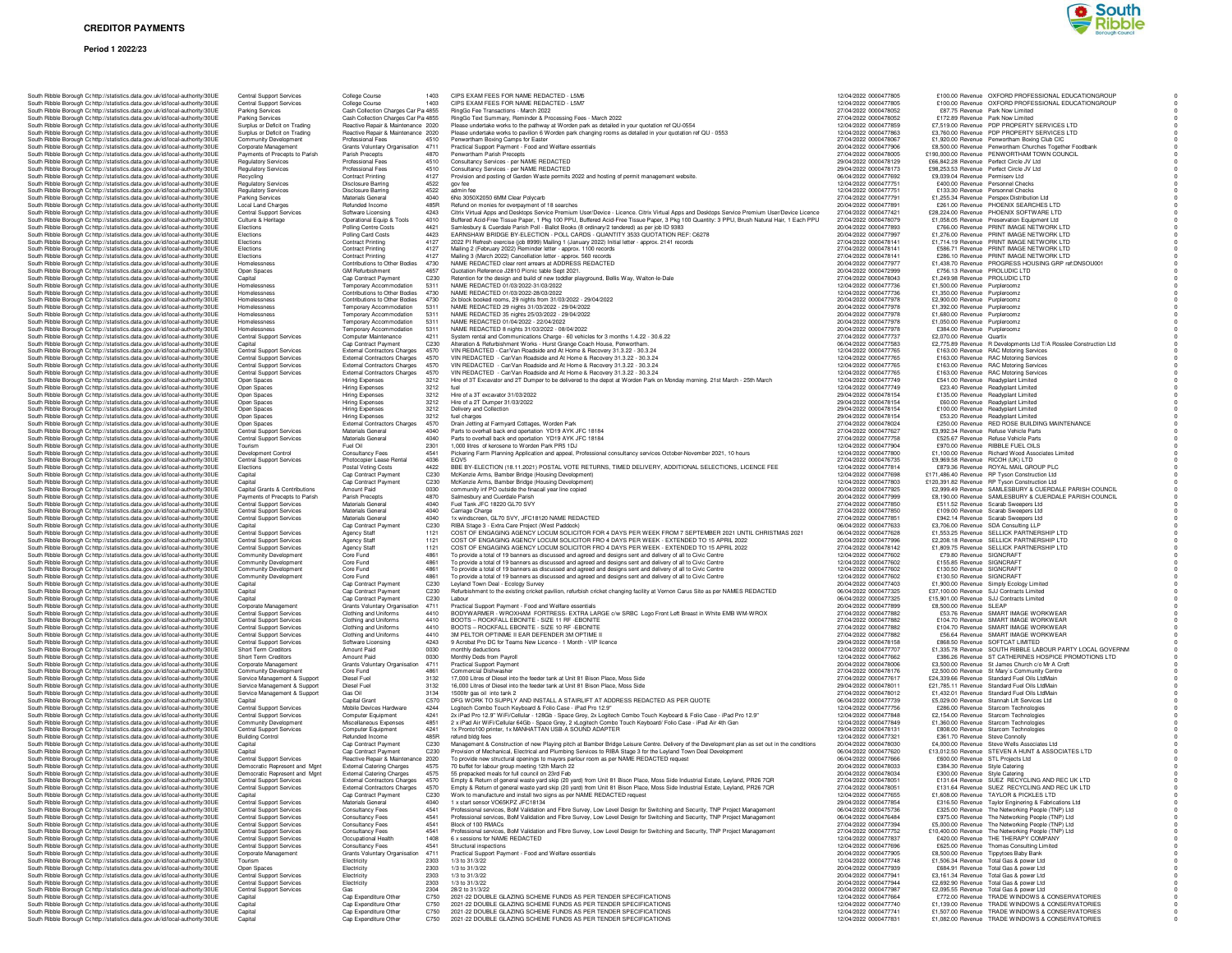### **Period 1 2022/23**



| bodin'i moore bonoagni ochilips/statistics.uata.gov.uk/iu/loca-authonty/Jo |  | South Ribble Borough Cc http://statistics.data.gov.uk/id/local-authority/30UE                                                                                  |                                                                               | Jama Juppon Jamac<br>Central Support Services                      | uleye Ouurse<br>College Course                           | 1403         | CIPS EXAM FEES FOR                                         |
|----------------------------------------------------------------------------|--|----------------------------------------------------------------------------------------------------------------------------------------------------------------|-------------------------------------------------------------------------------|--------------------------------------------------------------------|----------------------------------------------------------|--------------|------------------------------------------------------------|
|                                                                            |  | South Ribble Borough Cc http://statistics.data.gov.uk/id/local-authority/30UE                                                                                  |                                                                               | Parking Services                                                   | Cash Collection Charges Car Pa 4855                      |              | RingGo Fee Transactions                                    |
|                                                                            |  | South Ribble Borough Cc http://statistics.data.gov.uk/id/local-authority/30UE                                                                                  |                                                                               | Parking Services                                                   | Cash Collection Charges Car Pa 4855                      |              | RingGo Text Summary, F                                     |
|                                                                            |  | South Ribble Borough Cohttp://statistics.data.gov.uk/id/local-authority/30UE                                                                                   |                                                                               | Surplus or Deficit on Trading                                      | Reactive Repair & Maintenance 2020                       |              | Please undertake works to                                  |
|                                                                            |  | South Ribble Borough Cc http://statistics.data.gov.uk/id/local-authority/30UE                                                                                  |                                                                               | Surplus or Deficit on Trading                                      | Reactive Repair & Maintenance 2020                       |              | Please undertake works to                                  |
|                                                                            |  | South Ribble Borough Cc http://statistics.data.gov.uk/id/local-authority/30UE                                                                                  |                                                                               | Community Development                                              | Professional Fees                                        | 4510         | Penwortham Boxing Cam                                      |
|                                                                            |  | South Ribble Borough Cc http://statistics.data.gov.uk/id/local-authority/30UE<br>South Ribble Borough Cc http://statistics.data.gov.uk/id/local-authority/30UE |                                                                               | Corporate Management<br>Payments of Precepts to Parish             | Grants Voluntary Organisation<br>Parish Precepts         | 4711<br>4870 | <b>Practical Support Paymer</b><br>Penwortham Parish Prece |
|                                                                            |  | South Ribble Borough Cc http://statistics.data.gov.uk/id/local-authority/30UE                                                                                  |                                                                               | <b>Regulatory Services</b>                                         | Professional Fees                                        | 4510         | Consultancy Services - pe                                  |
|                                                                            |  | South Ribble Borough Cc http://statistics.data.gov.uk/id/local-authority/30UE                                                                                  |                                                                               | <b>Regulatory Services</b>                                         | Professional Fees                                        | 4510         | Consultancy Services - pe                                  |
|                                                                            |  | South Ribble Borough Cc http://statistics.data.gov.uk/id/local-authority/30UE                                                                                  |                                                                               | Recycling                                                          | <b>Contract Printing</b>                                 | 4127         | Provision and posting of O                                 |
|                                                                            |  | South Ribble Borough Cc http://statistics.data.gov.uk/id/local-authority/30UE                                                                                  |                                                                               | <b>Regulatory Services</b>                                         | <b>Disclosure Barring</b>                                | 4522         | gov fee                                                    |
|                                                                            |  | South Ribble Borough Cc http://statistics.data.gov.uk/id/local-authority/30UE                                                                                  |                                                                               | <b>Regulatory Services</b>                                         | <b>Disclosure Barring</b>                                | 4522         | admin fee                                                  |
|                                                                            |  | South Ribble Borough Cc http://statistics.data.gov.uk/id/local-authority/30UE                                                                                  |                                                                               | <b>Parking Services</b>                                            | Materials General                                        | 4040         | 6No 3050X2050 6MM Cle                                      |
|                                                                            |  | South Ribble Borough Cc http://statistics.data.gov.uk/id/local-authority/30UE                                                                                  |                                                                               | Local Land Charges                                                 | Refunded Income                                          | 485R         | Refund on monies for ove                                   |
|                                                                            |  | South Ribble Borough Cc http://statistics.data.gov.uk/id/local-authority/30UE                                                                                  |                                                                               | Central Support Services                                           | Software Licensing                                       | 4243         | Citrix Virtual Apps and De                                 |
|                                                                            |  | South Ribble Borough Cc http://statistics.data.gov.uk/id/local-authority/30UE                                                                                  |                                                                               | Culture & Heritage                                                 | Operational Equip & Tools                                | 4010         | <b>Buffered Acid-Free Tissue</b>                           |
|                                                                            |  | South Ribble Borough Cc http://statistics.data.gov.uk/id/local-authority/30UE                                                                                  |                                                                               | Elections                                                          | Polling Centre Costs                                     | 4421         | Samlesbury & Cuerdale F                                    |
|                                                                            |  | South Ribble Borough Cc http://statistics.data.gov.uk/id/local-authority/30UE                                                                                  |                                                                               | Elections                                                          | Polling Card Costs                                       | 4423         | EARNSHAW BRIDGE B'                                         |
|                                                                            |  | South Ribble Borough Cc http://statistics.data.gov.uk/id/local-authority/30UE                                                                                  |                                                                               | Elections                                                          | <b>Contract Printing</b>                                 | 4127         | 2022 PI Refresh exercise                                   |
|                                                                            |  | South Ribble Borough Cc http://statistics.data.gov.uk/id/local-authority/30UE                                                                                  |                                                                               | <b>Elections</b><br><b>Elections</b>                               | <b>Contract Printing</b>                                 | 4127         | Mailing 2 (February 2022)                                  |
|                                                                            |  | South Ribble Borough Cc http://statistics.data.gov.uk/id/local-authority/30UE                                                                                  |                                                                               |                                                                    | <b>Contract Printing</b>                                 | 4127         | Mailing 3 (March 2022) C                                   |
|                                                                            |  | South Ribble Borough Cc http://statistics.data.gov.uk/id/local-authority/30UE<br>South Ribble Borough Cc http://statistics.data.gov.uk/id/local-authority/30UE |                                                                               | Homelessness                                                       | Contributions to Other Bodies                            | 4730<br>4657 | NAME REDACTED clear                                        |
|                                                                            |  | South Ribble Borough Cc http://statistics.data.gov.uk/id/local-authority/30UE                                                                                  |                                                                               | Open Spaces<br>Capital                                             | <b>GM Refurbishment</b>                                  | C230         | Quotation Reference J281<br>Retention for the design a     |
|                                                                            |  | South Ribble Borough Cc http://statistics.data.gov.uk/id/local-authority/30UE                                                                                  |                                                                               | Homelessness                                                       | Cap Contract Payment<br>Temporary Accommodation          | 5311         | NAME REDACTED 01/03                                        |
|                                                                            |  | South Ribble Borough Cc http://statistics.data.gov.uk/id/local-authority/30UE                                                                                  |                                                                               | Homelessness                                                       | Contributions to Other Bodies                            | 4730         | NAME REDACTED 01/03                                        |
|                                                                            |  | South Ribble Borough Cc http://statistics.data.gov.uk/id/local-authority/30UE                                                                                  |                                                                               | Homelessness                                                       | Contributions to Other Bodies                            | 4730         | 2x block booked rooms, 2                                   |
|                                                                            |  | South Ribble Borough Cc http://statistics.data.gov.uk/id/local-authority/30UE                                                                                  |                                                                               | Homelessness                                                       | Temporary Accommodation                                  | 5311         | NAME REDACTED 29 ni                                        |
|                                                                            |  | South Ribble Borough Cc http://statistics.data.gov.uk/id/local-authority/30UE                                                                                  |                                                                               | Homelessness                                                       | Temporary Accommodation                                  | 5311         | NAME REDACTED 35 ni                                        |
|                                                                            |  | South Ribble Borough Cc http://statistics.data.gov.uk/id/local-authority/30UE                                                                                  |                                                                               | Homelessness                                                       | Temporary Accommodation                                  | 5311         | NAME REDACTED 01/04                                        |
|                                                                            |  | South Ribble Borough Cc http://statistics.data.gov.uk/id/local-authority/30UE                                                                                  |                                                                               | Homelessness                                                       | Temporary Accommodation                                  | 5311         | NAME REDACTED 8 nig                                        |
|                                                                            |  | South Ribble Borough Cc http://statistics.data.gov.uk/id/local-authority/30UE                                                                                  |                                                                               | Central Support Services                                           | Computer Maintenance                                     | 4211         | System rental and Comm                                     |
|                                                                            |  | South Ribble Borough Cc http://statistics.data.gov.uk/id/local-authority/30UE                                                                                  |                                                                               | Capital                                                            | Cap Contract Payment                                     | C230         | Alteration & Refurbishmer                                  |
|                                                                            |  | South Ribble Borough Cc http://statistics.data.gov.uk/id/local-authority/30UE                                                                                  |                                                                               | Central Support Services                                           | <b>External Contractors Charges</b>                      | 4570         | VIN REDACTED - Car/Va                                      |
|                                                                            |  | South Ribble Borough Cc http://statistics.data.gov.uk/id/local-authority/30UE                                                                                  |                                                                               | <b>Central Support Services</b>                                    | <b>External Contractors Charges</b>                      | 4570         | VIN REDACTED - Car/V                                       |
|                                                                            |  | South Ribble Borough Cc http://statistics.data.gov.uk/id/local-authority/30UE                                                                                  |                                                                               | <b>Central Support Services</b>                                    | <b>External Contractors Charges</b>                      | 4570         | VIN REDACTED - Car/V                                       |
|                                                                            |  | South Ribble Borough Cc http://statistics.data.gov.uk/id/local-authority/30UE                                                                                  |                                                                               | Central Support Services                                           | <b>External Contractors Charges</b>                      | 4570<br>3212 | VIN REDACTED - Car/V                                       |
|                                                                            |  | South Ribble Borough Cc http://statistics.data.gov.uk/id/local-authority/30UE                                                                                  |                                                                               | Open Spaces                                                        | Hiring Expenses                                          | 3212         | Hire of 3T Excavator and                                   |
|                                                                            |  | South Ribble Borough Cc http://statistics.data.gov.uk/id/local-authority/30UE<br>South Ribble Borough Cc http://statistics.data.gov.uk/id/local-authority/30UE |                                                                               | Open Spaces<br>Open Spaces                                         | Hiring Expenses<br>Hiring Expenses                       | 3212         | fuel<br>Hire of a 3T excavator 31/                         |
|                                                                            |  | South Ribble Borough Cc http://statistics.data.gov.uk/id/local-authority/30UE                                                                                  |                                                                               | Open Spaces                                                        | Hiring Expenses                                          | 3212         | Hire of a 2T Dumper 31/0                                   |
|                                                                            |  | South Ribble Borough Cc http://statistics.data.gov.uk/id/local-authority/30UE                                                                                  |                                                                               | Open Spaces                                                        | Hiring Expenses                                          | 3212         | Delivery and Collection                                    |
|                                                                            |  | South Ribble Borough Cc http://statistics.data.gov.uk/id/local-authority/30UE                                                                                  |                                                                               | Open Spaces                                                        | Hiring Expenses                                          | 3212         | fuel charges                                               |
|                                                                            |  | South Ribble Borough Cc http://statistics.data.gov.uk/id/local-authority/30UE                                                                                  |                                                                               | Open Spaces                                                        | <b>External Contractors Charges</b>                      | 4570         | Drain Jetting at Farmyard                                  |
|                                                                            |  | South Ribble Borough C: http://statistics.data.gov.uk/id/local-authority/30UE                                                                                  |                                                                               | Central Support Services                                           | Materials General                                        | 4040         | Parts to overhall back end                                 |
|                                                                            |  | South Ribble Borough Cc http://statistics.data.gov.uk/id/local-authority/30UE                                                                                  |                                                                               | <b>Central Support Services</b>                                    | Materials General                                        | 4040         | Parts to overhall back end                                 |
|                                                                            |  | South Ribble Borough Cc http://statistics.data.gov.uk/id/local-authority/30UE                                                                                  |                                                                               | Tourism                                                            | Fuel Oil                                                 | 2301         | 1,000 litres of kerosene to                                |
|                                                                            |  | South Ribble Borough Cc http://statistics.data.gov.uk/id/local-authority/30UE                                                                                  |                                                                               | Development Control                                                | Consultancy Fees                                         | 4541         | Pickering Farm Planning                                    |
|                                                                            |  | South Ribble Borough Cc http://statistics.data.gov.uk/id/local-authority/30UE                                                                                  |                                                                               | Central Support Services                                           | Photocopier Lease Rental                                 | 4036         | EQV5                                                       |
|                                                                            |  | South Ribble Borough Cr http://statistics.data.gov.uk/id/local-authority/30UE                                                                                  |                                                                               | Elections                                                          | Postal Voting Costs                                      | 4422         | BBE BY-ELECTION (18.                                       |
|                                                                            |  | South Ribble Borough Cc http://statistics.data.gov.uk/id/local-authority/30UE                                                                                  |                                                                               | Capital                                                            | Cap Contract Payment                                     | C230         | McKenzie Arms, Bamber                                      |
|                                                                            |  | South Ribble Borough Cc http://statistics.data.gov.uk/id/local-authority/30UE                                                                                  |                                                                               | Capital                                                            | Cap Contract Payment                                     | C230<br>0030 | McKenzie Arms, Bamber                                      |
|                                                                            |  | South Ribble Borough Cc http://statistics.data.gov.uk/id/local-authority/30UE                                                                                  |                                                                               | Capital Grants & Contributions<br>Payments of Precepts to Parish   | Amount Paid<br>Parish Precepts                           | 4870         | community inf PO outside<br>Salmesbury and Cuerdale        |
|                                                                            |  | South Ribble Borough Cc http://statistics.data.gov.uk/id/local-authority/30UE                                                                                  |                                                                               |                                                                    | Materials General                                        | 4040         | Fuel Tank JFC 18220 GL                                     |
|                                                                            |  | South Ribble Borough Cc http://statistics.data.gov.uk/id/local-authority/30UE<br>South Ribble Borough Cc http://statistics.data.gov.uk/id/local-authority/30UE |                                                                               | Central Support Services<br><b>Central Support Services</b>        | Materials General                                        | 4040         | Carriage Charge                                            |
|                                                                            |  | South Ribble Borough Cc http://statistics.data.gov.uk/id/local-authority/30UE                                                                                  |                                                                               | Central Support Services                                           | Materials General                                        | 4040         | 1x windscreen, GL70 SV                                     |
|                                                                            |  | South Ribble Borough Cc http://statistics.data.gov.uk/id/local-authority/30UE                                                                                  |                                                                               | Capital                                                            | Cap Contract Payment                                     | C230         | RIBA Stage 3 - Extra Car                                   |
|                                                                            |  | South Ribble Borough Cc http://statistics.data.gov.uk/id/local-authority/30UE                                                                                  |                                                                               | Central Support Services                                           | Agency Staff                                             | 1121         | COST OF ENGAGING A                                         |
|                                                                            |  | South Ribble Borough Cc http://statistics.data.gov.uk/id/local-authority/30UE                                                                                  |                                                                               | <b>Central Support Services</b>                                    | Agency Staff                                             | 1121         | COST OF ENGAGING A                                         |
|                                                                            |  | South Ribble Borough Cc http://statistics.data.gov.uk/id/local-authority/30UE                                                                                  |                                                                               | Central Support Services                                           | <b>Agency Staff</b>                                      | 1121         | COST OF ENGAGING A                                         |
|                                                                            |  | South Ribble Borough Cc http://statistics.data.gov.uk/id/local-authority/30UE                                                                                  |                                                                               | Community Development                                              | Core Fund                                                | 4861         | To provide a total of 19 ba                                |
|                                                                            |  | South Ribble Borough Cc http://statistics.data.gov.uk/id/local-authority/30UE                                                                                  |                                                                               | <b>Community Development</b>                                       | Core Fund                                                | 4861         | To provide a total of 19 ba                                |
|                                                                            |  | South Ribble Borough Cc http://statistics.data.gov.uk/id/local-authority/30UE                                                                                  |                                                                               | Community Development                                              | Core Fund                                                | 4861         | To provide a total of 19 ba                                |
|                                                                            |  | South Ribble Borough Cc http://statistics.data.gov.uk/id/local-authority/30UE                                                                                  |                                                                               | Community Development                                              | Core Fund                                                | 4861         | To provide a total of 19 ba                                |
|                                                                            |  | South Ribble Borough Cc http://statistics.data.gov.uk/id/local-authority/30UE                                                                                  |                                                                               | Capital                                                            | Cap Contract Payment                                     | C230         | Leyland Town Deal - Ecol                                   |
|                                                                            |  | South Ribble Borough Cc http://statistics.data.gov.uk/id/local-authority/30UE                                                                                  |                                                                               | Capital                                                            | Cap Contract Payment                                     | C230         | Refurbishment to the exis                                  |
|                                                                            |  | South Ribble Borough Cc http://statistics.data.gov.uk/id/local-authority/30UE<br>South Ribble Borough Cc http://statistics.data.gov.uk/id/local-authority/30UE |                                                                               | Capital<br>Corporate Management                                    | Cap Contract Payment<br>Grants Voluntary Organisation    | C230<br>4711 | Labour<br><b>Practical Support Paymer</b>                  |
|                                                                            |  | South Ribble Borough Cc http://statistics.data.gov.uk/id/local-authority/30UE                                                                                  |                                                                               |                                                                    | Clothing and Uniforms                                    | 4410         | BODYWARMER - WROJ                                          |
|                                                                            |  | South Ribble Borough Cc http://statistics.data.gov.uk/id/local-authority/30UE                                                                                  |                                                                               | <b>Central Support Services</b>                                    |                                                          |              |                                                            |
|                                                                            |  |                                                                                                                                                                |                                                                               |                                                                    |                                                          |              |                                                            |
|                                                                            |  |                                                                                                                                                                |                                                                               | Central Support Services                                           | Clothing and Uniforms                                    | 4410         | <b>BOOTS - ROCKFALL EB</b>                                 |
|                                                                            |  |                                                                                                                                                                | South Ribble Borough Cc http://statistics.data.gov.uk/id/local-authority/30UE | <b>Central Support Services</b>                                    | Clothing and Uniforms                                    | 4410         | <b>BOOTS - ROCKFALL EI</b>                                 |
|                                                                            |  | South Ribble Borough Cc http://statistics.data.gov.uk/id/local-authority/30UE                                                                                  |                                                                               | <b>Central Support Services</b>                                    | Clothing and Uniforms                                    | 4410         | 3M PELTOR OPTINME I                                        |
|                                                                            |  | South Ribble Borough Cc http://statistics.data.gov.uk/id/local-authority/30UE                                                                                  |                                                                               | Central Support Services<br>Short Term Creditors                   | Software Licensing<br>Amount Paid                        | 4243<br>0030 | 9 Acrobat Pro DC for Tea                                   |
|                                                                            |  | South Ribble Borough Cc http://statistics.data.gov.uk/id/local-authority/30UE<br>South Ribble Borough Cc http://statistics.data.gov.uk/id/local-authority/30UE |                                                                               | Short Term Creditors                                               | Amount Paid                                              | 0030         | monthly deductions<br>Monthly Deds from Payro              |
|                                                                            |  | South Ribble Borough Cc http://statistics.data.gov.uk/id/local-authority/30UE                                                                                  |                                                                               | Corporate Management                                               | Grants Voluntary Organisation                            | 4711         | <b>Practical Support Paymer</b>                            |
|                                                                            |  | South Ribble Borough Cc http://statistics.data.gov.uk/id/local-authority/30UE                                                                                  |                                                                               | Community Development                                              | Core Fund                                                | 4861         | Commercial Dishwasher                                      |
|                                                                            |  | South Ribble Borough Cc http://statistics.data.gov.uk/id/local-authority/30UE                                                                                  |                                                                               | Service Management & Support                                       | <b>Diesel Fuel</b>                                       | 3132         | 17,000 Litres of Diesel int                                |
|                                                                            |  | South Ribble Borough Cc http://statistics.data.gov.uk/id/local-authority/30UE                                                                                  |                                                                               | Service Management & Support                                       | Diesel Fuel                                              | 3132         | 16,000 Litres of Diesel int                                |
|                                                                            |  | South Ribble Borough Cc http://statistics.data.gov.uk/id/local-authority/30UE                                                                                  |                                                                               | Service Management & Support                                       | Gas Oil                                                  | 3134         | 1500ltr gas oil into tank 2                                |
|                                                                            |  | South Ribble Borough Cc http://statistics.data.gov.uk/id/local-authority/30UE                                                                                  |                                                                               | Capital                                                            | Capital Grant                                            | C570         | DFG WORK TO SUPPLY                                         |
|                                                                            |  | South Ribble Borough Cc http://statistics.data.gov.uk/id/local-authority/30UE                                                                                  |                                                                               | Central Support Services                                           | Mobile Devices Hardware                                  | 4244         | Logitech Combo Touch K                                     |
|                                                                            |  | South Ribble Borough Cc http://statistics.data.gov.uk/id/local-authority/30UE<br>South Ribble Borough Cc http://statistics.data.gov.uk/id/local-authority/30UE |                                                                               | Central Support Services<br>Community Development                  | Computer Equipment<br>Miscellaneous Expenses             | 4241<br>4851 | 2x iPad Pro 12.9" WiFi/C<br>2 x iPad Air WiFi/Cellular     |
|                                                                            |  | South Ribble Borough Cc http://statistics.data.gov.uk/id/local-authority/30UE                                                                                  |                                                                               | Central Support Services                                           | Computer Equipment                                       | 4241         | 1x Pronto100 printer, 1x M                                 |
|                                                                            |  | South Ribble Borough Cc http://statistics.data.gov.uk/id/local-authority/30UE                                                                                  |                                                                               | <b>Building Control</b>                                            | Refunded Income                                          | 485R         | refund bldg fees                                           |
|                                                                            |  | South Ribble Borough Cc http://statistics.data.gov.uk/id/local-authority/30UE                                                                                  |                                                                               | Capital                                                            | Cap Contract Payment                                     | C230         | Management & Construct                                     |
|                                                                            |  | South Ribble Borough Cc http://statistics.data.gov.uk/id/local-authority/30UE                                                                                  |                                                                               | Capital                                                            | Cap Contract Payment                                     | C230         | Provision of Mechanical, I                                 |
|                                                                            |  | South Ribble Borough Cc http://statistics.data.gov.uk/id/local-authority/30UE                                                                                  |                                                                               | <b>Central Support Services</b>                                    | Reactive Repair & Maintenance                            | 2020         | To provide new structural                                  |
|                                                                            |  | South Ribble Borough Cc http://statistics.data.gov.uk/id/local-authority/30UE                                                                                  |                                                                               | Democratic Represent and Mgnt                                      | <b>External Catering Charges</b>                         | 4575         | 70 buffet for labour group                                 |
|                                                                            |  | South Ribble Borough Cr http://statistics.data.gov.uk/id/local-authority/30UE                                                                                  |                                                                               | Democratic Represent and Mgnt                                      | <b>External Catering Charges</b>                         | 4575         | 55 prepacked meals for fu                                  |
|                                                                            |  | South Ribble Borough Cc http://statistics.data.gov.uk/id/local-authority/30UE                                                                                  |                                                                               | <b>Central Support Services</b>                                    | <b>External Contractors Charges</b>                      | 4570         | Empty & Return of genera                                   |
|                                                                            |  | South Ribble Borough Cc http://statistics.data.gov.uk/id/local-authority/30UE                                                                                  |                                                                               | Central Support Services<br>anital                                 | <b>External Contractors Charges</b><br>an Contract Payme | 4570<br>0230 | Empty & Return of genera<br>Work to manufacture and        |
|                                                                            |  | South Ribble Borough Cc http://statistics.data.gov.uk/id/local-authority/30UE                                                                                  |                                                                               |                                                                    | Materials General                                        | 4040         | 1 x start sensor VO65KP2                                   |
|                                                                            |  | South Ribble Borough Cc http://statistics.data.gov.uk/id/local-authority/30UE                                                                                  |                                                                               | Central Support Services                                           |                                                          | 4541         |                                                            |
|                                                                            |  | South Ribble Borough C: http://statistics.data.gov.uk/id/local-authority/30UE                                                                                  |                                                                               | <b>Central Support Services</b>                                    | Consultancy Fees                                         | 4541         | Professional services, Bol<br>Professional services, Bol   |
|                                                                            |  | South Ribble Borough Cc http://statistics.data.gov.uk/id/local-authority/30UE<br>South Ribble Borough Cr http://statistics.data.gov.uk/id/local-authority/30UE |                                                                               | <b>Central Support Services</b><br><b>Central Support Services</b> | Consultancy Fees<br>Consultancy Fees                     | 4541         | Block of 100 RMACs                                         |
|                                                                            |  | South Ribble Borough Cc http://statistics.data.gov.uk/id/local-authority/30UE                                                                                  |                                                                               | Central Support Services                                           | Consultancy Fees                                         | 4541         | Professional services, Bol                                 |
|                                                                            |  | South Ribble Borough Cc http://statistics.data.gov.uk/id/local-authority/30UE                                                                                  |                                                                               | <b>Central Support Services</b>                                    | Occupational Health                                      | 1408         | 6 x sessions for NAME RI                                   |
|                                                                            |  | South Ribble Borough Cc http://statistics.data.gov.uk/id/local-authority/30UE                                                                                  |                                                                               | Central Support Services                                           | Consultancy Fees                                         | 4541         | Structural inspections                                     |
|                                                                            |  | South Ribble Borough Cohttp://statistics.data.gov.uk/id/local-authority/30UE                                                                                   |                                                                               | Corporate Management                                               | Grants Voluntary Organisation                            | 4711         | <b>Practical Support Paymer</b>                            |
|                                                                            |  | South Ribble Borough C: http://statistics.data.gov.uk/id/local-authority/30UE                                                                                  |                                                                               | Tourism                                                            | Electricity                                              | 2303         | 1/3 to 31/3/22                                             |
|                                                                            |  | South Ribble Borough Cc http://statistics.data.gov.uk/id/local-authority/30UE                                                                                  |                                                                               | Open Spaces                                                        | Electricity                                              | 2303         | 1/3 to 31/3/22                                             |
|                                                                            |  | South Ribble Borough Cc http://statistics.data.gov.uk/id/local-authority/30UE                                                                                  |                                                                               | <b>Central Support Services</b>                                    | Electricity                                              | 2303         | 1/3 to 31/3/22                                             |
|                                                                            |  | South Ribble Borough Cc http://statistics.data.gov.uk/id/local-authority/30UE                                                                                  |                                                                               | <b>Central Support Services</b>                                    | Electricity                                              | 2303         | 1/3 to 31/3/22                                             |
|                                                                            |  | South Ribble Borough Cc http://statistics.data.gov.uk/id/local-authority/30UE                                                                                  |                                                                               | <b>Central Support Services</b>                                    | Gas                                                      | 2304         | 28/2 to 31/3/22                                            |
|                                                                            |  | South Ribble Borough Cc http://statistics.data.gov.uk/id/local-authority/30UE                                                                                  |                                                                               | Capital                                                            | Cap Expenditure Other                                    | C750         |                                                            |
|                                                                            |  | South Ribble Borough Cc http://statistics.data.gov.uk/id/local-authority/30UE                                                                                  |                                                                               | Capital                                                            | Cap Expenditure Other                                    | C750         | 2021-22 DOUBLE GLAZI<br>2021-22 DOUBLE GLAZI               |
|                                                                            |  | South Ribble Borough Cc http://statistics.data.gov.uk/id/local-authority/30UE<br>South Ribble Borough Cc http://statistics.data.gov.uk/id/local-authority/30UE |                                                                               | Capital<br>Capital                                                 | Cap Expenditure Other<br>Cap Expenditure Other           | C750<br>C750 | 2021-22 DOUBLE GLAZI<br>2021-22 DOUBLE GLAZI               |

| South Ribble Borough Cc http://statistics.data.gov.uk/id/local-authority/30UE                                                                                  | <b>Central Support Services</b>                             | <b>College Course</b>                                                      | 1403                     | CIPS EXAM FEES FOR NAME REDACTED - L5M5                                                                                                                    |
|----------------------------------------------------------------------------------------------------------------------------------------------------------------|-------------------------------------------------------------|----------------------------------------------------------------------------|--------------------------|------------------------------------------------------------------------------------------------------------------------------------------------------------|
| South Ribble Borough Cc http://statistics.data.gov.uk/id/local-authority/30UE                                                                                  | Central Support Services                                    | College Course                                                             | 1403                     | CIPS EXAM FEES FOR NAME REDACTED - L5M7                                                                                                                    |
| South Ribble Borough Cc http://statistics.data.gov.uk/id/local-authority/30UE<br>South Ribble Borough Cc http://statistics.data.gov.uk/id/local-authority/30UE | Parking Services<br>Parking Services                        | Cash Collection Charges Car Pa 4855<br>Cash Collection Charges Car Pa 4855 |                          | RingGo Fee Transactions - March 2022<br>RingGo Text Summary, Reminder & Processing Fees - March 2022                                                       |
| South Ribble Borough C: http://statistics.data.gov.uk/id/local-authority/30UE                                                                                  | Surplus or Deficit on Trading                               | Reactive Repair & Maintenance 2020                                         |                          | Please undertake works to the pathway at Worden park as detailed in your qu                                                                                |
| South Ribble Borough Cr http://statistics.data.gov.uk/id/local-authority/30UE                                                                                  | Surplus or Deficit on Trading                               | Reactive Repair & Maintenance 2020                                         |                          | Please undertake works to pavilion 6 Worden park changing rooms as detaile                                                                                 |
| South Ribble Borough Cohttp://statistics.data.gov.uk/id/local-authority/30UE<br>South Ribble Borough Cc http://statistics.data.gov.uk/id/local-authority/30UE  | Community Development<br>Corporate Management               | Professional Fees<br>Grants Voluntary Organisation                         | 4510<br>4711             | Penwortham Boxing Camps for Easter<br>Practical Support Payment - Food and Welfare essentials                                                              |
| South Ribble Borough Cc http://statistics.data.gov.uk/id/local-authority/30UE                                                                                  | Payments of Precepts to Parish                              | Parish Precepts                                                            | 4870                     | Penwortham Parish Precepts                                                                                                                                 |
| South Ribble Borough Cohttp://statistics.data.gov.uk/id/local-authority/30UE                                                                                   | <b>Regulatory Services</b>                                  | Professional Fees                                                          | 4510                     | Consultancy Services - per NAME REDACTED                                                                                                                   |
| South Ribble Borough Cc http://statistics.data.gov.uk/id/local-authority/30UE                                                                                  | <b>Regulatory Services</b>                                  | Professional Fees                                                          | 4510                     | Consultancy Services - per NAME REDACTED                                                                                                                   |
| South Ribble Borough Cc http://statistics.data.gov.uk/id/local-authority/30UE<br>South Ribble Borough Cc http://statistics.data.gov.uk/id/local-authority/30UE | Recycling<br><b>Regulatory Services</b>                     | <b>Contract Printing</b>                                                   | 4127<br>4522             | Provision and posting of Garden Waste permits 2022 and hosting of permit m<br>gov fee                                                                      |
| South Ribble Borough Cr http://statistics.data.gov.uk/id/local-authority/30UE                                                                                  | <b>Regulatory Services</b>                                  | Disclosure Barring<br>Disclosure Barring                                   | 4522                     | admin fee                                                                                                                                                  |
| South Ribble Borough C: http://statistics.data.gov.uk/id/local-authority/30UE                                                                                  | <b>Parking Services</b>                                     | Materials General                                                          | 4040                     | 6No 3050X2050 6MM Clear Polycarb                                                                                                                           |
| South Ribble Borough Cc http://statistics.data.gov.uk/id/local-authority/30UE                                                                                  | Local Land Charges                                          | Refunded Income                                                            | 485R                     | Refund on monies for overpayment of 18 searches                                                                                                            |
| South Ribble Borough Cc http://statistics.data.gov.uk/id/local-authority/30UE                                                                                  | <b>Central Support Services</b>                             | Software Licensing                                                         | 4243                     | Citrix Virtual Apps and Desktops Service Premium User/Device - Licence. Cit                                                                                |
| South Ribble Borough Cc http://statistics.data.gov.uk/id/local-authority/30UE<br>South Ribble Borough C: http://statistics.data.gov.uk/id/local-authority/30UE | Culture & Heritage<br>Elections                             | Operational Equip & Tools<br><b>Polling Centre Costs</b>                   | 4010<br>4421             | Buffered Acid-Free Tissue Paper, 1 Pkg 100 PPU, Buffered Acid-Free Tissue<br>Samlesbury & Cuerdale Parish Poll - Ballot Books (8 ordinary/2 tendered) as   |
| South Ribble Borough Cc http://statistics.data.gov.uk/id/local-authority/30UE                                                                                  | Elections                                                   | Polling Card Costs                                                         | 4423                     | EARNSHAW BRIDGE BY-ELECTION - POLL CARDS - QUANTITY 3533 C                                                                                                 |
| South Ribble Borough Cc http://statistics.data.gov.uk/id/local-authority/30UE                                                                                  | Elections                                                   | <b>Contract Printing</b>                                                   | 4127                     | 2022 PI Refresh exercise (job 8999) Mailing 1 (January 2022) Initial letter - ap                                                                           |
| South Ribble Borough C: http://statistics.data.gov.uk/id/local-authority/30UE                                                                                  | Elections                                                   | <b>Contract Printing</b>                                                   | 4127                     | Mailing 2 (February 2022) Reminder letter - approx. 1100 records                                                                                           |
| South Ribble Borough C: http://statistics.data.gov.uk/id/local-authority/30UE<br>South Ribble Borough Cc http://statistics.data.gov.uk/id/local-authority/30UE | Elections<br>Homelessness                                   | <b>Contract Printing</b><br>Contributions to Other Bodies                  | 4127<br>4730             | Mailing 3 (March 2022) Cancellation letter - approx. 560 records<br>NAME REDACTED clear rent arrears at ADDRESS REDACTED                                   |
| South Ribble Borough Cc http://statistics.data.gov.uk/id/local-authority/30UE                                                                                  | Open Spaces                                                 | GM Refurbishment                                                           | 4657                     | Quotation Reference J2810 Picnic table Sept 2021.                                                                                                          |
| South Ribble Borough C: http://statistics.data.gov.uk/id/local-authority/30UE                                                                                  | Capital                                                     | Cap Contract Payment                                                       | C230                     | Retention for the design and build of new toddler playground, Bellis Way, Wa                                                                               |
| South Ribble Borough Cc http://statistics.data.gov.uk/id/local-authority/30UE                                                                                  | Homelessness                                                | Temporary Accommodation                                                    | 5311                     | NAME REDACTED 01/03/2022-31/03/2022                                                                                                                        |
| South Ribble Borough Cc http://statistics.data.gov.uk/id/local-authority/30UE<br>South Ribble Borough Cc http://statistics.data.gov.uk/id/local-authority/30UE | Homelessness<br>Homelessness                                | Contributions to Other Bodies<br>Contributions to Other Bodies             | 4730<br>4730             | NAME REDACTED 01/03/2022-28/03/2022<br>2x block booked rooms, 29 nights from 31/03/2022 - 29/04/2022                                                       |
| South Ribble Borough Cr http://statistics.data.gov.uk/id/local-authority/30UE                                                                                  | Homelessness                                                | Temporary Accommodation                                                    | 5311                     | NAME REDACTED 29 nights 31/03/2022 - 29/04/2022                                                                                                            |
| South Ribble Borough C: http://statistics.data.gov.uk/id/local-authority/30UE                                                                                  | Homelessness                                                | Temporary Accommodation                                                    | 5311                     | NAME REDACTED 35 nights 25/03/2022 - 29/04/2022                                                                                                            |
| South Ribble Borough Cc http://statistics.data.gov.uk/id/local-authority/30UE                                                                                  | Homelessness                                                | Temporary Accommodation                                                    | 5311                     | NAME REDACTED 01/04/2022 - 22/04/2022                                                                                                                      |
| South Ribble Borough Cc http://statistics.data.gov.uk/id/local-authority/30UE<br>South Ribble Borough Cc http://statistics.data.gov.uk/id/local-authority/30UE | Homelessness<br><b>Central Support Services</b>             | Temporary Accommodation<br>Computer Maintenance                            | 5311<br>4211             | NAME REDACTED 8 nights 31/03/2022 - 08/04/2022<br>System rental and Communications Charge - 60 vehicles for 3 months 1.4.22                                |
| South Ribble Borough Cr http://statistics.data.gov.uk/id/local-authority/30UE                                                                                  | Capital                                                     | Cap Contract Payment                                                       | C230                     | Alteration & Refurbishment Works - Hurst Grange Coach House, Penworthan                                                                                    |
| South Ribble Borough Cc http://statistics.data.gov.uk/id/local-authority/30UE                                                                                  | Central Support Services                                    | <b>External Contractors Charges</b>                                        | 4570                     | VIN REDACTED - Car/Van Roadside and At Home & Recovery 31.3.22 - 30.                                                                                       |
| South Ribble Borough Cc http://statistics.data.gov.uk/id/local-authority/30UE                                                                                  | <b>Central Support Services</b>                             | <b>External Contractors Charges</b>                                        | 4570                     | VIN REDACTED - Car/Van Roadside and At Home & Recovery 31.3.22 - 30                                                                                        |
| South Ribble Borough Cc http://statistics.data.gov.uk/id/local-authority/30UE                                                                                  | Central Support Services                                    | <b>External Contractors Charges</b>                                        | 4570                     | VIN REDACTED - Car/Van Roadside and At Home & Recovery 31.3.22 - 30                                                                                        |
| South Ribble Borough Cc http://statistics.data.gov.uk/id/local-authority/30UE<br>South Ribble Borough C: http://statistics.data.gov.uk/id/local-authority/30UE | Central Support Services<br>Open Spaces                     | <b>External Contractors Charges</b><br>Hiring Expenses                     | 4570<br>3212             | VIN REDACTED - Car/Van Roadside and At Home & Recovery 31.3.22 - 30<br>Hire of 3T Excavator and 2T Dumper to be delivered to the depot at Worden I         |
| South Ribble Borough Cc http://statistics.data.gov.uk/id/local-authority/30UE                                                                                  | Open Spaces                                                 | Hiring Expenses                                                            | 3212                     | fuel                                                                                                                                                       |
| South Ribble Borough Cc http://statistics.data.gov.uk/id/local-authority/30UE                                                                                  | Open Spaces                                                 | <b>Hiring Expenses</b>                                                     | 3212                     | Hire of a 3T excavator 31/03/2022                                                                                                                          |
| South Ribble Borough Cc http://statistics.data.gov.uk/id/local-authority/30UE                                                                                  | Open Spaces                                                 | Hiring Expenses                                                            | 3212<br>3212             | Hire of a 2T Dumper 31/03/2022<br>Delivery and Collection                                                                                                  |
| South Ribble Borough Cc http://statistics.data.gov.uk/id/local-authority/30UE<br>South Ribble Borough Cc http://statistics.data.gov.uk/id/local-authority/30UE | Open Spaces<br>Open Spaces                                  | <b>Hiring Expenses</b><br>Hiring Expenses                                  | 3212                     | fuel charges                                                                                                                                               |
| South Ribble Borough Cc http://statistics.data.gov.uk/id/local-authority/30UE                                                                                  | Open Spaces                                                 | <b>External Contractors Charges</b>                                        | 4570                     | Drain Jetting at Farmyard Cottages, Worden Park                                                                                                            |
| South Ribble Borough C: http://statistics.data.gov.uk/id/local-authority/30UE                                                                                  | <b>Central Support Services</b>                             | Materials General                                                          | 4040                     | Parts to overhall back end opertation YD19 AYK JFC 18184                                                                                                   |
| South Ribble Borough C: http://statistics.data.gov.uk/id/local-authority/30UE                                                                                  | Central Support Services<br>Tourism                         | Materials General<br>Fuel Oil                                              | 4040                     | Parts to overhall back end opertation YD19 AYK JFC 18184<br>1,000 litres of kerosene to Worden Park PR5 1DJ                                                |
| South Ribble Borough Cc http://statistics.data.gov.uk/id/local-authority/30UE<br>South Ribble Borough Cc http://statistics.data.gov.uk/id/local-authority/30UE | Development Control                                         | Consultancy Fees                                                           | 2301<br>4541             | Pickering Farm Planning Application and appeal, Professional consultancy se                                                                                |
| South Ribble Borough Cc http://statistics.data.gov.uk/id/local-authority/30UE                                                                                  | <b>Central Support Services</b>                             | Photocopier Lease Rental                                                   | 4036                     | EQV <sub>5</sub>                                                                                                                                           |
| South Ribble Borough Cc http://statistics.data.gov.uk/id/local-authority/30UE                                                                                  | Elections                                                   | Postal Voting Costs                                                        | 4422                     | BBE BY-ELECTION (18.11.2021) POSTAL VOTE RETURNS, TIMED DELI                                                                                               |
| South Ribble Borough Cc http://statistics.data.gov.uk/id/local-authority/30UE                                                                                  | Capital                                                     | Cap Contract Payment                                                       | C <sub>230</sub>         | McKenzie Arms, Bamber Bridge (Housing Development)                                                                                                         |
| South Ribble Borough Cc http://statistics.data.gov.uk/id/local-authority/30UE<br>South Ribble Borough C: http://statistics.data.gov.uk/id/local-authority/30UE | Capital<br>Capital Grants & Contributions                   | Cap Contract Payment<br>Amount Paid                                        | C230<br>0030             | McKenzie Arms, Bamber Bridge (Housing Development)<br>community inf PO outside the finacail year line copied                                               |
| South Ribble Borough Cr http://statistics.data.gov.uk/id/local-authority/30UE                                                                                  | Payments of Precepts to Parish                              | Parish Precepts                                                            | 4870                     | Salmesbury and Cuerdale Parish                                                                                                                             |
| South Ribble Borough Cohttp://statistics.data.gov.uk/id/local-authority/30UE                                                                                   | <b>Central Support Services</b>                             | Materials General                                                          | 4040                     | Fuel Tank JFC 18220 GL70 SVY                                                                                                                               |
| South Ribble Borough Cc http://statistics.data.gov.uk/id/local-authority/30UE                                                                                  | <b>Central Support Services</b>                             | Materials General                                                          | 4040                     | Carriage Charge                                                                                                                                            |
| South Ribble Borough Cc http://statistics.data.gov.uk/id/local-authority/30UE<br>South Ribble Borough Cc http://statistics.data.gov.uk/id/local-authority/30UE | Central Support Services<br>Capital                         | Materials General<br>Cap Contract Payment                                  | 4040<br>C230             | 1x windscreen, GL70 SVY, JFC18120 NAME REDACTED<br>RIBA Stage 3 - Extra Care Project (West Paddock)                                                        |
| South Ribble Borough Cc http://statistics.data.gov.uk/id/local-authority/30UE                                                                                  | <b>Central Support Services</b>                             | <b>Agency Staff</b>                                                        | 1121                     | COST OF ENGAGING AGENCY LOCUM SOLICITOR FOR 4 DAYS PER V                                                                                                   |
| South Ribble Borough Cc http://statistics.data.gov.uk/id/local-authority/30UE                                                                                  | <b>Central Support Services</b>                             | Agency Staff                                                               | 1121                     | COST OF ENGAGING AGENCY LOCUM SOLICITOR FRO 4 DAYS PER V                                                                                                   |
| South Ribble Borough Cc http://statistics.data.gov.uk/id/local-authority/30UE                                                                                  | Central Support Services                                    | Agency Staff                                                               | 1121                     | COST OF ENGAGING AGENCY LOCUM SOLICITOR FRO 4 DAYS PER V                                                                                                   |
| South Ribble Borough Cc http://statistics.data.gov.uk/id/local-authority/30UE<br>South Ribble Borough C: http://statistics.data.gov.uk/id/local-authority/30UE | Community Development<br>Community Development              | Core Fund<br>Core Fund                                                     | 4861<br>4861             | To provide a total of 19 banners as discussed and agreed and designs sent a<br>To provide a total of 19 banners as discussed and agreed and designs sent a |
| South Ribble Borough Cc http://statistics.data.gov.uk/id/local-authority/30UE                                                                                  | Community Development                                       | Core Fund                                                                  | 4861                     | To provide a total of 19 banners as discussed and agreed and designs sent a                                                                                |
| South Ribble Borough Cc http://statistics.data.gov.uk/id/local-authority/30UE                                                                                  | Community Development                                       | Core Fund                                                                  | 4861                     | To provide a total of 19 banners as discussed and agreed and designs sent a                                                                                |
| South Ribble Borough Cc http://statistics.data.gov.uk/id/local-authority/30UE                                                                                  | Capital                                                     | Cap Contract Payment                                                       | C <sub>230</sub>         | Leyland Town Deal - Ecology Survey                                                                                                                         |
| South Ribble Borough C: http://statistics.data.gov.uk/id/local-authority/30UE                                                                                  | Capital                                                     | Cap Contract Payment                                                       | C230<br>C <sub>230</sub> | Refurbishment to the existing cricket pavilion, refurbish cricket changing facili                                                                          |
| South Ribble Borough Cc http://statistics.data.gov.uk/id/local-authority/30UE<br>South Ribble Borough Cc http://statistics.data.gov.uk/id/local-authority/30UE | Capital<br>Corporate Management                             | Cap Contract Payment<br>Grants Voluntary Organisation                      | 4711                     | Labour<br>Practical Support Payment - Food and Welfare essentials                                                                                          |
| South Ribble Borough C: http://statistics.data.gov.uk/id/local-authority/30UE                                                                                  | Central Support Services                                    | Clothing and Uniforms                                                      | 4410                     | BODYWARMER - WROXHAM FORTRESS- EXTRA LARGE c/w SRBC L                                                                                                      |
| South Ribble Borough Cr http://statistics.data.gov.uk/id/local-authority/30UE                                                                                  | Central Support Services                                    | Clothing and Uniforms                                                      | 4410                     | BOOTS - ROCKFALL EBONITE - SIZE 11 RF -EBONITE                                                                                                             |
| South Ribble Borough Cc http://statistics.data.gov.uk/id/local-authority/30UE                                                                                  | <b>Central Support Services</b>                             | Clothing and Uniforms                                                      | 4410                     | BOOTS - ROCKFALL EBONITE - SIZE 10 RF -EBONITE<br>3M PELTOR OPTINME II EAR DEFENDER 3M OPTIME II                                                           |
| South Ribble Borough Cc http://statistics.data.gov.uk/id/local-authority/30UE<br>South Ribble Borough C: http://statistics.data.gov.uk/id/local-authority/30UE | <b>Central Support Services</b><br>Central Support Services | Clothing and Uniforms<br>Software Licensing                                | 4410<br>4243             | 9 Acrobat Pro DC for Teams New Licence - 1 Month - VIP licence                                                                                             |
| South Ribble Borough Cc http://statistics.data.gov.uk/id/local-authority/30UE                                                                                  | <b>Short Term Creditors</b>                                 | Amount Paid                                                                | 0030                     | monthly deductions                                                                                                                                         |
| South Ribble Borough Cc http://statistics.data.gov.uk/id/local-authority/30UE                                                                                  | Short Term Creditors                                        | Amount Paid                                                                | 0030                     | Monthly Deds from Payroll                                                                                                                                  |
| South Ribble Borough Cc http://statistics.data.gov.uk/id/local-authority/30UE                                                                                  | Corporate Management                                        | Grants Voluntary Organisation                                              | 4711                     | <b>Practical Support Payment</b>                                                                                                                           |
| South Ribble Borough C: http://statistics.data.gov.uk/id/local-authority/30UE<br>South Ribble Borough C: http://statistics.data.gov.uk/id/local-authority/30UE | Community Development<br>Service Management & Support       | Core Fund<br>Diesel Fuel                                                   | 4861<br>3132             | Commercial Dishwasher<br>17,000 Litres of Diesel into the feeder tank at Unit 81 Bison Place, Moss Side                                                    |
| South Ribble Borough Cohttp://statistics.data.gov.uk/id/local-authority/30UE                                                                                   | Service Management & Support                                | Diesel Fuel                                                                | 3132                     | 16,000 Litres of Diesel into the feeder tank at Unit 81 Bison Place, Moss Side                                                                             |
| South Ribble Borough Cc http://statistics.data.gov.uk/id/local-authority/30UE                                                                                  | Service Management & Support                                | Gas Oil                                                                    | 3134                     | 1500ltr gas oil into tank 2                                                                                                                                |
| South Ribble Borough Cc http://statistics.data.gov.uk/id/local-authority/30UE                                                                                  | Capital                                                     | Capital Grant                                                              | C570                     | DFG WORK TO SUPPLY AND INSTALL A STAIRLIFT AT ADDRESS RED                                                                                                  |
| South Ribble Borough C: http://statistics.data.gov.uk/id/local-authority/30UE<br>South Ribble Borough Cc http://statistics.data.gov.uk/id/local-authority/30UE | <b>Central Support Services</b><br>Central Support Services | Mobile Devices Hardware<br>Computer Equipment                              | 4244<br>4241             | Logitech Combo Touch Keyboard & Folio Case - iPad Pro 12.9"<br>2x iPad Pro 12.9" WiFi/Cellular - 128Gb - Space Grey, 2x Logitech Combo T                   |
| South Ribble Borough Cc http://statistics.data.gov.uk/id/local-authority/30UE                                                                                  | Community Development                                       | Miscellaneous Expenses                                                     | 4851                     | 2 x iPad Air WiFi/Cellular 64Gb - Space Grey, 2 xLogitech Combo Touch Ke                                                                                   |
| South Ribble Borough Cc http://statistics.data.gov.uk/id/local-authority/30UE                                                                                  | <b>Central Support Services</b>                             | Computer Equipment                                                         | 4241                     | 1x Pronto100 printer, 1x MANHATTAN USB-A SOUND ADAPTER                                                                                                     |
| South Ribble Borough Cc http://statistics.data.gov.uk/id/local-authority/30UE                                                                                  | <b>Building Control</b>                                     | Refunded Income                                                            | 485R                     | refund bldg fees                                                                                                                                           |
| South Ribble Borough C: http://statistics.data.gov.uk/id/local-authority/30UE<br>South Ribble Borough Cohttp://statistics.data.gov.uk/id/local-authority/30UE  | Capital<br>Capital                                          | Cap Contract Payment<br>Cap Contract Payment                               | C230<br>C230             | Management & Construction of new Playing pitch at Bamber Bridge Leisure (<br>Provision of Mechanical, Electrical and Plumbing Services to RIBA Stage 3 fr  |
| South Ribble Borough Cc http://statistics.data.gov.uk/id/local-authority/30UE                                                                                  | <b>Central Support Services</b>                             | Reactive Repair & Maintenance                                              | 2020                     | To provide new structural openings to mayors parlour room as per NAME RE                                                                                   |
| South Ribble Borough Cr http://statistics.data.gov.uk/id/local-authority/30UE                                                                                  | Democratic Represent and Mgnt                               | <b>External Catering Charges</b>                                           | 4575                     | 70 buffet for labour group meeting 12th March 22                                                                                                           |
| South Ribble Borough Cc http://statistics.data.gov.uk/id/local-authority/30UE                                                                                  | Democratic Represent and Mont<br>$H$ Consid                 | <b>External Catering Charges</b>                                           | 4575                     | 55 prepacked meals for full council on 23rd Feb                                                                                                            |
| South Ribble Borough Cc http://statistics.data.gov.uk/id/local-authority/30UE                                                                                  |                                                             | External Contra                                                            | 4570<br>4570             | pty & Return of general waste yard skip (20 yard) from Unit 81 Bison Plac<br>Empty & Return of general waste yard skip (20 yard) from Unit 81 Bison Plac   |
| South Ribble Borough Cc http://statistics.data.gov.uk/id/local-authority/30UE<br>South Ribble Borough Cr http://statistics.data.gov.uk/id/local-authority/30UE | Central Support Services<br>Capital                         | External Contractors Charges<br>Cap Contract Payment                       | C230                     | Work to manufacture and install two signs as per NAME REDACTED reques                                                                                      |
| South Ribble Borough Cr http://statistics.data.gov.uk/id/local-authority/30UE                                                                                  | Central Support Services                                    | Materials General                                                          | 4040                     | 1 x start sensor VO65KPZ JFC18134                                                                                                                          |
| South Ribble Borough Cohttp://statistics.data.gov.uk/id/local-authority/30UE                                                                                   | <b>Central Support Services</b>                             | Consultancy Fees                                                           | 4541                     | Professional services, BoM Validation and Fibre Survey, Low Level Design for                                                                               |
| South Ribble Borough Cc http://statistics.data.gov.uk/id/local-authority/30UE<br>South Ribble Borough Cr http://statistics.data.gov.uk/id/local-authority/30UE | <b>Central Support Services</b><br>Central Support Services | Consultancy Fees<br>Consultancy Fees                                       | 4541<br>4541             | Professional services, BoM Validation and Fibre Survey, Low Level Design fo<br>Block of 100 RMACs                                                          |
| South Ribble Borough Cohttp://statistics.data.gov.uk/id/local-authority/30UE                                                                                   | <b>Central Support Services</b>                             | Consultancy Fees                                                           | 4541                     | Professional services, BoM Validation and Fibre Survey, Low Level Design fo                                                                                |
| South Ribble Borough Cc http://statistics.data.gov.uk/id/local-authority/30UE                                                                                  | <b>Central Support Services</b>                             | Occupational Health                                                        | 1408                     | 6 x sessions for NAME REDACTED                                                                                                                             |
| South Ribble Borough Cc http://statistics.data.gov.uk/id/local-authority/30UE                                                                                  | <b>Central Support Services</b>                             | <b>Consultancy Fees</b>                                                    | 4541                     | Structural inspections                                                                                                                                     |
| South Ribble Borough Cr http://statistics.data.gov.uk/id/local-authority/30UE<br>South Ribble Borough Cr http://statistics.data.gov.uk/id/local-authority/30UE | Corporate Management<br>Tourism                             | Grants Voluntary Organisation<br>Electricity                               | 4711<br>2303             | Practical Support Payment - Food and Welfare essentials<br>1/3 to 31/3/22                                                                                  |
| South Ribble Borough Cc http://statistics.data.gov.uk/id/local-authority/30UE                                                                                  | Open Spaces                                                 | Electricity                                                                | 2303                     | 1/3 to 31/3/22                                                                                                                                             |
| South Ribble Borough Cc http://statistics.data.gov.uk/id/local-authority/30UE                                                                                  | Central Support Services                                    | Electricity                                                                | 2303                     | 1/3 to 31/3/22                                                                                                                                             |
| South Ribble Borough Cc http://statistics.data.gov.uk/id/local-authority/30UE                                                                                  | Central Support Services                                    | Electricity                                                                | 2303                     | 1/3 to 31/3/22                                                                                                                                             |
| South Ribble Borough Cr http://statistics.data.gov.uk/id/local-authority/30UE                                                                                  | <b>Central Support Services</b>                             | Gas                                                                        | 2304                     | 28/2 to 31/3/22                                                                                                                                            |
| South Ribble Borough Cc http://statistics.data.gov.uk/id/local-authority/30UE<br>South Ribble Borough Cc http://statistics.data.gov.uk/id/local-authority/30UE | Capital<br>Capital                                          | Cap Expenditure Other<br>Cap Expenditure Other                             | C750<br>C750             | 2021-22 DOUBLE GLAZING SCHEME FUNDS AS PER TENDER SPECIFI<br>2021-22 DOUBLE GLAZING SCHEME FUNDS AS PER TENDER SPECIFI                                     |
| South Ribble Borough Cc http://statistics.data.gov.uk/id/local-authority/30UE                                                                                  | Capital                                                     | Cap Expenditure Other                                                      | C750                     | 2021-22 DOUBLE GLAZING SCHEME FUNDS AS PER TENDER SPECIFI                                                                                                  |
| South Ribble Borough Cohttp://statistics.data.gov.uk/id/local-authority/30UE                                                                                   | Capital                                                     | Cap Expenditure Other                                                      | C750                     | 2021-22 DOUBLE GLAZING SCHEME FUNDS AS PER TENDER SPECIE                                                                                                   |

| http://statistics.data.gov.uk/id/local-authority/30UE                                                          | Central Support Services        | College Course                                 | 1403             | CIPS EXAM FEES FOR NAME REDACTED - L5M7                                                                                                       | 12/04/2022 0000477805                          |                                  | £100.00 Revenue OXFORD PROFESSIONAL EDUCATIONGROUP                                                   |
|----------------------------------------------------------------------------------------------------------------|---------------------------------|------------------------------------------------|------------------|-----------------------------------------------------------------------------------------------------------------------------------------------|------------------------------------------------|----------------------------------|------------------------------------------------------------------------------------------------------|
|                                                                                                                | <b>Parking Services</b>         | Cash Collection Charges Car Pa 4855            |                  | RingGo Fee Transactions - March 2022                                                                                                          | 27/04/2022 0000478052                          |                                  | £87.75 Revenue Park Now Limited                                                                      |
| http://statistics.data.gov.uk/id/local-authority/30UE                                                          | <b>Parking Services</b>         | Cash Collection Charges Car Pa 4855            |                  | RingGo Text Summary, Reminder & Processing Fees - March 2022                                                                                  | 27/04/2022 0000478052<br>12/04/2022 0000477859 |                                  | £172.89 Revenue Park Now Limited                                                                     |
| http://statistics.data.gov.uk/id/local-authority/30UE                                                          | Surplus or Deficit on Trading   | Beactive Benair & Maintenance 2020             |                  | Please undertake works to the pathway at Worden park as detailed in your quotation ref QU-0554                                                |                                                |                                  | £7,519.00 Revenue PDP PROPERTY SERVICES LTD                                                          |
| http://statistics.data.gov.uk/id/local-authority/30UE                                                          | Surplus or Deficit on Trading   | Reactive Repair & Maintenance 2020             |                  | Please undertake works to pavilion 6 Worden park changing rooms as detailed in your quotation ref QU - 0553                                   | 12/04/2022 0000477863                          |                                  | £3,760.00 Revenue PDP PROPERTY SERVICES LTD                                                          |
| http://statistics.data.gov.uk/id/local-authority/30UE                                                          | Community Development           | Professional Fees                              | 4510             | Penwortham Boxing Camps for Easter                                                                                                            | 27/04/2022 0000478067                          |                                  | £1,920.00 Revenue Penwortham Boxing Club CIC                                                         |
| http://statistics.data.gov.uk/id/local-authority/30UE                                                          | Corporate Management            | Grants Voluntary Organisation 4711             |                  | Practical Support Payment - Food and Welfare essentials                                                                                       | 20/04/2022 0000477906                          |                                  | £8,500.00 Revenue Penwortham Churches Together Foodbank                                              |
| http://statistics.data.gov.uk/id/local-authority/30UE                                                          | Payments of Precepts to Parish  | Parish Precepts                                | 4870             | Penwortham Parish Precepts                                                                                                                    | 27/04/2022 0000478005                          |                                  | £190,000.00 Revenue PENWORTHAM TOWN COUNCIL                                                          |
| http://statistics.data.gov.uk/id/local-authority/30UE                                                          | <b>Regulatory Services</b>      | Professional Fees                              | 4510             | Consultancy Services - per NAME REDACTED                                                                                                      | 29/04/2022 0000478129                          |                                  | £66,842.28 Revenue Perfect Circle JV Ltd                                                             |
| http://statistics.data.gov.uk/id/local-authority/30UE                                                          | <b>Regulatory Services</b>      | Professional Fees                              | 4510             | Consultancy Services - per NAME REDACTED                                                                                                      | 29/04/2022 0000478173                          |                                  | £98,253.53 Revenue Perfect Circle JV Ltd                                                             |
| http://statistics.data.gov.uk/id/local-authority/30UE                                                          | Recycling                       | <b>Contract Printing</b>                       | 4127             | Provision and posting of Garden Waste permits 2022 and hosting of permit management website.                                                  | 06/04/2022 0000477692                          | £9,039.04 Revenue Permiserv Ltd  |                                                                                                      |
| http://statistics.data.gov.uk/id/local-authority/30UE                                                          | <b>Regulatory Services</b>      | Disclosure Barring                             | 4522             | gov fee                                                                                                                                       | 12/04/2022 0000477751                          |                                  | £400.00 Revenue Personnel Checks                                                                     |
| http://statistics.data.gov.uk/id/local-authoritv/30UE                                                          | <b>Regulatory Services</b>      | Disclosure Barring                             | 4522             | admin fee                                                                                                                                     | 12/04/2022 0000477751                          |                                  | £133.30 Revenue Personnel Checks                                                                     |
| http://statistics.data.gov.uk/id/local-authority/30UE                                                          | Parking Services                | Materials General                              | 4040             | 6No 3050X2050 6MM Clear Polycarb                                                                                                              | 27/04/2022 0000477791                          |                                  | £1,255.34 Revenue Perspex Distribution Ltd                                                           |
| http://statistics.data.gov.uk/id/local-authority/30UE                                                          | <b>Local Land Charges</b>       | Refunded Income                                | 485 <sub>R</sub> | Refund on monies for overpayment of 18 searches                                                                                               | 20/04/2022 0000477891                          |                                  | £261.00 Revenue PHOENIX SEARCHES LTD                                                                 |
| http://statistics.data.gov.uk/id/local-authority/30UE                                                          | <b>Central Support Services</b> | Software Licensing                             | 4243             | Citrix Virtual Apps and Desktops Service Premium User/Device - Licence. Citrix Virtual Apps and Desktops Service Premium User/Device Licence  | 27/04/2022 0000477421                          |                                  | £28,224.00 Revenue PHOENIX SOFTWARE LTD                                                              |
| http://statistics.data.gov.uk/id/local-authority/30UE                                                          | Culture & Heritage              | Operational Equip & Tools                      | 4010             | Buffered Acid-Free Tissue Paper, 1 Pkg 100 PPU, Buffered Acid-Free Tissue Paper, 3 Pkg 100 Quantity: 3 PPU, Brush Natural Hair, 1 Each PPU    | 27/04/2022 0000478079                          |                                  | £1,058.05 Revenue Preservation Equipment Ltd                                                         |
| http://statistics.data.gov.uk/id/local-authority/30UE                                                          | Elections                       | <b>Polling Centre Costs</b>                    | 4421             | Samlesbury & Cuerdale Parish Poll - Ballot Books (8 ordinary/2 tendered) as per job ID 9383                                                   | 20/04/2022 0000477893                          |                                  | £766.00 Revenue PRINT IMAGE NETWORK LTD                                                              |
| http://statistics.data.gov.uk/id/local-authority/30UE                                                          | Elections                       | Polling Card Costs                             | 4423             | EARNSHAW BRIDGE BY-ELECTION - POLL CARDS - QUANTITY 3533 QUOTATION REF: C6278                                                                 | 20/04/2022 0000477997                          |                                  | £1,276.00 Revenue PRINT IMAGE NETWORK LTD                                                            |
| http://statistics.data.gov.uk/id/local-authority/30UE                                                          | Elections                       | <b>Contract Printing</b>                       | 4127             | 2022 PI Refresh exercise (job 8999) Mailing 1 (January 2022) Initial letter - approx. 2141 records                                            | 27/04/2022 0000478141                          |                                  | £1,714.19 Revenue PRINT IMAGE NETWORK LTD                                                            |
| http://statistics.data.gov.uk/id/local-authority/30UE                                                          | Elections                       | Contract Printing                              | 4127             | Mailing 2 (February 2022) Reminder letter - approx. 1100 records                                                                              | 27/04/2022 0000478141                          |                                  | £586.71 Revenue PRINT IMAGE NETWORK LTD                                                              |
| http://statistics.data.gov.uk/id/local-authority/30UE                                                          | Elections                       | <b>Contract Printing</b>                       | 4127             | Mailing 3 (March 2022) Cancellation letter - approx. 560 records                                                                              | 27/04/2022 0000478141                          |                                  | £286.10 Revenue PRINT IMAGE NETWORK LTD                                                              |
| http://statistics.data.gov.uk/id/local-authority/30UE                                                          | Homelessness                    | Contributions to Other Bodies                  | 4730             | NAME REDACTED clear rent arrears at ADDRESS REDACTED                                                                                          | 20/04/2022 0000477977                          |                                  | £1,438.70 Revenue PROGRESS HOUSING GRP ref:DNSOU001                                                  |
| http://statistics.data.gov.uk/id/local-authority/30UE                                                          | Open Spaces                     | <b>GM Refurbishment</b>                        | 4657             | Quotation Reference J2810 Picnic table Sept 2021.                                                                                             | 20/04/2022 0000472999                          |                                  | £756.13 Revenue PROLUDIC LTD                                                                         |
|                                                                                                                | Capital                         | Cap Contract Payment                           | C230             | Retention for the design and build of new toddler playground, Bellis Way, Walton-le-Dale                                                      | 27/04/2022 0000478043                          | £1,249.98 Revenue PROLUDIC LTD   |                                                                                                      |
| http://statistics.data.gov.uk/id/local-authority/30UE                                                          | Homelessness                    | Temporary Accommodation                        | 5311             | NAME REDACTED 01/03/2022-31/03/2022                                                                                                           | 12/04/2022 0000477736                          | £1,500.00 Revenue Purpleroomz    |                                                                                                      |
| http://statistics.data.gov.uk/id/local-authority/30UE<br>http://statistics.data.gov.uk/id/local-authority/30UE | Homelessness                    |                                                | 4730             |                                                                                                                                               | 12/04/2022 0000477736                          | £1,350.00 Revenue Purpleroomz    |                                                                                                      |
|                                                                                                                |                                 | Contributions to Other Bodies                  | 4730             | NAME REDACTED 01/03/2022-28/03/2022<br>2x block booked rooms, 29 nights from 31/03/2022 - 29/04/2022                                          |                                                |                                  |                                                                                                      |
| http://statistics.data.gov.uk/id/local-authority/30UE                                                          | Homelessness                    | Contributions to Other Bodies                  |                  |                                                                                                                                               | 20/04/2022 0000477978                          | £2,900.00 Revenue Purpleroomz    |                                                                                                      |
| http://statistics.data.gov.uk/id/local-authority/30UE                                                          | Homelessness                    | Temporary Accommodation                        | 5311             | NAME REDACTED 29 nights 31/03/2022 - 29/04/2022                                                                                               | 20/04/2022 0000477978                          | £1,392.00 Revenue Purpleroomz    |                                                                                                      |
| http://statistics.data.gov.uk/id/local-authority/30UE                                                          | Homelessness                    | Temporary Accommodation                        | 5311             | NAME REDACTED 35 nights 25/03/2022 - 29/04/2022                                                                                               | 20/04/2022 0000477978                          | £1,680.00 Revenue Purpleroomz    |                                                                                                      |
| http://statistics.data.gov.uk/id/local-authority/30UE                                                          | Homelessness                    | Temporary Accommodation                        | 5311             | NAME REDACTED 01/04/2022 - 22/04/2022                                                                                                         | 20/04/2022 0000477978                          | £1,050.00 Revenue Purpleroomz    |                                                                                                      |
| http://statistics.data.gov.uk/id/local-authority/30UE                                                          | Homelessness                    | Temporary Accommodation                        | 5311             | NAME REDACTED 8 nights 31/03/2022 - 08/04/2022                                                                                                | 20/04/2022 0000477978                          | £384.00 Revenue Purpleroomz      |                                                                                                      |
| http://statistics.data.gov.uk/id/local-authority/30UE                                                          | Central Support Services        | Computer Maintenance                           | 4211             | System rental and Communications Charge - 60 vehicles for 3 months 1.4.22 - 30.6.22                                                           | 27/04/2022 0000477737                          | £2,070.00 Revenue Quartix        |                                                                                                      |
| http://statistics.data.gov.uk/id/local-authority/30UE                                                          | Capital                         | Cap Contract Payment                           | C230             | Alteration & Refurbishment Works - Hurst Grange Coach House, Penwortham                                                                       | 06/04/2022 0000477583                          |                                  | £2,775.89 Revenue R Developments Ltd T/A Rosslee Construction Ltd                                    |
| http://statistics.data.gov.uk/id/local-authority/30UE                                                          | <b>Central Support Services</b> | <b>External Contractors Charges</b>            | 4570             | VIN REDACTED - Car/Van Roadside and At Home & Recovery 31.3.22 - 30.3.24                                                                      | 12/04/2022 0000477765                          |                                  | £163.00 Revenue RAC Motoring Services                                                                |
| http://statistics.data.gov.uk/id/local-authority/30UE                                                          | <b>Central Support Services</b> | <b>External Contractors Charges</b>            | 4570             | VIN REDACTED - Car/Van Roadside and At Home & Recovery 31.3.22 - 30.3.24                                                                      | 12/04/2022 0000477765                          |                                  | £163.00 Revenue RAC Motoring Services                                                                |
| http://statistics.data.gov.uk/id/local-authority/30UE                                                          | Central Support Services        | <b>External Contractors Charges</b>            | 4570             | VIN REDACTED - Car/Van Roadside and At Home & Recovery 31.3.22 - 30.3.24                                                                      | 12/04/2022 0000477765                          |                                  | £163.00 Revenue RAC Motoring Services                                                                |
| http://statistics.data.gov.uk/id/local-authority/30UE                                                          | <b>Central Support Services</b> | External Contractors Charges                   | 4570             | VIN REDACTED - Car/Van Roadside and At Home & Recovery 31.3.22 - 30.3.24                                                                      | 12/04/2022 0000477765                          |                                  | £163.00 Revenue RAC Motoring Services                                                                |
| http://statistics.data.gov.uk/id/local-authority/30UE                                                          | Open Spaces                     | <b>Hiring Expenses</b>                         | 3212             | Hire of 3T Excavator and 2T Dumper to be delivered to the depot at Worden Park on Monday morning. 21st March - 25th March                     | 12/04/2022 0000477749                          |                                  | £541.00 Revenue Readvolant Limited                                                                   |
| http://statistics.data.gov.uk/id/local-authority/30UE                                                          | Open Spaces                     | Hiring Expenses                                | 3212             | fuel                                                                                                                                          | 12/04/2022 0000477749                          |                                  | £23.40 Revenue Readyplant Limited                                                                    |
| http://statistics.data.gov.uk/id/local-authority/30UE                                                          | Open Spaces                     | Hiring Expenses                                | 3212             | Hire of a 3T excavator 31/03/2022                                                                                                             | 29/04/2022 0000478154                          |                                  | £135.00 Revenue Readyplant Limited                                                                   |
| http://statistics.data.gov.uk/id/local-authority/30UE                                                          | Open Spaces                     | Hiring Expenses                                | 3212             | Hire of a 2T Dumper 31/03/2022                                                                                                                | 29/04/2022 0000478154                          |                                  | £60.00 Revenue Readyplant Limited                                                                    |
| http://statistics.data.gov.uk/id/local-authority/30UE                                                          | Open Spaces                     | <b>Hiring Expenses</b>                         | 3212             | Delivery and Collection                                                                                                                       | 29/04/2022 0000478154                          |                                  | £100.00 Revenue Readyplant Limited                                                                   |
| http://statistics.data.gov.uk/id/local-authority/30UE                                                          | Open Spaces                     | <b>Hiring Expenses</b>                         | 3212             | fuel charges                                                                                                                                  | 29/04/2022 0000478154                          |                                  | £53.20 Revenue Readyplant Limited                                                                    |
|                                                                                                                |                                 |                                                | 4570             | Drain Jetting at Farmyard Cottages, Worden Park                                                                                               | 27/04/2022 0000478024                          |                                  |                                                                                                      |
| http://statistics.data.gov.uk/id/local-authority/30UE                                                          | Open Spaces                     | External Contractors Charges                   |                  |                                                                                                                                               |                                                |                                  | £250.00 Revenue RED ROSE BUILDING MAINTENANCE                                                        |
| http://statistics.data.gov.uk/id/local-authority/30UE                                                          | Central Support Services        | Materials General                              | 4040             | Parts to overhall back end opertation YD19 AYK JFC 18184                                                                                      | 27/04/2022 0000477627                          |                                  | £3,992.34 Revenue Refuse Vehicle Parts                                                               |
| http://statistics.data.gov.uk/id/local-authority/30UE                                                          | <b>Central Support Services</b> | Materials General                              | 4040             | Parts to overhall back end opertation YD19 AYK JEC 18184                                                                                      | 27/04/2022 0000477758                          |                                  | £525.67 Revenue Refuse Vehicle Parts                                                                 |
| http://statistics.data.gov.uk/id/local-authority/30UE                                                          | Tourism                         | Fuel Oil                                       | 2301             | 1,000 litres of kerosene to Worden Park PR5 1DJ                                                                                               | 12/04/2022 0000477904                          |                                  | £970.00 Revenue RIBBLE FUEL OILS                                                                     |
| http://statistics.data.gov.uk/id/local-authority/30UE                                                          | Development Control             | Consultancy Fees                               | 4541             | Pickering Farm Planning Application and appeal, Professional consultancy services October-November 2021, 10 hours                             | 12/04/2022 0000477800                          |                                  | £1,100.00 Revenue Richard Wood Associates Limited                                                    |
| http://statistics.data.gov.uk/id/local-authority/30UE                                                          | <b>Central Support Services</b> | Photocopier Lease Rental                       | 4036             | EQV <sub>5</sub>                                                                                                                              | 27/04/2022 0000476735                          | £9,969.58 Revenue RICOH (UK) LTD |                                                                                                      |
| http://statistics.data.gov.uk/id/local-authority/30UE                                                          | Elections                       | Postal Voting Costs                            | 4422             | BBE BY-ELECTION (18.11.2021) POSTAL VOTE RETURNS, TIMED DELIVERY, ADDITIONAL SELECTIONS, LICENCE FEE                                          | 12/04/2022 0000477814                          |                                  | £879.36 Revenue ROYAL MAIL GROUP PLC                                                                 |
| http://statistics.data.gov.uk/id/local-authority/30UE                                                          | Capital                         | Cap Contract Payment                           | C230             | McKenzie Arms, Bamber Bridge (Housing Development)                                                                                            | 12/04/2022 0000477698                          |                                  | £171,486.40 Revenue RP Tyson Construction Ltd                                                        |
| http://statistics.data.gov.uk/id/local-authority/30UE                                                          | Capital                         | Cap Contract Payment                           | C230             | McKenzie Arms, Bamber Bridge (Housing Development)                                                                                            | 12/04/2022 0000477803                          |                                  | £120,391.82 Revenue RP Tyson Construction Ltd                                                        |
| http://statistics.data.gov.uk/id/local-authoritv/30UE                                                          | Capital Grants & Contributions  | Amount Paid                                    | 0030             | community inf PO outside the finacail year line copied                                                                                        | 20/04/2022 0000477925                          |                                  | £2,999.49 Revenue SAMLESBURY & CUERDALE PARISH COUNCIL                                               |
| http://statistics.data.gov.uk/id/local-authority/30UE                                                          | Payments of Precepts to Parish  | Parish Precepts                                | 4870             | Salmesbury and Cuerdale Parish                                                                                                                | 20/04/2022 0000477999                          |                                  | £8.190.00 Revenue SAMLESBURY & CUERDALE PARISH COUNCIL                                               |
| http://statistics.data.gov.uk/id/local-authority/30UE                                                          | <b>Central Support Services</b> | Materials General                              | 4040             | Fuel Tank JFC 18220 GL70 SVY                                                                                                                  | 27/04/2022 0000477850                          |                                  | £511.52 Revenue Scarab Sweepers Ltd                                                                  |
| http://statistics.data.gov.uk/id/local-authority/30UE                                                          | <b>Central Support Services</b> | Materials Genera                               | 4040             | Carriage Charge                                                                                                                               | 27/04/2022 0000477850                          |                                  | £109.00 Revenue Scarab Sweepers Ltd                                                                  |
| http://statistics.data.gov.uk/id/local-authority/30UE                                                          | Central Support Services        | Materials Genera                               | 4040             | 1x windscreen, GL70 SVY, JFC18120 NAME REDACTED                                                                                               | 27/04/2022 0000477851                          |                                  | £942.14 Revenue Scarab Sweepers Ltd                                                                  |
|                                                                                                                | Capital                         |                                                | C230             | RIBA Stage 3 - Extra Care Project (West Paddock)                                                                                              | 06/04/2022 0000477633                          |                                  | £3,706.00 Revenue SDA Consulting LLP                                                                 |
| http://statistics.data.gov.uk/id/local-authority/30UE                                                          | Central Support Services        | Cap Contract Payment                           | 1121             | COST OF ENGAGING AGENCY LOCUM SOLICITOR FOR 4 DAYS PER WEEK FROM 7 SEPTEMBER 2021 UNTIL CHRISTMAS 2021                                        | 06/04/2022 0000477628                          |                                  | £1,553.25 Revenue SELLICK PARTNERSHIP LTD                                                            |
| http://statistics.data.gov.uk/id/local-authority/30UE                                                          |                                 | <b>Agency Staff</b>                            | 1121             |                                                                                                                                               | 20/04/2022 0000477996                          |                                  |                                                                                                      |
| http://statistics.data.gov.uk/id/local-authority/30UE                                                          | <b>Central Support Services</b> | Agency Staff                                   |                  | COST OF ENGAGING AGENCY LOCUM SOLICITOR FRO 4 DAYS PER WEEK - EXTENDED TO 15 APRIL 2022                                                       |                                                |                                  | £2,208.18 Revenue SELLICK PARTNERSHIP LTD                                                            |
| http://statistics.data.gov.uk/id/local-authority/30UE                                                          | Central Support Services        | <b>Agency Staff</b>                            | 1121             | COST OF ENGAGING AGENCY LOCUM SOLICITOR FRO 4 DAYS PER WEEK - EXTENDED TO 15 APRIL 2022                                                       | 27/04/2022 0000478142                          |                                  | £1,809.75 Revenue SELLICK PARTNERSHIP LTD                                                            |
| http://statistics.data.gov.uk/id/local-authoritv/30UE                                                          | <b>Community Development</b>    | Core Fund                                      | 4861             | To provide a total of 19 banners as discussed and agreed and designs sent and delivery of all to Civic Centre                                 | 12/04/2022 0000477602                          | £79.80 Revenue SIGNCRAFT         |                                                                                                      |
| http://statistics.data.gov.uk/id/local-authority/30UE                                                          | <b>Community Development</b>    | Core Fund                                      | 4861             | To provide a total of 19 banners as discussed and agreed and designs sent and delivery of all to Civic Centre                                 | 12/04/2022 0000477602                          | £155.85 Revenue SIGNCRAFT        |                                                                                                      |
| http://statistics.data.gov.uk/id/local-authority/30UE                                                          | Community Development           | Core Fund                                      | 4861             | To provide a total of 19 banners as discussed and agreed and designs sent and delivery of all to Civic Centre                                 | 12/04/2022 0000477602                          | £130.50 Revenue SIGNCRAFT        |                                                                                                      |
|                                                                                                                | <b>Community Development</b>    |                                                |                  | To provide a total of 19 banners as discussed and agreed and designs sent and delivery of all to Civic Centre                                 |                                                |                                  |                                                                                                      |
| http://statistics.data.gov.uk/id/local-authority/30UE                                                          |                                 | Core Fund                                      | 4861             |                                                                                                                                               | 12/04/2022 0000477602                          | £130.50 Revenue SIGNCRAFT        |                                                                                                      |
|                                                                                                                | Capital                         |                                                | C230             | Leyland Town Deal - Ecology Survey                                                                                                            |                                                |                                  |                                                                                                      |
| http://statistics.data.gov.uk/id/local-authority/30UE                                                          | Capital                         | Cap Contract Payment<br>Cap Contract Payment   |                  |                                                                                                                                               | 20/04/2022 0000477403                          |                                  | £1,900.00 Revenue Simply Ecology Limited                                                             |
| http://statistics.data.gov.uk/id/local-authority/30UE                                                          |                                 |                                                | C230             | Refurbishment to the existing cricket pavilion, refurbish cricket changing facility at Vernon Carus Site as per NAMES REDACTED<br>Labour      | 06/04/2022 0000477325                          |                                  | £37,100.00 Revenue SJJ Contracts Limited                                                             |
| http://statistics.data.gov.uk/id/local-authority/30UE                                                          | Capital                         | Cap Contract Payment                           | C230             |                                                                                                                                               | 06/04/2022 0000477325                          |                                  | £15,901.00 Revenue SJJ Contracts Limited                                                             |
| http://statistics.data.gov.uk/id/local-authority/30UE                                                          | Corporate Management            | <b>Grants Voluntary Organisation</b>           | 4711             | Practical Support Payment - Food and Welfare essentials                                                                                       | 20/04/2022 0000477899                          | £8,500.00 Revenue SLEAP          |                                                                                                      |
| http://statistics.data.gov.uk/id/local-authority/30UE                                                          | <b>Central Support Services</b> | Clothing and Uniforms                          | 4410<br>4410     | BODYWARMER - WROXHAM FORTRESS- EXTRA LARGE c/w SRBC Logo Front Left Breast in White EMB WM-WROX                                               | 27/04/2022 0000477882<br>27/04/2022 0000477882 |                                  | £53.76 Revenue SMART IMAGE WORKWEAR                                                                  |
| http://statistics.data.gov.uk/id/local-authority/30UE                                                          | Central Support Services        | Clothing and Uniforms                          | 4410             | BOOTS - ROCKFALL EBONITE - SIZE 11 RF -EBONITE                                                                                                |                                                |                                  | £104.70 Revenue SMART IMAGE WORKWEAR                                                                 |
| http://statistics.data.gov.uk/id/local-authority/30UE                                                          | Central Support Services        | Clothing and Uniforms                          | 4410             | BOOTS - ROCKFALL EBONITE - SIZE 10 RF -EBONITE                                                                                                | 27/04/2022 0000477882                          |                                  | £104.70 Revenue SMART IMAGE WORKWEAR                                                                 |
| http://statistics.data.gov.uk/id/local-authority/30UE                                                          | Central Support Services        | Clothing and Uniforms                          |                  | 3M PELTOR OPTINME II EAR DEFENDER 3M OPTIME II                                                                                                | 27/04/2022 0000477882                          |                                  | £56.64 Revenue SMART IMAGE WORKWEAR                                                                  |
| http://statistics.data.gov.uk/id/local-authority/30UE                                                          | <b>Central Support Services</b> | Software Licensing                             | 4243             | 9 Acrobat Pro DC for Teams New Licence - 1 Month - VIP licence                                                                                | 29/04/2022 0000478158                          |                                  | £868.50 Revenue SOFTCAT LIMITED                                                                      |
| http://statistics.data.gov.uk/id/local-authority/30UE                                                          | Short Term Creditors            | Amount Paid                                    | 0030             | monthly deductions                                                                                                                            | 12/04/2022 0000477707                          |                                  | £1,335.78 Revenue SOUTH RIBBLE LABOUR PARTY LOCAL GOVERNM                                            |
| http://statistics.data.gov.uk/id/local-authority/30UE                                                          | Short Term Creditors            | Amount Paid                                    | 0030             | Monthly Deds from Payroll                                                                                                                     | 12/04/2022 0000477662                          |                                  | £386.26 Revenue ST CATHERINES HOSPICE PROMOTIONS LTD                                                 |
| http://statistics.data.gov.uk/id/local-authority/30UE                                                          | Corporate Management            | Grants Voluntary Organisation                  | 4711             | <b>Practical Support Payment</b>                                                                                                              | 20/04/2022 0000478006                          |                                  | £3,500.00 Revenue St James Church c/o Mr A Croft                                                     |
| http://statistics.data.gov.uk/id/local-authority/30UE                                                          | <b>Community Development</b>    | Core Fund                                      | 4861             | Commercial Dishwasher                                                                                                                         | 27/04/2022 0000478176                          |                                  | £2,500.00 Revenue St Mary's Community Centre                                                         |
| http://statistics.data.gov.uk/id/local-authority/30UE                                                          | Service Management & Support    | Diesel Fuel                                    | 3132             | 17,000 Litres of Diesel into the feeder tank at Unit 81 Bison Place, Moss Side                                                                | 27/04/2022 0000477617                          |                                  | £24,339,66 Revenue Standard Fuel Oils LtdMain                                                        |
| http://statistics.data.gov.uk/id/local-authority/30UE                                                          | Service Management & Support    | Diesel Fuel                                    | 3132             | 16,000 Litres of Diesel into the feeder tank at Unit 81 Bison Place, Moss Side                                                                | 29/04/2022 0000478011                          |                                  | £21,785.11 Revenue Standard Fuel Oils LtdMain                                                        |
| http://statistics.data.gov.uk/id/local-authority/30UE                                                          | Service Management & Support    | Gas Oil                                        | 3134             | 1500ltr gas oil into tank 2                                                                                                                   | 27/04/2022 0000478012                          |                                  | £1,432.01 Revenue Standard Fuel Oils LtdMain                                                         |
| http://statistics.data.gov.uk/id/local-authority/30UE                                                          | Capital                         | Capital Grant                                  | C570             | DFG WORK TO SUPPLY AND INSTALL A STAIRLIFT AT ADDRESS REDACTED AS PER QUOTE                                                                   | 06/04/2022 0000477739                          |                                  | £5,029.00 Revenue Stannah Lift Services Ltd                                                          |
| http://statistics.data.gov.uk/id/local-authority/30UE                                                          | Central Support Services        | Mobile Devices Hardware                        | 4244             | Logitech Combo Touch Keyboard & Folio Case - iPad Pro 12.9"                                                                                   | 12/04/2022 0000477756                          |                                  | £286.00 Revenue Starcom Technologies                                                                 |
| http://statistics.data.gov.uk/id/local-authority/30UE                                                          | Central Support Services        | Computer Equipment                             | 4241             | 2x iPad Pro 12.9" WiFi/Cellular - 128Gb - Space Grey, 2x Logitech Combo Touch Keyboard & Folio Case - iPad Pro 12.9"                          | 12/04/2022 0000477848                          |                                  | £2,154.00 Revenue Starcom Technologies                                                               |
| http://statistics.data.gov.uk/id/local-authority/30UE                                                          | Community Development           | Miscellaneous Expenses                         | 4851             | 2 x iPad Air WiFi/Cellular 64Gb - Space Grey, 2 xLogitech Combo Touch Keyboard/ Folio Case - iPad Air 4th Gen                                 | 12/04/2022 0000477849                          |                                  | £1,360.00 Revenue Starcom Technologies                                                               |
| http://statistics.data.gov.uk/id/local-authority/30UE                                                          | Central Support Services        | <b>Computer Equipment</b>                      | 4241             | 1x Pronto100 printer, 1x MANHATTAN USB-A SOUND ADAPTER                                                                                        | 29/04/2022 0000478131                          |                                  | £808.00 Revenue Starcom Technologies                                                                 |
| http://statistics.data.gov.uk/id/local-authority/30UE                                                          | <b>Building Control</b>         | Refunded Income                                | 485R             | refund bldg fees                                                                                                                              | 12/04/2022 0000477321                          | £361.70 Revenue Steve Connolly   |                                                                                                      |
| http://statistics.data.gov.uk/id/local-authority/30UE                                                          | Capital                         | Cap Contract Payment                           | C <sub>230</sub> | Management & Construction of new Playing pitch at Bamber Bridge Leisure Centre. Delivery of the Development plan as set out in the conditions | 20/04/2022 0000478030                          |                                  | £4,000.00 Bevenue Steve Wells Associates Ltd.                                                        |
|                                                                                                                | Capital                         | Cap Contract Payment                           | C230             |                                                                                                                                               | 06/04/2022 0000477620                          |                                  | £13,012.50 Revenue STEVEN A HUNT & ASSOCIATES LTD                                                    |
| http://statistics.data.gov.uk/id/local-authority/30UE<br>http://statistics.data.gov.uk/id/local-authority/30UE |                                 |                                                |                  | Provision of Mechanical, Electrical and Plumbing Services to RIBA Stage 3 for the Leyland Town Deal Development                               | 06/04/2022 0000477666                          |                                  | £600.00 Revenue STL Projects Ltd                                                                     |
|                                                                                                                | Central Support Services        | Reactive Repair & Maintenance 2020             | 4575             | To provide new structural openings to mayors parlour room as per NAME REDACTED request<br>70 buffet for labour group meeting 12th March 22    | 20/04/2022 0000478033                          |                                  |                                                                                                      |
| http://statistics.data.gov.uk/id/local-authority/30UE                                                          | Democratic Represent and Mgnt   | External Catering Charges                      | 4575             | 55 prepacked meals for full council on 23rd Feb                                                                                               |                                                | £384.30 Revenue Style Catering   |                                                                                                      |
| http://statistics.data.gov.uk/id/local-authority/30UE                                                          | Democratic Represent and Mgnt   | External Catering Charges                      |                  |                                                                                                                                               | 20/04/2022 0000478034                          | £300.00 Revenue Style Catering   |                                                                                                      |
| http://statistics.data.gov.uk/id/local-authority/30UE                                                          | Central Support Services        | <b>External Contractors Charges</b>            | 4570             | Empty & Return of general waste yard skip (20 yard) from Unit 81 Bison Place, Moss Side Industrial Estate, Leyland, PR26 7QR                  | 27/04/2022 0000478051<br>27/04/2022 0000478051 |                                  | £131.64 Revenue SUEZ RECYCLING AND REC UK LTD                                                        |
| http://statistics.data.gov.uk/id/local-authority/30UE                                                          | Central Support Services        | <b>External Contractors Charges</b>            | 4570             | Empty & Return of general waste yard skip (20 yard) from Unit 81 Bison Place, Moss Side Industrial Estate, Leyland, PR26 7QR                  |                                                |                                  | £131.64 Revenue SUEZ RECYCLING AND REC UK LTD                                                        |
| http://statistics.data.gov.uk/id/local-authority/30UE                                                          | Capital                         | Cap Contract Payment                           | C <sub>230</sub> | Work to manufacture and install two signs as per NAME REDACTED request                                                                        | 12/04/2022 0000477655                          |                                  | £1,608.00 Revenue TAYLOR & PICKLES LTD                                                               |
| http://statistics.data.gov.uk/id/local-authority/30UE                                                          | Central Support Services        | Materials General                              | 4040             | 1 x start sensor VO65KPZ JFC18134                                                                                                             | 29/04/2022 0000477854                          |                                  | £316.50 Revenue Taylor Enginering & Fabrications Ltd                                                 |
| http://statistics.data.gov.uk/id/local-authority/30UE                                                          | <b>Central Support Services</b> | Consultancy Fees                               | 4541             | Professional services, BoM Validation and Fibre Survey, Low Level Design for Switching and Security, TNP Project Management                   | 06/04/2022 0000475736                          |                                  | £325.00 Revenue The Networking People (TNP) Ltd                                                      |
| http://statistics.data.gov.uk/id/local-authority/30UE                                                          | Central Support Services        | Consultancy Fees                               | 4541             | Professional services, BoM Validation and Fibre Survey, Low Level Design for Switching and Security, TNP Project Management                   | 06/04/2022 0000476484                          |                                  | £975.00 Revenue The Networking People (TNP) Ltd                                                      |
| http://statistics.data.gov.uk/id/local-authority/30UE                                                          | <b>Central Support Services</b> | Consultancy Fees                               | 4541             | Block of 100 RMACs                                                                                                                            | 27/04/2022 0000477394                          |                                  | £5,000.00 Revenue The Networking People (TNP) Ltd                                                    |
| http://statistics.data.gov.uk/id/local-authority/30UE                                                          | Central Support Services        | Consultancy Fees                               | 4541             | Professional services, BoM Validation and Fibre Survey, Low Level Design for Switching and Security, TNP Project Management                   | 27/04/2022 0000477752                          |                                  | £10,400.00 Revenue The Networking People (TNP) Ltd                                                   |
| http://statistics.data.gov.uk/id/local-authority/30UE                                                          | <b>Central Support Services</b> | Occupational Health                            | 1408             | 6 x sessions for NAME REDACTED                                                                                                                | 12/04/2022 0000477837                          |                                  | £420.00 Revenue THE THERAPY COMPANY                                                                  |
| http://statistics.data.gov.uk/id/local-authority/30UE                                                          | <b>Central Support Services</b> | Consultancy Fees                               | 4541             | Structural inspections                                                                                                                        | 12/04/2022 0000477696                          |                                  | £625.00 Revenue Thomas Consulting Limited                                                            |
| http://statistics.data.gov.uk/id/local-authority/30UE                                                          | Corporate Management            |                                                | 4711             | Practical Support Payment - Food and Welfare essentials                                                                                       | 20/04/2022 0000477905                          |                                  | £8,500.00 Revenue Tippytoes Baby Bank                                                                |
| http://statistics.data.gov.uk/id/local-authority/30UE                                                          | Tourism                         | Grants Voluntary Organisation<br>Electricity   | 2303             | 1/3 to 31/3/22                                                                                                                                | 12/04/2022 0000477748                          |                                  | £1.506.34 Revenue Total Gas & nower I to                                                             |
|                                                                                                                | Open Spaces                     |                                                | 2303             | 1/3 to 31/3/22                                                                                                                                | 20/04/2022 0000477939                          |                                  | £684.91 Revenue Total Gas & power Ltd                                                                |
| http://statistics.data.gov.uk/id/local-authority/30UE                                                          |                                 | Electricity                                    |                  |                                                                                                                                               |                                                |                                  |                                                                                                      |
| http://statistics.data.gov.uk/id/local-authority/30UE                                                          | Central Support Services        | Electricity                                    | 2303             | 1/3 to 31/3/22                                                                                                                                | 20/04/2022 0000477941<br>20/04/2022 0000477944 |                                  | £3,161.34 Revenue Total Gas & power Ltd                                                              |
| http://statistics.data.gov.uk/id/local-authority/30UE                                                          | <b>Central Support Services</b> | Electricity                                    | 2303             | 1/3 to 31/3/22                                                                                                                                |                                                |                                  | £2,692.90 Revenue Total Gas & power Ltd                                                              |
| http://statistics.data.gov.uk/id/local-authority/30UE                                                          | <b>Central Support Services</b> | Gas                                            | 2304             | 28/2 to 31/3/22                                                                                                                               | 20/04/2022 0000477987                          |                                  | £2,095.55 Revenue Total Gas & power Ltd                                                              |
| http://statistics.data.gov.uk/id/local-authority/30UE                                                          | Capital                         | Cap Expenditure Other                          | C750             | 2021-22 DOUBLE GLAZING SCHEME FUNDS AS PER TENDER SPECIFICATIONS                                                                              | 12/04/2022 0000477664                          |                                  | £772.00 Revenue TRADE WINDOWS & CONSERVATORIES                                                       |
| http://statistics.data.gov.uk/id/local-authority/30UE                                                          | Capital                         | Cap Expenditure Other                          | C750             | 2021-22 DOUBLE GLAZING SCHEME FUNDS AS PER TENDER SPECIFICATIONS                                                                              | 12/04/2022 0000477740                          |                                  | £1,139.00 Revenue TRADE WINDOWS & CONSERVATORIES                                                     |
| http://statistics.data.gov.uk/id/local-authority/30UE<br>http://statistics.data.gov.uk/id/local-authority/30UE | Capital<br>Capital              | Cap Expenditure Other<br>Cap Expenditure Other | C750<br>C750     | 2021-22 DOUBLE GLAZING SCHEME FUNDS AS PER TENDER SPECIFICATIONS<br>2021-22 DOUBLE GLAZING SCHEME FUNDS AS PER TENDER SPECIFICATIONS          | 12/04/2022 0000477741<br>12/04/2022 0000477831 |                                  | £1,507.00 Revenue TRADE WINDOWS & CONSERVATORIES<br>£1,082.00 Revenue TRADE WINDOWS & CONSERVATORIES |

| 12/04/2022 0000477805<br>12/04/2022 0000477805<br>27/04/2022 0000478052<br>27/04/2022 0000478052<br>12/04/2022 0000477859<br>12/04/2022 0000477863 |                                                                                                                                                                                                                                                                                                                                                                                                                                                                                                                                                                                                                                                                                                                                                                                                                                                                                                                                                                                                                                                                                                                                                                   | £100.00 Revenue OXFORD PROFESSIONAL EDUCATIONGROUP<br>£100.00 Revenue OXFORD PROFESSIONAL EDUCATIONGROUP                                                 |                                                                                                                                                                                                                                                                                                                                                                                                                                                                                                                                                                                                                                                                                                                                                                                                                                                                                                                                                                                                                                                                                                                                                                                                                                                                                                                                                                                                                                                                                                                                                                                                                                                                                                                                                                                                                                                                                                                                                                                                                                                                                                                                                                                                                                                                                                                                                                                                                                                                                                                                                                                                                                                                                                                                                                                                                                                                                                                                                                                                                                                                                                                                                                                                                                                                                                                                                                                                                                                                              |
|----------------------------------------------------------------------------------------------------------------------------------------------------|-------------------------------------------------------------------------------------------------------------------------------------------------------------------------------------------------------------------------------------------------------------------------------------------------------------------------------------------------------------------------------------------------------------------------------------------------------------------------------------------------------------------------------------------------------------------------------------------------------------------------------------------------------------------------------------------------------------------------------------------------------------------------------------------------------------------------------------------------------------------------------------------------------------------------------------------------------------------------------------------------------------------------------------------------------------------------------------------------------------------------------------------------------------------|----------------------------------------------------------------------------------------------------------------------------------------------------------|------------------------------------------------------------------------------------------------------------------------------------------------------------------------------------------------------------------------------------------------------------------------------------------------------------------------------------------------------------------------------------------------------------------------------------------------------------------------------------------------------------------------------------------------------------------------------------------------------------------------------------------------------------------------------------------------------------------------------------------------------------------------------------------------------------------------------------------------------------------------------------------------------------------------------------------------------------------------------------------------------------------------------------------------------------------------------------------------------------------------------------------------------------------------------------------------------------------------------------------------------------------------------------------------------------------------------------------------------------------------------------------------------------------------------------------------------------------------------------------------------------------------------------------------------------------------------------------------------------------------------------------------------------------------------------------------------------------------------------------------------------------------------------------------------------------------------------------------------------------------------------------------------------------------------------------------------------------------------------------------------------------------------------------------------------------------------------------------------------------------------------------------------------------------------------------------------------------------------------------------------------------------------------------------------------------------------------------------------------------------------------------------------------------------------------------------------------------------------------------------------------------------------------------------------------------------------------------------------------------------------------------------------------------------------------------------------------------------------------------------------------------------------------------------------------------------------------------------------------------------------------------------------------------------------------------------------------------------------------------------------------------------------------------------------------------------------------------------------------------------------------------------------------------------------------------------------------------------------------------------------------------------------------------------------------------------------------------------------------------------------------------------------------------------------------------------------------------------------|
|                                                                                                                                                    |                                                                                                                                                                                                                                                                                                                                                                                                                                                                                                                                                                                                                                                                                                                                                                                                                                                                                                                                                                                                                                                                                                                                                                   |                                                                                                                                                          |                                                                                                                                                                                                                                                                                                                                                                                                                                                                                                                                                                                                                                                                                                                                                                                                                                                                                                                                                                                                                                                                                                                                                                                                                                                                                                                                                                                                                                                                                                                                                                                                                                                                                                                                                                                                                                                                                                                                                                                                                                                                                                                                                                                                                                                                                                                                                                                                                                                                                                                                                                                                                                                                                                                                                                                                                                                                                                                                                                                                                                                                                                                                                                                                                                                                                                                                                                                                                                                                              |
|                                                                                                                                                    |                                                                                                                                                                                                                                                                                                                                                                                                                                                                                                                                                                                                                                                                                                                                                                                                                                                                                                                                                                                                                                                                                                                                                                   | £87.75 Revenue Park Now Limited                                                                                                                          |                                                                                                                                                                                                                                                                                                                                                                                                                                                                                                                                                                                                                                                                                                                                                                                                                                                                                                                                                                                                                                                                                                                                                                                                                                                                                                                                                                                                                                                                                                                                                                                                                                                                                                                                                                                                                                                                                                                                                                                                                                                                                                                                                                                                                                                                                                                                                                                                                                                                                                                                                                                                                                                                                                                                                                                                                                                                                                                                                                                                                                                                                                                                                                                                                                                                                                                                                                                                                                                                              |
|                                                                                                                                                    | £172.89 Revenue Park Now Limited                                                                                                                                                                                                                                                                                                                                                                                                                                                                                                                                                                                                                                                                                                                                                                                                                                                                                                                                                                                                                                                                                                                                  | £7,519.00 Revenue PDP PROPERTY SERVICES LTD                                                                                                              | $\mathbf 0$                                                                                                                                                                                                                                                                                                                                                                                                                                                                                                                                                                                                                                                                                                                                                                                                                                                                                                                                                                                                                                                                                                                                                                                                                                                                                                                                                                                                                                                                                                                                                                                                                                                                                                                                                                                                                                                                                                                                                                                                                                                                                                                                                                                                                                                                                                                                                                                                                                                                                                                                                                                                                                                                                                                                                                                                                                                                                                                                                                                                                                                                                                                                                                                                                                                                                                                                                                                                                                                                  |
| 27/04/2022 0000478067                                                                                                                              |                                                                                                                                                                                                                                                                                                                                                                                                                                                                                                                                                                                                                                                                                                                                                                                                                                                                                                                                                                                                                                                                                                                                                                   | £3,760.00 Revenue PDP PROPERTY SERVICES LTD<br>£1,920.00 Revenue Penwortham Boxing Club CIC                                                              | $\mathbf 0$                                                                                                                                                                                                                                                                                                                                                                                                                                                                                                                                                                                                                                                                                                                                                                                                                                                                                                                                                                                                                                                                                                                                                                                                                                                                                                                                                                                                                                                                                                                                                                                                                                                                                                                                                                                                                                                                                                                                                                                                                                                                                                                                                                                                                                                                                                                                                                                                                                                                                                                                                                                                                                                                                                                                                                                                                                                                                                                                                                                                                                                                                                                                                                                                                                                                                                                                                                                                                                                                  |
| 20/04/2022 0000477906                                                                                                                              |                                                                                                                                                                                                                                                                                                                                                                                                                                                                                                                                                                                                                                                                                                                                                                                                                                                                                                                                                                                                                                                                                                                                                                   | £8,500.00 Revenue Penwortham Churches Together Foodbank                                                                                                  |                                                                                                                                                                                                                                                                                                                                                                                                                                                                                                                                                                                                                                                                                                                                                                                                                                                                                                                                                                                                                                                                                                                                                                                                                                                                                                                                                                                                                                                                                                                                                                                                                                                                                                                                                                                                                                                                                                                                                                                                                                                                                                                                                                                                                                                                                                                                                                                                                                                                                                                                                                                                                                                                                                                                                                                                                                                                                                                                                                                                                                                                                                                                                                                                                                                                                                                                                                                                                                                                              |
| 27/04/2022 0000478005<br>29/04/2022 0000478129                                                                                                     | £66,842.28 Revenue Perfect Circle JV Ltd                                                                                                                                                                                                                                                                                                                                                                                                                                                                                                                                                                                                                                                                                                                                                                                                                                                                                                                                                                                                                                                                                                                          | £190,000.00 Revenue PENWORTHAM TOWN COUNCIL                                                                                                              | $\mathbf 0$<br>$^{\circ}$                                                                                                                                                                                                                                                                                                                                                                                                                                                                                                                                                                                                                                                                                                                                                                                                                                                                                                                                                                                                                                                                                                                                                                                                                                                                                                                                                                                                                                                                                                                                                                                                                                                                                                                                                                                                                                                                                                                                                                                                                                                                                                                                                                                                                                                                                                                                                                                                                                                                                                                                                                                                                                                                                                                                                                                                                                                                                                                                                                                                                                                                                                                                                                                                                                                                                                                                                                                                                                                    |
| 29/04/2022 0000478173                                                                                                                              | £98,253.53 Revenue Perfect Circle JV Ltd                                                                                                                                                                                                                                                                                                                                                                                                                                                                                                                                                                                                                                                                                                                                                                                                                                                                                                                                                                                                                                                                                                                          |                                                                                                                                                          | $^{\circ}$                                                                                                                                                                                                                                                                                                                                                                                                                                                                                                                                                                                                                                                                                                                                                                                                                                                                                                                                                                                                                                                                                                                                                                                                                                                                                                                                                                                                                                                                                                                                                                                                                                                                                                                                                                                                                                                                                                                                                                                                                                                                                                                                                                                                                                                                                                                                                                                                                                                                                                                                                                                                                                                                                                                                                                                                                                                                                                                                                                                                                                                                                                                                                                                                                                                                                                                                                                                                                                                                   |
| 06/04/2022 0000477692<br>12/04/2022 0000477751                                                                                                     | £9,039.04 Revenue Permiserv Ltd                                                                                                                                                                                                                                                                                                                                                                                                                                                                                                                                                                                                                                                                                                                                                                                                                                                                                                                                                                                                                                                                                                                                   |                                                                                                                                                          | $\mathbf 0$<br>$\mathbf 0$                                                                                                                                                                                                                                                                                                                                                                                                                                                                                                                                                                                                                                                                                                                                                                                                                                                                                                                                                                                                                                                                                                                                                                                                                                                                                                                                                                                                                                                                                                                                                                                                                                                                                                                                                                                                                                                                                                                                                                                                                                                                                                                                                                                                                                                                                                                                                                                                                                                                                                                                                                                                                                                                                                                                                                                                                                                                                                                                                                                                                                                                                                                                                                                                                                                                                                                                                                                                                                                   |
| 12/04/2022 0000477751                                                                                                                              |                                                                                                                                                                                                                                                                                                                                                                                                                                                                                                                                                                                                                                                                                                                                                                                                                                                                                                                                                                                                                                                                                                                                                                   |                                                                                                                                                          |                                                                                                                                                                                                                                                                                                                                                                                                                                                                                                                                                                                                                                                                                                                                                                                                                                                                                                                                                                                                                                                                                                                                                                                                                                                                                                                                                                                                                                                                                                                                                                                                                                                                                                                                                                                                                                                                                                                                                                                                                                                                                                                                                                                                                                                                                                                                                                                                                                                                                                                                                                                                                                                                                                                                                                                                                                                                                                                                                                                                                                                                                                                                                                                                                                                                                                                                                                                                                                                                              |
|                                                                                                                                                    |                                                                                                                                                                                                                                                                                                                                                                                                                                                                                                                                                                                                                                                                                                                                                                                                                                                                                                                                                                                                                                                                                                                                                                   |                                                                                                                                                          | $\mathbf 0$<br>$\mathbf 0$                                                                                                                                                                                                                                                                                                                                                                                                                                                                                                                                                                                                                                                                                                                                                                                                                                                                                                                                                                                                                                                                                                                                                                                                                                                                                                                                                                                                                                                                                                                                                                                                                                                                                                                                                                                                                                                                                                                                                                                                                                                                                                                                                                                                                                                                                                                                                                                                                                                                                                                                                                                                                                                                                                                                                                                                                                                                                                                                                                                                                                                                                                                                                                                                                                                                                                                                                                                                                                                   |
| 27/04/2022 0000477421                                                                                                                              |                                                                                                                                                                                                                                                                                                                                                                                                                                                                                                                                                                                                                                                                                                                                                                                                                                                                                                                                                                                                                                                                                                                                                                   |                                                                                                                                                          | $\mathbf 0$                                                                                                                                                                                                                                                                                                                                                                                                                                                                                                                                                                                                                                                                                                                                                                                                                                                                                                                                                                                                                                                                                                                                                                                                                                                                                                                                                                                                                                                                                                                                                                                                                                                                                                                                                                                                                                                                                                                                                                                                                                                                                                                                                                                                                                                                                                                                                                                                                                                                                                                                                                                                                                                                                                                                                                                                                                                                                                                                                                                                                                                                                                                                                                                                                                                                                                                                                                                                                                                                  |
| 20/04/2022 0000477893                                                                                                                              |                                                                                                                                                                                                                                                                                                                                                                                                                                                                                                                                                                                                                                                                                                                                                                                                                                                                                                                                                                                                                                                                                                                                                                   |                                                                                                                                                          | $^{\circ}$<br>$^{\circ}$                                                                                                                                                                                                                                                                                                                                                                                                                                                                                                                                                                                                                                                                                                                                                                                                                                                                                                                                                                                                                                                                                                                                                                                                                                                                                                                                                                                                                                                                                                                                                                                                                                                                                                                                                                                                                                                                                                                                                                                                                                                                                                                                                                                                                                                                                                                                                                                                                                                                                                                                                                                                                                                                                                                                                                                                                                                                                                                                                                                                                                                                                                                                                                                                                                                                                                                                                                                                                                                     |
| 20/04/2022 0000477997                                                                                                                              |                                                                                                                                                                                                                                                                                                                                                                                                                                                                                                                                                                                                                                                                                                                                                                                                                                                                                                                                                                                                                                                                                                                                                                   |                                                                                                                                                          | $\mathbf 0$                                                                                                                                                                                                                                                                                                                                                                                                                                                                                                                                                                                                                                                                                                                                                                                                                                                                                                                                                                                                                                                                                                                                                                                                                                                                                                                                                                                                                                                                                                                                                                                                                                                                                                                                                                                                                                                                                                                                                                                                                                                                                                                                                                                                                                                                                                                                                                                                                                                                                                                                                                                                                                                                                                                                                                                                                                                                                                                                                                                                                                                                                                                                                                                                                                                                                                                                                                                                                                                                  |
| 27/04/2022 0000478141                                                                                                                              |                                                                                                                                                                                                                                                                                                                                                                                                                                                                                                                                                                                                                                                                                                                                                                                                                                                                                                                                                                                                                                                                                                                                                                   |                                                                                                                                                          | $^{\circ}$                                                                                                                                                                                                                                                                                                                                                                                                                                                                                                                                                                                                                                                                                                                                                                                                                                                                                                                                                                                                                                                                                                                                                                                                                                                                                                                                                                                                                                                                                                                                                                                                                                                                                                                                                                                                                                                                                                                                                                                                                                                                                                                                                                                                                                                                                                                                                                                                                                                                                                                                                                                                                                                                                                                                                                                                                                                                                                                                                                                                                                                                                                                                                                                                                                                                                                                                                                                                                                                                   |
| 27/04/2022 0000478141                                                                                                                              |                                                                                                                                                                                                                                                                                                                                                                                                                                                                                                                                                                                                                                                                                                                                                                                                                                                                                                                                                                                                                                                                                                                                                                   |                                                                                                                                                          |                                                                                                                                                                                                                                                                                                                                                                                                                                                                                                                                                                                                                                                                                                                                                                                                                                                                                                                                                                                                                                                                                                                                                                                                                                                                                                                                                                                                                                                                                                                                                                                                                                                                                                                                                                                                                                                                                                                                                                                                                                                                                                                                                                                                                                                                                                                                                                                                                                                                                                                                                                                                                                                                                                                                                                                                                                                                                                                                                                                                                                                                                                                                                                                                                                                                                                                                                                                                                                                                              |
| 20/04/2022 0000472999                                                                                                                              |                                                                                                                                                                                                                                                                                                                                                                                                                                                                                                                                                                                                                                                                                                                                                                                                                                                                                                                                                                                                                                                                                                                                                                   |                                                                                                                                                          |                                                                                                                                                                                                                                                                                                                                                                                                                                                                                                                                                                                                                                                                                                                                                                                                                                                                                                                                                                                                                                                                                                                                                                                                                                                                                                                                                                                                                                                                                                                                                                                                                                                                                                                                                                                                                                                                                                                                                                                                                                                                                                                                                                                                                                                                                                                                                                                                                                                                                                                                                                                                                                                                                                                                                                                                                                                                                                                                                                                                                                                                                                                                                                                                                                                                                                                                                                                                                                                                              |
|                                                                                                                                                    |                                                                                                                                                                                                                                                                                                                                                                                                                                                                                                                                                                                                                                                                                                                                                                                                                                                                                                                                                                                                                                                                                                                                                                   |                                                                                                                                                          | $^{\circ}$<br>$^{\circ}$                                                                                                                                                                                                                                                                                                                                                                                                                                                                                                                                                                                                                                                                                                                                                                                                                                                                                                                                                                                                                                                                                                                                                                                                                                                                                                                                                                                                                                                                                                                                                                                                                                                                                                                                                                                                                                                                                                                                                                                                                                                                                                                                                                                                                                                                                                                                                                                                                                                                                                                                                                                                                                                                                                                                                                                                                                                                                                                                                                                                                                                                                                                                                                                                                                                                                                                                                                                                                                                     |
| 12/04/2022 0000477736                                                                                                                              |                                                                                                                                                                                                                                                                                                                                                                                                                                                                                                                                                                                                                                                                                                                                                                                                                                                                                                                                                                                                                                                                                                                                                                   |                                                                                                                                                          | $\mathbf 0$                                                                                                                                                                                                                                                                                                                                                                                                                                                                                                                                                                                                                                                                                                                                                                                                                                                                                                                                                                                                                                                                                                                                                                                                                                                                                                                                                                                                                                                                                                                                                                                                                                                                                                                                                                                                                                                                                                                                                                                                                                                                                                                                                                                                                                                                                                                                                                                                                                                                                                                                                                                                                                                                                                                                                                                                                                                                                                                                                                                                                                                                                                                                                                                                                                                                                                                                                                                                                                                                  |
|                                                                                                                                                    |                                                                                                                                                                                                                                                                                                                                                                                                                                                                                                                                                                                                                                                                                                                                                                                                                                                                                                                                                                                                                                                                                                                                                                   |                                                                                                                                                          | $\mathbf 0$                                                                                                                                                                                                                                                                                                                                                                                                                                                                                                                                                                                                                                                                                                                                                                                                                                                                                                                                                                                                                                                                                                                                                                                                                                                                                                                                                                                                                                                                                                                                                                                                                                                                                                                                                                                                                                                                                                                                                                                                                                                                                                                                                                                                                                                                                                                                                                                                                                                                                                                                                                                                                                                                                                                                                                                                                                                                                                                                                                                                                                                                                                                                                                                                                                                                                                                                                                                                                                                                  |
| 20/04/2022 0000477978                                                                                                                              |                                                                                                                                                                                                                                                                                                                                                                                                                                                                                                                                                                                                                                                                                                                                                                                                                                                                                                                                                                                                                                                                                                                                                                   |                                                                                                                                                          |                                                                                                                                                                                                                                                                                                                                                                                                                                                                                                                                                                                                                                                                                                                                                                                                                                                                                                                                                                                                                                                                                                                                                                                                                                                                                                                                                                                                                                                                                                                                                                                                                                                                                                                                                                                                                                                                                                                                                                                                                                                                                                                                                                                                                                                                                                                                                                                                                                                                                                                                                                                                                                                                                                                                                                                                                                                                                                                                                                                                                                                                                                                                                                                                                                                                                                                                                                                                                                                                              |
|                                                                                                                                                    |                                                                                                                                                                                                                                                                                                                                                                                                                                                                                                                                                                                                                                                                                                                                                                                                                                                                                                                                                                                                                                                                                                                                                                   |                                                                                                                                                          |                                                                                                                                                                                                                                                                                                                                                                                                                                                                                                                                                                                                                                                                                                                                                                                                                                                                                                                                                                                                                                                                                                                                                                                                                                                                                                                                                                                                                                                                                                                                                                                                                                                                                                                                                                                                                                                                                                                                                                                                                                                                                                                                                                                                                                                                                                                                                                                                                                                                                                                                                                                                                                                                                                                                                                                                                                                                                                                                                                                                                                                                                                                                                                                                                                                                                                                                                                                                                                                                              |
| 27/04/2022 0000477737                                                                                                                              |                                                                                                                                                                                                                                                                                                                                                                                                                                                                                                                                                                                                                                                                                                                                                                                                                                                                                                                                                                                                                                                                                                                                                                   |                                                                                                                                                          |                                                                                                                                                                                                                                                                                                                                                                                                                                                                                                                                                                                                                                                                                                                                                                                                                                                                                                                                                                                                                                                                                                                                                                                                                                                                                                                                                                                                                                                                                                                                                                                                                                                                                                                                                                                                                                                                                                                                                                                                                                                                                                                                                                                                                                                                                                                                                                                                                                                                                                                                                                                                                                                                                                                                                                                                                                                                                                                                                                                                                                                                                                                                                                                                                                                                                                                                                                                                                                                                              |
| 12/04/2022 0000477765                                                                                                                              |                                                                                                                                                                                                                                                                                                                                                                                                                                                                                                                                                                                                                                                                                                                                                                                                                                                                                                                                                                                                                                                                                                                                                                   |                                                                                                                                                          |                                                                                                                                                                                                                                                                                                                                                                                                                                                                                                                                                                                                                                                                                                                                                                                                                                                                                                                                                                                                                                                                                                                                                                                                                                                                                                                                                                                                                                                                                                                                                                                                                                                                                                                                                                                                                                                                                                                                                                                                                                                                                                                                                                                                                                                                                                                                                                                                                                                                                                                                                                                                                                                                                                                                                                                                                                                                                                                                                                                                                                                                                                                                                                                                                                                                                                                                                                                                                                                                              |
| 12/04/2022 0000477765                                                                                                                              |                                                                                                                                                                                                                                                                                                                                                                                                                                                                                                                                                                                                                                                                                                                                                                                                                                                                                                                                                                                                                                                                                                                                                                   |                                                                                                                                                          |                                                                                                                                                                                                                                                                                                                                                                                                                                                                                                                                                                                                                                                                                                                                                                                                                                                                                                                                                                                                                                                                                                                                                                                                                                                                                                                                                                                                                                                                                                                                                                                                                                                                                                                                                                                                                                                                                                                                                                                                                                                                                                                                                                                                                                                                                                                                                                                                                                                                                                                                                                                                                                                                                                                                                                                                                                                                                                                                                                                                                                                                                                                                                                                                                                                                                                                                                                                                                                                                              |
|                                                                                                                                                    |                                                                                                                                                                                                                                                                                                                                                                                                                                                                                                                                                                                                                                                                                                                                                                                                                                                                                                                                                                                                                                                                                                                                                                   |                                                                                                                                                          | $\mathbf 0$                                                                                                                                                                                                                                                                                                                                                                                                                                                                                                                                                                                                                                                                                                                                                                                                                                                                                                                                                                                                                                                                                                                                                                                                                                                                                                                                                                                                                                                                                                                                                                                                                                                                                                                                                                                                                                                                                                                                                                                                                                                                                                                                                                                                                                                                                                                                                                                                                                                                                                                                                                                                                                                                                                                                                                                                                                                                                                                                                                                                                                                                                                                                                                                                                                                                                                                                                                                                                                                                  |
| 12/04/2022 0000477749                                                                                                                              |                                                                                                                                                                                                                                                                                                                                                                                                                                                                                                                                                                                                                                                                                                                                                                                                                                                                                                                                                                                                                                                                                                                                                                   |                                                                                                                                                          |                                                                                                                                                                                                                                                                                                                                                                                                                                                                                                                                                                                                                                                                                                                                                                                                                                                                                                                                                                                                                                                                                                                                                                                                                                                                                                                                                                                                                                                                                                                                                                                                                                                                                                                                                                                                                                                                                                                                                                                                                                                                                                                                                                                                                                                                                                                                                                                                                                                                                                                                                                                                                                                                                                                                                                                                                                                                                                                                                                                                                                                                                                                                                                                                                                                                                                                                                                                                                                                                              |
|                                                                                                                                                    |                                                                                                                                                                                                                                                                                                                                                                                                                                                                                                                                                                                                                                                                                                                                                                                                                                                                                                                                                                                                                                                                                                                                                                   |                                                                                                                                                          |                                                                                                                                                                                                                                                                                                                                                                                                                                                                                                                                                                                                                                                                                                                                                                                                                                                                                                                                                                                                                                                                                                                                                                                                                                                                                                                                                                                                                                                                                                                                                                                                                                                                                                                                                                                                                                                                                                                                                                                                                                                                                                                                                                                                                                                                                                                                                                                                                                                                                                                                                                                                                                                                                                                                                                                                                                                                                                                                                                                                                                                                                                                                                                                                                                                                                                                                                                                                                                                                              |
| 29/04/2022 0000478154                                                                                                                              |                                                                                                                                                                                                                                                                                                                                                                                                                                                                                                                                                                                                                                                                                                                                                                                                                                                                                                                                                                                                                                                                                                                                                                   |                                                                                                                                                          | $^{\circ}$                                                                                                                                                                                                                                                                                                                                                                                                                                                                                                                                                                                                                                                                                                                                                                                                                                                                                                                                                                                                                                                                                                                                                                                                                                                                                                                                                                                                                                                                                                                                                                                                                                                                                                                                                                                                                                                                                                                                                                                                                                                                                                                                                                                                                                                                                                                                                                                                                                                                                                                                                                                                                                                                                                                                                                                                                                                                                                                                                                                                                                                                                                                                                                                                                                                                                                                                                                                                                                                                   |
|                                                                                                                                                    |                                                                                                                                                                                                                                                                                                                                                                                                                                                                                                                                                                                                                                                                                                                                                                                                                                                                                                                                                                                                                                                                                                                                                                   |                                                                                                                                                          |                                                                                                                                                                                                                                                                                                                                                                                                                                                                                                                                                                                                                                                                                                                                                                                                                                                                                                                                                                                                                                                                                                                                                                                                                                                                                                                                                                                                                                                                                                                                                                                                                                                                                                                                                                                                                                                                                                                                                                                                                                                                                                                                                                                                                                                                                                                                                                                                                                                                                                                                                                                                                                                                                                                                                                                                                                                                                                                                                                                                                                                                                                                                                                                                                                                                                                                                                                                                                                                                              |
| 27/04/2022 0000478024                                                                                                                              |                                                                                                                                                                                                                                                                                                                                                                                                                                                                                                                                                                                                                                                                                                                                                                                                                                                                                                                                                                                                                                                                                                                                                                   |                                                                                                                                                          | $\circ$                                                                                                                                                                                                                                                                                                                                                                                                                                                                                                                                                                                                                                                                                                                                                                                                                                                                                                                                                                                                                                                                                                                                                                                                                                                                                                                                                                                                                                                                                                                                                                                                                                                                                                                                                                                                                                                                                                                                                                                                                                                                                                                                                                                                                                                                                                                                                                                                                                                                                                                                                                                                                                                                                                                                                                                                                                                                                                                                                                                                                                                                                                                                                                                                                                                                                                                                                                                                                                                                      |
| 27/04/2022 0000477758                                                                                                                              |                                                                                                                                                                                                                                                                                                                                                                                                                                                                                                                                                                                                                                                                                                                                                                                                                                                                                                                                                                                                                                                                                                                                                                   |                                                                                                                                                          |                                                                                                                                                                                                                                                                                                                                                                                                                                                                                                                                                                                                                                                                                                                                                                                                                                                                                                                                                                                                                                                                                                                                                                                                                                                                                                                                                                                                                                                                                                                                                                                                                                                                                                                                                                                                                                                                                                                                                                                                                                                                                                                                                                                                                                                                                                                                                                                                                                                                                                                                                                                                                                                                                                                                                                                                                                                                                                                                                                                                                                                                                                                                                                                                                                                                                                                                                                                                                                                                              |
|                                                                                                                                                    |                                                                                                                                                                                                                                                                                                                                                                                                                                                                                                                                                                                                                                                                                                                                                                                                                                                                                                                                                                                                                                                                                                                                                                   |                                                                                                                                                          | $^{\circ}$                                                                                                                                                                                                                                                                                                                                                                                                                                                                                                                                                                                                                                                                                                                                                                                                                                                                                                                                                                                                                                                                                                                                                                                                                                                                                                                                                                                                                                                                                                                                                                                                                                                                                                                                                                                                                                                                                                                                                                                                                                                                                                                                                                                                                                                                                                                                                                                                                                                                                                                                                                                                                                                                                                                                                                                                                                                                                                                                                                                                                                                                                                                                                                                                                                                                                                                                                                                                                                                                   |
| 27/04/2022 0000476735                                                                                                                              |                                                                                                                                                                                                                                                                                                                                                                                                                                                                                                                                                                                                                                                                                                                                                                                                                                                                                                                                                                                                                                                                                                                                                                   |                                                                                                                                                          | $^{\circ}$                                                                                                                                                                                                                                                                                                                                                                                                                                                                                                                                                                                                                                                                                                                                                                                                                                                                                                                                                                                                                                                                                                                                                                                                                                                                                                                                                                                                                                                                                                                                                                                                                                                                                                                                                                                                                                                                                                                                                                                                                                                                                                                                                                                                                                                                                                                                                                                                                                                                                                                                                                                                                                                                                                                                                                                                                                                                                                                                                                                                                                                                                                                                                                                                                                                                                                                                                                                                                                                                   |
|                                                                                                                                                    |                                                                                                                                                                                                                                                                                                                                                                                                                                                                                                                                                                                                                                                                                                                                                                                                                                                                                                                                                                                                                                                                                                                                                                   |                                                                                                                                                          | $^{\circ}$                                                                                                                                                                                                                                                                                                                                                                                                                                                                                                                                                                                                                                                                                                                                                                                                                                                                                                                                                                                                                                                                                                                                                                                                                                                                                                                                                                                                                                                                                                                                                                                                                                                                                                                                                                                                                                                                                                                                                                                                                                                                                                                                                                                                                                                                                                                                                                                                                                                                                                                                                                                                                                                                                                                                                                                                                                                                                                                                                                                                                                                                                                                                                                                                                                                                                                                                                                                                                                                                   |
| 12/04/2022 0000477803                                                                                                                              |                                                                                                                                                                                                                                                                                                                                                                                                                                                                                                                                                                                                                                                                                                                                                                                                                                                                                                                                                                                                                                                                                                                                                                   |                                                                                                                                                          | $^{\circ}$                                                                                                                                                                                                                                                                                                                                                                                                                                                                                                                                                                                                                                                                                                                                                                                                                                                                                                                                                                                                                                                                                                                                                                                                                                                                                                                                                                                                                                                                                                                                                                                                                                                                                                                                                                                                                                                                                                                                                                                                                                                                                                                                                                                                                                                                                                                                                                                                                                                                                                                                                                                                                                                                                                                                                                                                                                                                                                                                                                                                                                                                                                                                                                                                                                                                                                                                                                                                                                                                   |
|                                                                                                                                                    |                                                                                                                                                                                                                                                                                                                                                                                                                                                                                                                                                                                                                                                                                                                                                                                                                                                                                                                                                                                                                                                                                                                                                                   |                                                                                                                                                          |                                                                                                                                                                                                                                                                                                                                                                                                                                                                                                                                                                                                                                                                                                                                                                                                                                                                                                                                                                                                                                                                                                                                                                                                                                                                                                                                                                                                                                                                                                                                                                                                                                                                                                                                                                                                                                                                                                                                                                                                                                                                                                                                                                                                                                                                                                                                                                                                                                                                                                                                                                                                                                                                                                                                                                                                                                                                                                                                                                                                                                                                                                                                                                                                                                                                                                                                                                                                                                                                              |
| 27/04/2022 0000477850                                                                                                                              |                                                                                                                                                                                                                                                                                                                                                                                                                                                                                                                                                                                                                                                                                                                                                                                                                                                                                                                                                                                                                                                                                                                                                                   |                                                                                                                                                          | $\mathbf 0$                                                                                                                                                                                                                                                                                                                                                                                                                                                                                                                                                                                                                                                                                                                                                                                                                                                                                                                                                                                                                                                                                                                                                                                                                                                                                                                                                                                                                                                                                                                                                                                                                                                                                                                                                                                                                                                                                                                                                                                                                                                                                                                                                                                                                                                                                                                                                                                                                                                                                                                                                                                                                                                                                                                                                                                                                                                                                                                                                                                                                                                                                                                                                                                                                                                                                                                                                                                                                                                                  |
| 27/04/2022 0000477851                                                                                                                              |                                                                                                                                                                                                                                                                                                                                                                                                                                                                                                                                                                                                                                                                                                                                                                                                                                                                                                                                                                                                                                                                                                                                                                   |                                                                                                                                                          | $^{\circ}$                                                                                                                                                                                                                                                                                                                                                                                                                                                                                                                                                                                                                                                                                                                                                                                                                                                                                                                                                                                                                                                                                                                                                                                                                                                                                                                                                                                                                                                                                                                                                                                                                                                                                                                                                                                                                                                                                                                                                                                                                                                                                                                                                                                                                                                                                                                                                                                                                                                                                                                                                                                                                                                                                                                                                                                                                                                                                                                                                                                                                                                                                                                                                                                                                                                                                                                                                                                                                                                                   |
| 06/04/2022 0000477633                                                                                                                              |                                                                                                                                                                                                                                                                                                                                                                                                                                                                                                                                                                                                                                                                                                                                                                                                                                                                                                                                                                                                                                                                                                                                                                   |                                                                                                                                                          | $^{\circ}$                                                                                                                                                                                                                                                                                                                                                                                                                                                                                                                                                                                                                                                                                                                                                                                                                                                                                                                                                                                                                                                                                                                                                                                                                                                                                                                                                                                                                                                                                                                                                                                                                                                                                                                                                                                                                                                                                                                                                                                                                                                                                                                                                                                                                                                                                                                                                                                                                                                                                                                                                                                                                                                                                                                                                                                                                                                                                                                                                                                                                                                                                                                                                                                                                                                                                                                                                                                                                                                                   |
|                                                                                                                                                    |                                                                                                                                                                                                                                                                                                                                                                                                                                                                                                                                                                                                                                                                                                                                                                                                                                                                                                                                                                                                                                                                                                                                                                   |                                                                                                                                                          | $^{\circ}$<br>$^{\circ}$                                                                                                                                                                                                                                                                                                                                                                                                                                                                                                                                                                                                                                                                                                                                                                                                                                                                                                                                                                                                                                                                                                                                                                                                                                                                                                                                                                                                                                                                                                                                                                                                                                                                                                                                                                                                                                                                                                                                                                                                                                                                                                                                                                                                                                                                                                                                                                                                                                                                                                                                                                                                                                                                                                                                                                                                                                                                                                                                                                                                                                                                                                                                                                                                                                                                                                                                                                                                                                                     |
| 27/04/2022 0000478142                                                                                                                              |                                                                                                                                                                                                                                                                                                                                                                                                                                                                                                                                                                                                                                                                                                                                                                                                                                                                                                                                                                                                                                                                                                                                                                   |                                                                                                                                                          | $\mathbf 0$                                                                                                                                                                                                                                                                                                                                                                                                                                                                                                                                                                                                                                                                                                                                                                                                                                                                                                                                                                                                                                                                                                                                                                                                                                                                                                                                                                                                                                                                                                                                                                                                                                                                                                                                                                                                                                                                                                                                                                                                                                                                                                                                                                                                                                                                                                                                                                                                                                                                                                                                                                                                                                                                                                                                                                                                                                                                                                                                                                                                                                                                                                                                                                                                                                                                                                                                                                                                                                                                  |
| 12/04/2022 0000477602                                                                                                                              |                                                                                                                                                                                                                                                                                                                                                                                                                                                                                                                                                                                                                                                                                                                                                                                                                                                                                                                                                                                                                                                                                                                                                                   |                                                                                                                                                          |                                                                                                                                                                                                                                                                                                                                                                                                                                                                                                                                                                                                                                                                                                                                                                                                                                                                                                                                                                                                                                                                                                                                                                                                                                                                                                                                                                                                                                                                                                                                                                                                                                                                                                                                                                                                                                                                                                                                                                                                                                                                                                                                                                                                                                                                                                                                                                                                                                                                                                                                                                                                                                                                                                                                                                                                                                                                                                                                                                                                                                                                                                                                                                                                                                                                                                                                                                                                                                                                              |
|                                                                                                                                                    |                                                                                                                                                                                                                                                                                                                                                                                                                                                                                                                                                                                                                                                                                                                                                                                                                                                                                                                                                                                                                                                                                                                                                                   |                                                                                                                                                          | $\mathbf 0$                                                                                                                                                                                                                                                                                                                                                                                                                                                                                                                                                                                                                                                                                                                                                                                                                                                                                                                                                                                                                                                                                                                                                                                                                                                                                                                                                                                                                                                                                                                                                                                                                                                                                                                                                                                                                                                                                                                                                                                                                                                                                                                                                                                                                                                                                                                                                                                                                                                                                                                                                                                                                                                                                                                                                                                                                                                                                                                                                                                                                                                                                                                                                                                                                                                                                                                                                                                                                                                                  |
| 20/04/2022 0000477403                                                                                                                              |                                                                                                                                                                                                                                                                                                                                                                                                                                                                                                                                                                                                                                                                                                                                                                                                                                                                                                                                                                                                                                                                                                                                                                   |                                                                                                                                                          | $^{\circ}$                                                                                                                                                                                                                                                                                                                                                                                                                                                                                                                                                                                                                                                                                                                                                                                                                                                                                                                                                                                                                                                                                                                                                                                                                                                                                                                                                                                                                                                                                                                                                                                                                                                                                                                                                                                                                                                                                                                                                                                                                                                                                                                                                                                                                                                                                                                                                                                                                                                                                                                                                                                                                                                                                                                                                                                                                                                                                                                                                                                                                                                                                                                                                                                                                                                                                                                                                                                                                                                                   |
|                                                                                                                                                    |                                                                                                                                                                                                                                                                                                                                                                                                                                                                                                                                                                                                                                                                                                                                                                                                                                                                                                                                                                                                                                                                                                                                                                   |                                                                                                                                                          | $^{\circ}$<br>$\mathbf 0$                                                                                                                                                                                                                                                                                                                                                                                                                                                                                                                                                                                                                                                                                                                                                                                                                                                                                                                                                                                                                                                                                                                                                                                                                                                                                                                                                                                                                                                                                                                                                                                                                                                                                                                                                                                                                                                                                                                                                                                                                                                                                                                                                                                                                                                                                                                                                                                                                                                                                                                                                                                                                                                                                                                                                                                                                                                                                                                                                                                                                                                                                                                                                                                                                                                                                                                                                                                                                                                    |
| 20/04/2022 0000477899                                                                                                                              |                                                                                                                                                                                                                                                                                                                                                                                                                                                                                                                                                                                                                                                                                                                                                                                                                                                                                                                                                                                                                                                                                                                                                                   |                                                                                                                                                          | $^{\circ}$                                                                                                                                                                                                                                                                                                                                                                                                                                                                                                                                                                                                                                                                                                                                                                                                                                                                                                                                                                                                                                                                                                                                                                                                                                                                                                                                                                                                                                                                                                                                                                                                                                                                                                                                                                                                                                                                                                                                                                                                                                                                                                                                                                                                                                                                                                                                                                                                                                                                                                                                                                                                                                                                                                                                                                                                                                                                                                                                                                                                                                                                                                                                                                                                                                                                                                                                                                                                                                                                   |
|                                                                                                                                                    |                                                                                                                                                                                                                                                                                                                                                                                                                                                                                                                                                                                                                                                                                                                                                                                                                                                                                                                                                                                                                                                                                                                                                                   |                                                                                                                                                          |                                                                                                                                                                                                                                                                                                                                                                                                                                                                                                                                                                                                                                                                                                                                                                                                                                                                                                                                                                                                                                                                                                                                                                                                                                                                                                                                                                                                                                                                                                                                                                                                                                                                                                                                                                                                                                                                                                                                                                                                                                                                                                                                                                                                                                                                                                                                                                                                                                                                                                                                                                                                                                                                                                                                                                                                                                                                                                                                                                                                                                                                                                                                                                                                                                                                                                                                                                                                                                                                              |
| 27/04/2022 0000477882                                                                                                                              |                                                                                                                                                                                                                                                                                                                                                                                                                                                                                                                                                                                                                                                                                                                                                                                                                                                                                                                                                                                                                                                                                                                                                                   |                                                                                                                                                          |                                                                                                                                                                                                                                                                                                                                                                                                                                                                                                                                                                                                                                                                                                                                                                                                                                                                                                                                                                                                                                                                                                                                                                                                                                                                                                                                                                                                                                                                                                                                                                                                                                                                                                                                                                                                                                                                                                                                                                                                                                                                                                                                                                                                                                                                                                                                                                                                                                                                                                                                                                                                                                                                                                                                                                                                                                                                                                                                                                                                                                                                                                                                                                                                                                                                                                                                                                                                                                                                              |
| 29/04/2022 0000478158                                                                                                                              |                                                                                                                                                                                                                                                                                                                                                                                                                                                                                                                                                                                                                                                                                                                                                                                                                                                                                                                                                                                                                                                                                                                                                                   |                                                                                                                                                          |                                                                                                                                                                                                                                                                                                                                                                                                                                                                                                                                                                                                                                                                                                                                                                                                                                                                                                                                                                                                                                                                                                                                                                                                                                                                                                                                                                                                                                                                                                                                                                                                                                                                                                                                                                                                                                                                                                                                                                                                                                                                                                                                                                                                                                                                                                                                                                                                                                                                                                                                                                                                                                                                                                                                                                                                                                                                                                                                                                                                                                                                                                                                                                                                                                                                                                                                                                                                                                                                              |
| 12/04/2022 0000477707                                                                                                                              |                                                                                                                                                                                                                                                                                                                                                                                                                                                                                                                                                                                                                                                                                                                                                                                                                                                                                                                                                                                                                                                                                                                                                                   |                                                                                                                                                          |                                                                                                                                                                                                                                                                                                                                                                                                                                                                                                                                                                                                                                                                                                                                                                                                                                                                                                                                                                                                                                                                                                                                                                                                                                                                                                                                                                                                                                                                                                                                                                                                                                                                                                                                                                                                                                                                                                                                                                                                                                                                                                                                                                                                                                                                                                                                                                                                                                                                                                                                                                                                                                                                                                                                                                                                                                                                                                                                                                                                                                                                                                                                                                                                                                                                                                                                                                                                                                                                              |
| 20/04/2022 0000478006                                                                                                                              |                                                                                                                                                                                                                                                                                                                                                                                                                                                                                                                                                                                                                                                                                                                                                                                                                                                                                                                                                                                                                                                                                                                                                                   |                                                                                                                                                          | $\mathbf 0$                                                                                                                                                                                                                                                                                                                                                                                                                                                                                                                                                                                                                                                                                                                                                                                                                                                                                                                                                                                                                                                                                                                                                                                                                                                                                                                                                                                                                                                                                                                                                                                                                                                                                                                                                                                                                                                                                                                                                                                                                                                                                                                                                                                                                                                                                                                                                                                                                                                                                                                                                                                                                                                                                                                                                                                                                                                                                                                                                                                                                                                                                                                                                                                                                                                                                                                                                                                                                                                                  |
| 27/04/2022 0000478176                                                                                                                              |                                                                                                                                                                                                                                                                                                                                                                                                                                                                                                                                                                                                                                                                                                                                                                                                                                                                                                                                                                                                                                                                                                                                                                   |                                                                                                                                                          |                                                                                                                                                                                                                                                                                                                                                                                                                                                                                                                                                                                                                                                                                                                                                                                                                                                                                                                                                                                                                                                                                                                                                                                                                                                                                                                                                                                                                                                                                                                                                                                                                                                                                                                                                                                                                                                                                                                                                                                                                                                                                                                                                                                                                                                                                                                                                                                                                                                                                                                                                                                                                                                                                                                                                                                                                                                                                                                                                                                                                                                                                                                                                                                                                                                                                                                                                                                                                                                                              |
| 29/04/2022 0000478011                                                                                                                              |                                                                                                                                                                                                                                                                                                                                                                                                                                                                                                                                                                                                                                                                                                                                                                                                                                                                                                                                                                                                                                                                                                                                                                   |                                                                                                                                                          |                                                                                                                                                                                                                                                                                                                                                                                                                                                                                                                                                                                                                                                                                                                                                                                                                                                                                                                                                                                                                                                                                                                                                                                                                                                                                                                                                                                                                                                                                                                                                                                                                                                                                                                                                                                                                                                                                                                                                                                                                                                                                                                                                                                                                                                                                                                                                                                                                                                                                                                                                                                                                                                                                                                                                                                                                                                                                                                                                                                                                                                                                                                                                                                                                                                                                                                                                                                                                                                                              |
|                                                                                                                                                    |                                                                                                                                                                                                                                                                                                                                                                                                                                                                                                                                                                                                                                                                                                                                                                                                                                                                                                                                                                                                                                                                                                                                                                   |                                                                                                                                                          |                                                                                                                                                                                                                                                                                                                                                                                                                                                                                                                                                                                                                                                                                                                                                                                                                                                                                                                                                                                                                                                                                                                                                                                                                                                                                                                                                                                                                                                                                                                                                                                                                                                                                                                                                                                                                                                                                                                                                                                                                                                                                                                                                                                                                                                                                                                                                                                                                                                                                                                                                                                                                                                                                                                                                                                                                                                                                                                                                                                                                                                                                                                                                                                                                                                                                                                                                                                                                                                                              |
| 12/04/2022 0000477756                                                                                                                              |                                                                                                                                                                                                                                                                                                                                                                                                                                                                                                                                                                                                                                                                                                                                                                                                                                                                                                                                                                                                                                                                                                                                                                   |                                                                                                                                                          | $^{\circ}$                                                                                                                                                                                                                                                                                                                                                                                                                                                                                                                                                                                                                                                                                                                                                                                                                                                                                                                                                                                                                                                                                                                                                                                                                                                                                                                                                                                                                                                                                                                                                                                                                                                                                                                                                                                                                                                                                                                                                                                                                                                                                                                                                                                                                                                                                                                                                                                                                                                                                                                                                                                                                                                                                                                                                                                                                                                                                                                                                                                                                                                                                                                                                                                                                                                                                                                                                                                                                                                                   |
|                                                                                                                                                    |                                                                                                                                                                                                                                                                                                                                                                                                                                                                                                                                                                                                                                                                                                                                                                                                                                                                                                                                                                                                                                                                                                                                                                   |                                                                                                                                                          | $^{\circ}$                                                                                                                                                                                                                                                                                                                                                                                                                                                                                                                                                                                                                                                                                                                                                                                                                                                                                                                                                                                                                                                                                                                                                                                                                                                                                                                                                                                                                                                                                                                                                                                                                                                                                                                                                                                                                                                                                                                                                                                                                                                                                                                                                                                                                                                                                                                                                                                                                                                                                                                                                                                                                                                                                                                                                                                                                                                                                                                                                                                                                                                                                                                                                                                                                                                                                                                                                                                                                                                                   |
| 29/04/2022 0000478131                                                                                                                              |                                                                                                                                                                                                                                                                                                                                                                                                                                                                                                                                                                                                                                                                                                                                                                                                                                                                                                                                                                                                                                                                                                                                                                   |                                                                                                                                                          | $^{\circ}$                                                                                                                                                                                                                                                                                                                                                                                                                                                                                                                                                                                                                                                                                                                                                                                                                                                                                                                                                                                                                                                                                                                                                                                                                                                                                                                                                                                                                                                                                                                                                                                                                                                                                                                                                                                                                                                                                                                                                                                                                                                                                                                                                                                                                                                                                                                                                                                                                                                                                                                                                                                                                                                                                                                                                                                                                                                                                                                                                                                                                                                                                                                                                                                                                                                                                                                                                                                                                                                                   |
|                                                                                                                                                    |                                                                                                                                                                                                                                                                                                                                                                                                                                                                                                                                                                                                                                                                                                                                                                                                                                                                                                                                                                                                                                                                                                                                                                   |                                                                                                                                                          |                                                                                                                                                                                                                                                                                                                                                                                                                                                                                                                                                                                                                                                                                                                                                                                                                                                                                                                                                                                                                                                                                                                                                                                                                                                                                                                                                                                                                                                                                                                                                                                                                                                                                                                                                                                                                                                                                                                                                                                                                                                                                                                                                                                                                                                                                                                                                                                                                                                                                                                                                                                                                                                                                                                                                                                                                                                                                                                                                                                                                                                                                                                                                                                                                                                                                                                                                                                                                                                                              |
| 06/04/2022 0000477620                                                                                                                              |                                                                                                                                                                                                                                                                                                                                                                                                                                                                                                                                                                                                                                                                                                                                                                                                                                                                                                                                                                                                                                                                                                                                                                   |                                                                                                                                                          |                                                                                                                                                                                                                                                                                                                                                                                                                                                                                                                                                                                                                                                                                                                                                                                                                                                                                                                                                                                                                                                                                                                                                                                                                                                                                                                                                                                                                                                                                                                                                                                                                                                                                                                                                                                                                                                                                                                                                                                                                                                                                                                                                                                                                                                                                                                                                                                                                                                                                                                                                                                                                                                                                                                                                                                                                                                                                                                                                                                                                                                                                                                                                                                                                                                                                                                                                                                                                                                                              |
| 20/04/2022 0000478033                                                                                                                              |                                                                                                                                                                                                                                                                                                                                                                                                                                                                                                                                                                                                                                                                                                                                                                                                                                                                                                                                                                                                                                                                                                                                                                   |                                                                                                                                                          | $^{\circ}$                                                                                                                                                                                                                                                                                                                                                                                                                                                                                                                                                                                                                                                                                                                                                                                                                                                                                                                                                                                                                                                                                                                                                                                                                                                                                                                                                                                                                                                                                                                                                                                                                                                                                                                                                                                                                                                                                                                                                                                                                                                                                                                                                                                                                                                                                                                                                                                                                                                                                                                                                                                                                                                                                                                                                                                                                                                                                                                                                                                                                                                                                                                                                                                                                                                                                                                                                                                                                                                                   |
| 20/04/2022 0000478034                                                                                                                              | £300.00 Revenue Style Catering                                                                                                                                                                                                                                                                                                                                                                                                                                                                                                                                                                                                                                                                                                                                                                                                                                                                                                                                                                                                                                                                                                                                    |                                                                                                                                                          | $^{\circ}$                                                                                                                                                                                                                                                                                                                                                                                                                                                                                                                                                                                                                                                                                                                                                                                                                                                                                                                                                                                                                                                                                                                                                                                                                                                                                                                                                                                                                                                                                                                                                                                                                                                                                                                                                                                                                                                                                                                                                                                                                                                                                                                                                                                                                                                                                                                                                                                                                                                                                                                                                                                                                                                                                                                                                                                                                                                                                                                                                                                                                                                                                                                                                                                                                                                                                                                                                                                                                                                                   |
| 27/04/2022 0000478051<br><b>ZIDA/ODDO ODDDA7905</b>                                                                                                | 64 Revenue                                                                                                                                                                                                                                                                                                                                                                                                                                                                                                                                                                                                                                                                                                                                                                                                                                                                                                                                                                                                                                                                                                                                                        | £131.64 Revenue SUEZ RECYCLING AND REC UK LTD<br>SILTZ<br><b>RECYCLING</b>                                                                               | $^{\circ}$                                                                                                                                                                                                                                                                                                                                                                                                                                                                                                                                                                                                                                                                                                                                                                                                                                                                                                                                                                                                                                                                                                                                                                                                                                                                                                                                                                                                                                                                                                                                                                                                                                                                                                                                                                                                                                                                                                                                                                                                                                                                                                                                                                                                                                                                                                                                                                                                                                                                                                                                                                                                                                                                                                                                                                                                                                                                                                                                                                                                                                                                                                                                                                                                                                                                                                                                                                                                                                                                   |
| 12/04/2022 0000477655                                                                                                                              |                                                                                                                                                                                                                                                                                                                                                                                                                                                                                                                                                                                                                                                                                                                                                                                                                                                                                                                                                                                                                                                                                                                                                                   | £1,608.00 Revenue TAYLOR & PICKLES LTD                                                                                                                   | $\mathbf 0$                                                                                                                                                                                                                                                                                                                                                                                                                                                                                                                                                                                                                                                                                                                                                                                                                                                                                                                                                                                                                                                                                                                                                                                                                                                                                                                                                                                                                                                                                                                                                                                                                                                                                                                                                                                                                                                                                                                                                                                                                                                                                                                                                                                                                                                                                                                                                                                                                                                                                                                                                                                                                                                                                                                                                                                                                                                                                                                                                                                                                                                                                                                                                                                                                                                                                                                                                                                                                                                                  |
|                                                                                                                                                    |                                                                                                                                                                                                                                                                                                                                                                                                                                                                                                                                                                                                                                                                                                                                                                                                                                                                                                                                                                                                                                                                                                                                                                   | £316.50 Revenue Taylor Enginering & Fabrications Ltd<br>£325.00 Revenue The Networking People (TNP) Ltd                                                  | $\mathbf 0$                                                                                                                                                                                                                                                                                                                                                                                                                                                                                                                                                                                                                                                                                                                                                                                                                                                                                                                                                                                                                                                                                                                                                                                                                                                                                                                                                                                                                                                                                                                                                                                                                                                                                                                                                                                                                                                                                                                                                                                                                                                                                                                                                                                                                                                                                                                                                                                                                                                                                                                                                                                                                                                                                                                                                                                                                                                                                                                                                                                                                                                                                                                                                                                                                                                                                                                                                                                                                                                                  |
| 29/04/2022 0000477854<br>06/04/2022 0000475736                                                                                                     |                                                                                                                                                                                                                                                                                                                                                                                                                                                                                                                                                                                                                                                                                                                                                                                                                                                                                                                                                                                                                                                                                                                                                                   | £975.00 Revenue The Networking People (TNP) Ltd                                                                                                          |                                                                                                                                                                                                                                                                                                                                                                                                                                                                                                                                                                                                                                                                                                                                                                                                                                                                                                                                                                                                                                                                                                                                                                                                                                                                                                                                                                                                                                                                                                                                                                                                                                                                                                                                                                                                                                                                                                                                                                                                                                                                                                                                                                                                                                                                                                                                                                                                                                                                                                                                                                                                                                                                                                                                                                                                                                                                                                                                                                                                                                                                                                                                                                                                                                                                                                                                                                                                                                                                              |
| 06/04/2022 0000476484                                                                                                                              |                                                                                                                                                                                                                                                                                                                                                                                                                                                                                                                                                                                                                                                                                                                                                                                                                                                                                                                                                                                                                                                                                                                                                                   |                                                                                                                                                          | $\mathbf 0$                                                                                                                                                                                                                                                                                                                                                                                                                                                                                                                                                                                                                                                                                                                                                                                                                                                                                                                                                                                                                                                                                                                                                                                                                                                                                                                                                                                                                                                                                                                                                                                                                                                                                                                                                                                                                                                                                                                                                                                                                                                                                                                                                                                                                                                                                                                                                                                                                                                                                                                                                                                                                                                                                                                                                                                                                                                                                                                                                                                                                                                                                                                                                                                                                                                                                                                                                                                                                                                                  |
| 27/04/2022 0000477394<br>27/04/2022 0000477752                                                                                                     |                                                                                                                                                                                                                                                                                                                                                                                                                                                                                                                                                                                                                                                                                                                                                                                                                                                                                                                                                                                                                                                                                                                                                                   | £5,000.00 Revenue The Networking People (TNP) Ltd<br>£10,400.00 Revenue The Networking People (TNP) Ltd                                                  | $\mathbf 0$<br>$^{\circ}$                                                                                                                                                                                                                                                                                                                                                                                                                                                                                                                                                                                                                                                                                                                                                                                                                                                                                                                                                                                                                                                                                                                                                                                                                                                                                                                                                                                                                                                                                                                                                                                                                                                                                                                                                                                                                                                                                                                                                                                                                                                                                                                                                                                                                                                                                                                                                                                                                                                                                                                                                                                                                                                                                                                                                                                                                                                                                                                                                                                                                                                                                                                                                                                                                                                                                                                                                                                                                                                    |
| 12/04/2022 0000477837                                                                                                                              |                                                                                                                                                                                                                                                                                                                                                                                                                                                                                                                                                                                                                                                                                                                                                                                                                                                                                                                                                                                                                                                                                                                                                                   | £420.00 Revenue THE THERAPY COMPANY                                                                                                                      | $\mathbf 0$                                                                                                                                                                                                                                                                                                                                                                                                                                                                                                                                                                                                                                                                                                                                                                                                                                                                                                                                                                                                                                                                                                                                                                                                                                                                                                                                                                                                                                                                                                                                                                                                                                                                                                                                                                                                                                                                                                                                                                                                                                                                                                                                                                                                                                                                                                                                                                                                                                                                                                                                                                                                                                                                                                                                                                                                                                                                                                                                                                                                                                                                                                                                                                                                                                                                                                                                                                                                                                                                  |
| 12/04/2022 0000477696<br>20/04/2022 0000477905                                                                                                     |                                                                                                                                                                                                                                                                                                                                                                                                                                                                                                                                                                                                                                                                                                                                                                                                                                                                                                                                                                                                                                                                                                                                                                   | £625.00 Revenue Thomas Consulting Limited<br>£8,500.00 Revenue Tippytoes Baby Bank                                                                       | $^{\circ}$<br>$\mathbf 0$                                                                                                                                                                                                                                                                                                                                                                                                                                                                                                                                                                                                                                                                                                                                                                                                                                                                                                                                                                                                                                                                                                                                                                                                                                                                                                                                                                                                                                                                                                                                                                                                                                                                                                                                                                                                                                                                                                                                                                                                                                                                                                                                                                                                                                                                                                                                                                                                                                                                                                                                                                                                                                                                                                                                                                                                                                                                                                                                                                                                                                                                                                                                                                                                                                                                                                                                                                                                                                                    |
| 12/04/2022 0000477748<br>20/04/2022 0000477939                                                                                                     |                                                                                                                                                                                                                                                                                                                                                                                                                                                                                                                                                                                                                                                                                                                                                                                                                                                                                                                                                                                                                                                                                                                                                                   | £1,506.34 Revenue Total Gas & power Ltd                                                                                                                  | $\mathbf 0$<br>$\mathbf 0$                                                                                                                                                                                                                                                                                                                                                                                                                                                                                                                                                                                                                                                                                                                                                                                                                                                                                                                                                                                                                                                                                                                                                                                                                                                                                                                                                                                                                                                                                                                                                                                                                                                                                                                                                                                                                                                                                                                                                                                                                                                                                                                                                                                                                                                                                                                                                                                                                                                                                                                                                                                                                                                                                                                                                                                                                                                                                                                                                                                                                                                                                                                                                                                                                                                                                                                                                                                                                                                   |
| 20/04/2022 0000477941                                                                                                                              |                                                                                                                                                                                                                                                                                                                                                                                                                                                                                                                                                                                                                                                                                                                                                                                                                                                                                                                                                                                                                                                                                                                                                                   | £684.91 Revenue Total Gas & power Ltd<br>£3,161.34 Revenue Total Gas & power Ltd                                                                         | $\mathbf 0$                                                                                                                                                                                                                                                                                                                                                                                                                                                                                                                                                                                                                                                                                                                                                                                                                                                                                                                                                                                                                                                                                                                                                                                                                                                                                                                                                                                                                                                                                                                                                                                                                                                                                                                                                                                                                                                                                                                                                                                                                                                                                                                                                                                                                                                                                                                                                                                                                                                                                                                                                                                                                                                                                                                                                                                                                                                                                                                                                                                                                                                                                                                                                                                                                                                                                                                                                                                                                                                                  |
| 20/04/2022 0000477944<br>20/04/2022 0000477987                                                                                                     |                                                                                                                                                                                                                                                                                                                                                                                                                                                                                                                                                                                                                                                                                                                                                                                                                                                                                                                                                                                                                                                                                                                                                                   | £2,692.90 Revenue Total Gas & power Ltd<br>£2,095.55 Bevenue Total Gas & nower Ltd.                                                                      | $\mathbf 0$<br>$^{\circ}$                                                                                                                                                                                                                                                                                                                                                                                                                                                                                                                                                                                                                                                                                                                                                                                                                                                                                                                                                                                                                                                                                                                                                                                                                                                                                                                                                                                                                                                                                                                                                                                                                                                                                                                                                                                                                                                                                                                                                                                                                                                                                                                                                                                                                                                                                                                                                                                                                                                                                                                                                                                                                                                                                                                                                                                                                                                                                                                                                                                                                                                                                                                                                                                                                                                                                                                                                                                                                                                    |
| 12/04/2022 0000477664                                                                                                                              |                                                                                                                                                                                                                                                                                                                                                                                                                                                                                                                                                                                                                                                                                                                                                                                                                                                                                                                                                                                                                                                                                                                                                                   | £772.00 Revenue TRADE WINDOWS & CONSERVATORIES                                                                                                           | $^{\circ}$                                                                                                                                                                                                                                                                                                                                                                                                                                                                                                                                                                                                                                                                                                                                                                                                                                                                                                                                                                                                                                                                                                                                                                                                                                                                                                                                                                                                                                                                                                                                                                                                                                                                                                                                                                                                                                                                                                                                                                                                                                                                                                                                                                                                                                                                                                                                                                                                                                                                                                                                                                                                                                                                                                                                                                                                                                                                                                                                                                                                                                                                                                                                                                                                                                                                                                                                                                                                                                                                   |
| 12/04/2022 0000477740<br>12/04/2022 0000477741<br>12/04/2022 0000477831                                                                            |                                                                                                                                                                                                                                                                                                                                                                                                                                                                                                                                                                                                                                                                                                                                                                                                                                                                                                                                                                                                                                                                                                                                                                   | £1,139.00 Revenue TRADE WINDOWS & CONSERVATORIES<br>£1,507.00 Revenue TRADE WINDOWS & CONSERVATORIES<br>£1,082.00 Revenue TRADE WINDOWS & CONSERVATORIES | $\mathbf 0$<br>$^{\circ}$<br>0                                                                                                                                                                                                                                                                                                                                                                                                                                                                                                                                                                                                                                                                                                                                                                                                                                                                                                                                                                                                                                                                                                                                                                                                                                                                                                                                                                                                                                                                                                                                                                                                                                                                                                                                                                                                                                                                                                                                                                                                                                                                                                                                                                                                                                                                                                                                                                                                                                                                                                                                                                                                                                                                                                                                                                                                                                                                                                                                                                                                                                                                                                                                                                                                                                                                                                                                                                                                                                               |
|                                                                                                                                                    | 27/04/2022 0000477791<br>20/04/2022 0000477891<br>27/04/2022 0000478079<br>27/04/2022 0000478141<br>20/04/2022 0000477977<br>27/04/2022 0000478043<br>12/04/2022 0000477736<br>20/04/2022 0000477978<br>20/04/2022 0000477978<br>20/04/2022 0000477978<br>20/04/2022 0000477978<br>06/04/2022 0000477583<br>12/04/2022 0000477765<br>12/04/2022 0000477765<br>12/04/2022 0000477749<br>29/04/2022 0000478154<br>29/04/2022 0000478154<br>29/04/2022 0000478154<br>27/04/2022 0000477627<br>12/04/2022 0000477904<br>12/04/2022 0000477800<br>12/04/2022 0000477814<br>12/04/2022 0000477698<br>20/04/2022 0000477925<br>20/04/2022 0000477999<br>27/04/2022 0000477850<br>06/04/2022 0000477628<br>20/04/2022 0000477996<br>12/04/2022 0000477602<br>12/04/2022 0000477602<br>12/04/2022 0000477602<br>06/04/2022 0000477325<br>06/04/2022 0000477325<br>27/04/2022 0000477882<br>27/04/2022 0000477882<br>27/04/2022 0000477882<br>12/04/2022 0000477662<br>27/04/2022 0000477617<br>27/04/2022 0000478012<br>06/04/2022 0000477739<br>12/04/2022 0000477848<br>12/04/2022 0000477849<br>12/04/2022 0000477321<br>20/04/2022 0000478030<br>06/04/2022 0000477666 | £163.00 Revenue                                                                                                                                          | £400.00 Revenue Personnel Checks<br>£133.30 Revenue Personnel Checks<br>£1,255.34 Revenue Perspex Distribution Ltd<br>£261.00 Revenue PHOENIX SEARCHES LTD<br>£28,224.00 Revenue PHOENIX SOFTWARE LTD<br>£1,058.05 Revenue Preservation Equipment Ltd<br>£766.00 Revenue PRINT IMAGE NETWORK LTD<br>£1,276.00 Revenue PRINT IMAGE NETWORK LTD<br>£1,714.19 Revenue PRINT IMAGE NETWORK LTD<br>£586.71 Revenue PRINT IMAGE NETWORK LTD<br>£286.10 Revenue PRINT IMAGE NETWORK LTD<br>£1,438.70 Revenue PROGRESS HOUSING GRP ref:DNSOU001<br>£756.13 Revenue PROLUDIC LTD<br>£1,249.98 Revenue PROLUDIC LTD<br>£1,500.00 Revenue Purpleroomz<br>£1,350.00 Revenue Purpleroomz<br>£2,900.00 Revenue Purpleroomz<br>£1,392.00 Revenue Purpleroomz<br>£1,680.00 Revenue Purpleroomz<br>£1,050.00 Revenue Purpleroomz<br>£384.00 Revenue Purpleroomz<br>£2,070.00 Revenue Quartix<br>£2,775.89 Revenue R Developments Ltd T/A Rosslee Construction Ltd<br>£163.00 Revenue RAC Motoring Services<br>£163.00 Revenue RAC Motoring Services<br>£163.00 Revenue RAC Motoring Services<br><b>RAC Motoring Services</b><br>£541.00 Revenue Readyplant Limited<br>£23.40 Revenue Readyplant Limited<br>£135.00 Revenue Readyplant Limited<br>£60.00 Revenue Readyplant Limited<br>£100.00 Revenue Readyplant Limited<br>£53.20 Revenue Readyplant Limited<br>£250.00 Revenue RED ROSE BUILDING MAINTENANCE<br>£3,992.34 Revenue Refuse Vehicle Parts<br>£525.67 Revenue Refuse Vehicle Parts<br>£970.00 Revenue RIBBLE FUEL OILS<br>£1,100.00 Revenue Richard Wood Associates Limited<br>£9,969.58 Revenue RICOH (UK) LTD<br>£879.36 Revenue ROYAL MAIL GROUP PLC<br>£171,486.40 Revenue RP Tyson Construction Ltd<br>£120,391.82 Revenue RP Tyson Construction Ltd<br>£2,999.49 Revenue SAMLESBURY & CUERDALE PARISH COUNCIL<br>£8,190.00 Revenue SAMLESBURY & CUERDALE PARISH COUNCIL<br>£511.52 Revenue Scarab Sweepers Ltd<br>£109.00 Revenue Scarab Sweepers Ltd<br>£942.14 Revenue Scarab Sweepers Ltd<br>£3,706.00 Revenue SDA Consulting LLP<br>£1,553.25 Revenue SELLICK PARTNERSHIP LTD<br>£2,208.18 Revenue SELLICK PARTNERSHIP LTD<br>£1,809.75 Revenue SELLICK PARTNERSHIP LTD<br>£79.80 Revenue SIGNCRAFT<br>£155.85 Revenue SIGNCRAFT<br>£130.50 Revenue SIGNCRAFT<br>£130.50 Revenue SIGNCRAFT<br>£1,900.00 Revenue Simply Ecology Limited<br>£37,100.00 Revenue SJJ Contracts Limited<br>£15,901.00 Revenue SJJ Contracts Limited<br>£8,500.00 Revenue SLEAP<br>£53.76 Revenue SMART IMAGE WORKWEAR<br>£104.70 Revenue SMART IMAGE WORKWEAR<br>£104.70 Revenue SMART IMAGE WORKWEAR<br>£56.64 Revenue SMART IMAGE WORKWEAR<br>£868.50 Revenue SOFTCAT LIMITED<br>£1,335.78 Revenue SOUTH RIBBLE LABOUR PARTY LOCAL GOVERNM<br>£386.26 Revenue ST CATHERINES HOSPICE PROMOTIONS LTD<br>£3,500.00 Revenue St James Church c/o Mr A Croft<br>£2,500.00 Revenue St Mary's Community Centre<br>£24,339.66 Revenue Standard Fuel Oils LtdMain<br>£21,785.11 Revenue Standard Fuel Oils LtdMain<br>£1,432.01 Revenue Standard Fuel Oils LtdMain<br>£5,029.00 Revenue Stannah Lift Services Ltd<br>£286.00 Revenue Starcom Technologies<br>£2,154.00 Revenue Starcom Technologies<br>£1,360.00 Revenue Starcom Technologies<br>£808.00 Revenue Starcom Technologies<br>£361.70 Revenue Steve Connolly<br>£4,000.00 Revenue Steve Wells Associates Ltd<br>£13,012.50 Revenue STEVEN A HUNT & ASSOCIATES LTD<br>£600.00 Revenue STL Projects Ltd<br>£384.30 Revenue Style Catering |